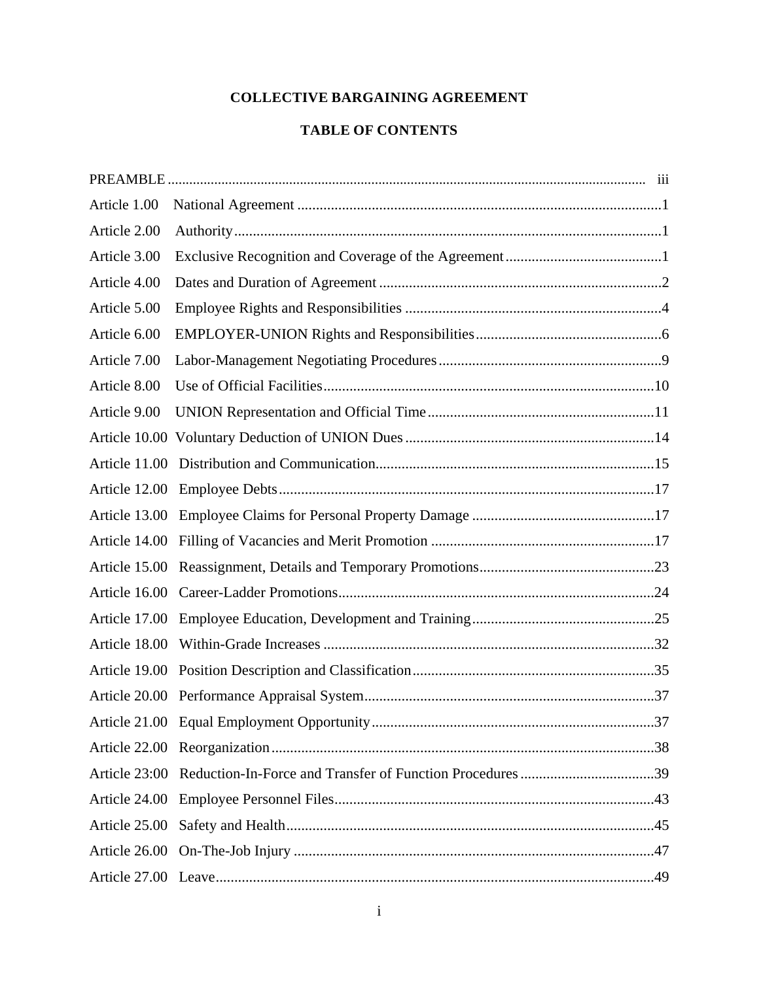# **COLLECTIVE BARGAINING AGREEMENT**

# **TABLE OF CONTENTS**

| Article 1.00  |  |
|---------------|--|
| Article 2.00  |  |
| Article 3.00  |  |
| Article 4.00  |  |
| Article 5.00  |  |
| Article 6.00  |  |
| Article 7.00  |  |
| Article 8.00  |  |
| Article 9.00  |  |
|               |  |
| Article 11.00 |  |
|               |  |
|               |  |
|               |  |
|               |  |
|               |  |
|               |  |
| Article 18.00 |  |
|               |  |
|               |  |
|               |  |
|               |  |
|               |  |
|               |  |
|               |  |
|               |  |
|               |  |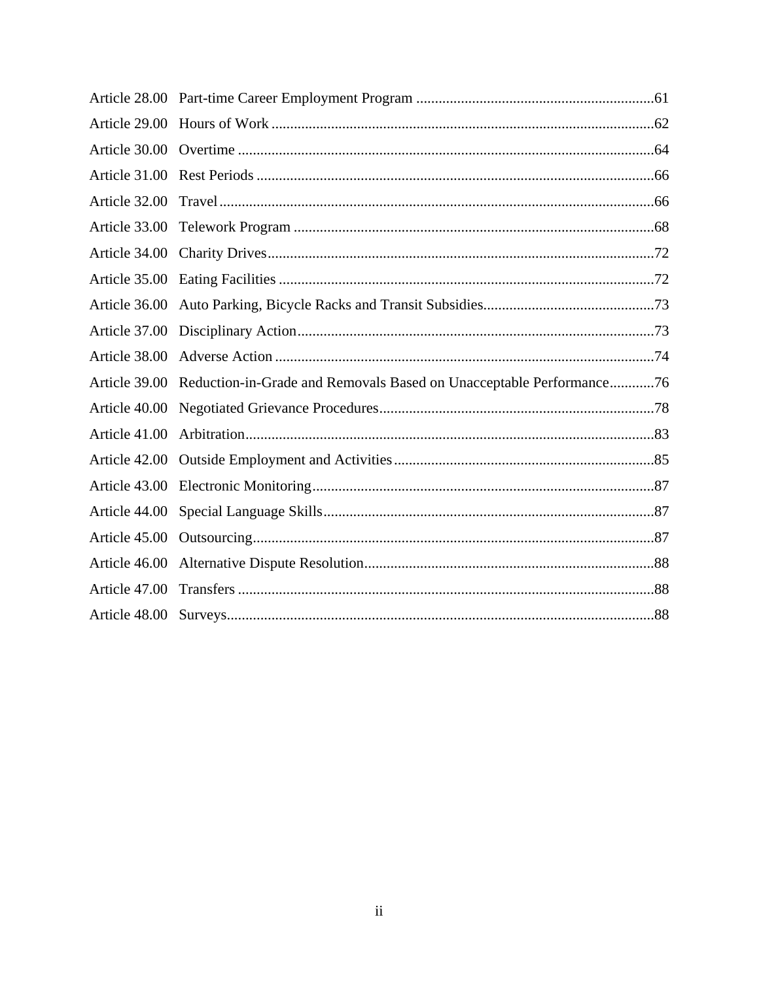|               | Article 39.00 Reduction-in-Grade and Removals Based on Unacceptable Performance76 |  |
|---------------|-----------------------------------------------------------------------------------|--|
|               |                                                                                   |  |
|               |                                                                                   |  |
|               |                                                                                   |  |
|               |                                                                                   |  |
|               |                                                                                   |  |
|               |                                                                                   |  |
|               |                                                                                   |  |
| Article 47.00 |                                                                                   |  |
|               |                                                                                   |  |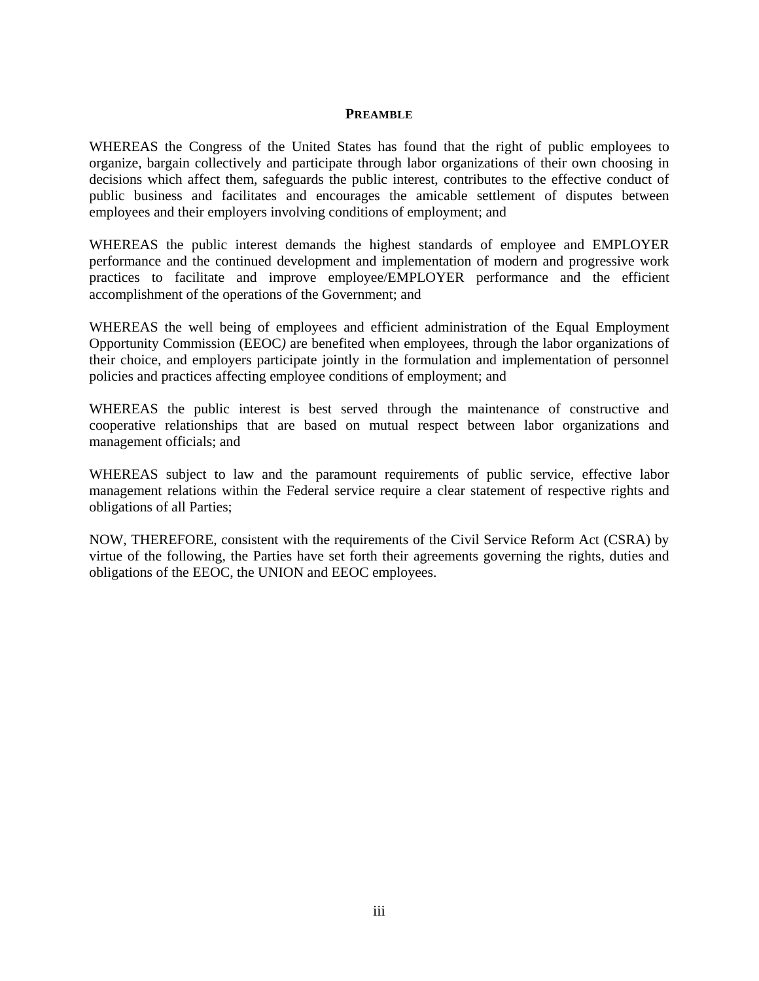#### **PREAMBLE**

WHEREAS the Congress of the United States has found that the right of public employees to organize, bargain collectively and participate through labor organizations of their own choosing in decisions which affect them, safeguards the public interest, contributes to the effective conduct of public business and facilitates and encourages the amicable settlement of disputes between employees and their employers involving conditions of employment; and

WHEREAS the public interest demands the highest standards of employee and EMPLOYER performance and the continued development and implementation of modern and progressive work practices to facilitate and improve employee/EMPLOYER performance and the efficient accomplishment of the operations of the Government; and

WHEREAS the well being of employees and efficient administration of the Equal Employment Opportunity Commission (EEOC*)* are benefited when employees, through the labor organizations of their choice, and employers participate jointly in the formulation and implementation of personnel policies and practices affecting employee conditions of employment; and

WHEREAS the public interest is best served through the maintenance of constructive and cooperative relationships that are based on mutual respect between labor organizations and management officials; and

WHEREAS subject to law and the paramount requirements of public service, effective labor management relations within the Federal service require a clear statement of respective rights and obligations of all Parties;

NOW, THEREFORE, consistent with the requirements of the Civil Service Reform Act (CSRA) by virtue of the following, the Parties have set forth their agreements governing the rights, duties and obligations of the EEOC, the UNION and EEOC employees.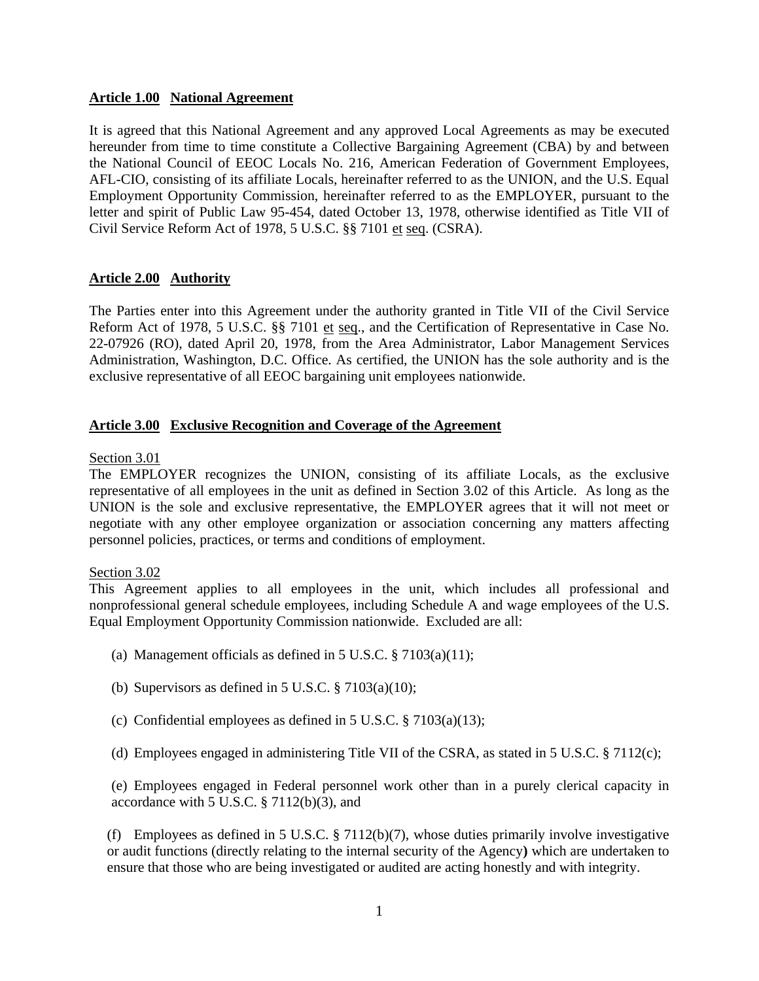### **Article 1.00 National Agreement**

It is agreed that this National Agreement and any approved Local Agreements as may be executed hereunder from time to time constitute a Collective Bargaining Agreement (CBA) by and between the National Council of EEOC Locals No. 216, American Federation of Government Employees, AFL-CIO, consisting of its affiliate Locals, hereinafter referred to as the UNION, and the U.S. Equal Employment Opportunity Commission, hereinafter referred to as the EMPLOYER, pursuant to the letter and spirit of Public Law 95-454, dated October 13, 1978, otherwise identified as Title VII of Civil Service Reform Act of 1978, 5 U.S.C. §§ 7101 et seq. (CSRA).

### **Article 2.00 Authority**

The Parties enter into this Agreement under the authority granted in Title VII of the Civil Service Reform Act of 1978, 5 U.S.C. §§ 7101 et seq., and the Certification of Representative in Case No. 22-07926 (RO), dated April 20, 1978, from the Area Administrator, Labor Management Services Administration, Washington, D.C. Office. As certified, the UNION has the sole authority and is the exclusive representative of all EEOC bargaining unit employees nationwide.

### **Article 3.00 Exclusive Recognition and Coverage of the Agreement**

### Section 3.01

The EMPLOYER recognizes the UNION, consisting of its affiliate Locals, as the exclusive representative of all employees in the unit as defined in Section 3.02 of this Article. As long as the UNION is the sole and exclusive representative, the EMPLOYER agrees that it will not meet or negotiate with any other employee organization or association concerning any matters affecting personnel policies, practices, or terms and conditions of employment.

### Section 3.02

This Agreement applies to all employees in the unit, which includes all professional and nonprofessional general schedule employees, including Schedule A and wage employees of the U.S. Equal Employment Opportunity Commission nationwide. Excluded are all:

- (a) Management officials as defined in 5 U.S.C.  $\S 7103(a)(11)$ ;
- (b) Supervisors as defined in 5 U.S.C.  $\S 7103(a)(10)$ ;
- (c) Confidential employees as defined in 5 U.S.C. § 7103(a)(13);
- (d) Employees engaged in administering Title VII of the CSRA, as stated in 5 U.S.C. § 7112(c);

(e) Employees engaged in Federal personnel work other than in a purely clerical capacity in accordance with 5 U.S.C.  $\S 7112(b)(3)$ , and

(f) Employees as defined in 5 U.S.C. § 7112(b)(7), whose duties primarily involve investigative or audit functions (directly relating to the internal security of the Agency**)** which are undertaken to ensure that those who are being investigated or audited are acting honestly and with integrity.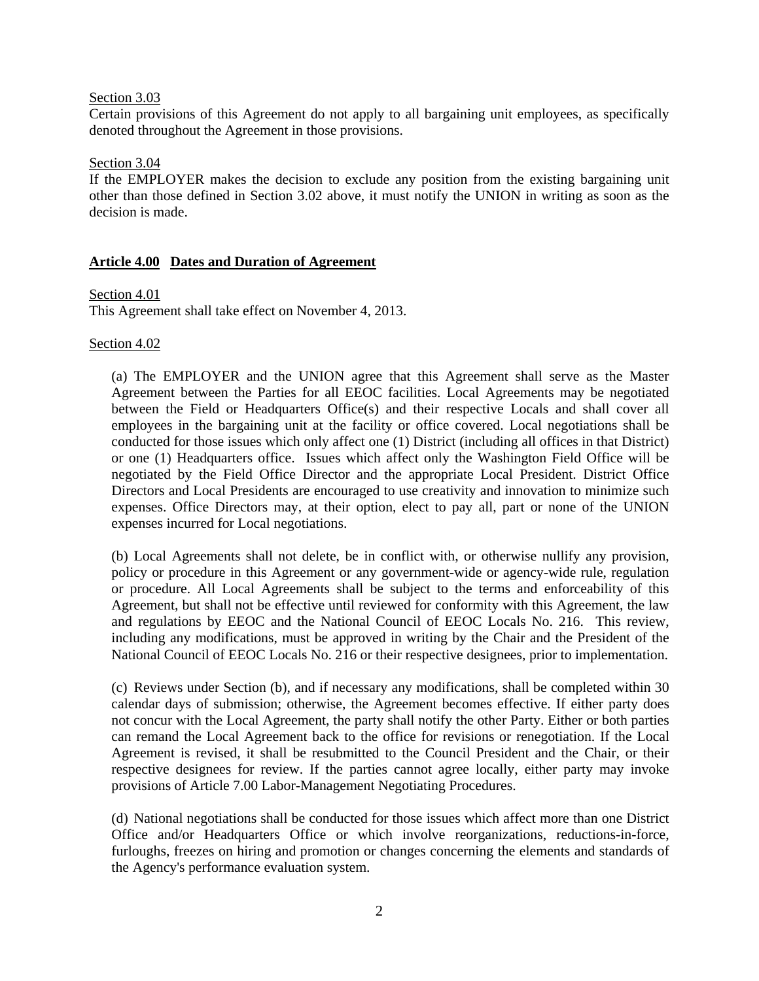### Section 3.03

Certain provisions of this Agreement do not apply to all bargaining unit employees, as specifically denoted throughout the Agreement in those provisions.

#### Section 3.04

If the EMPLOYER makes the decision to exclude any position from the existing bargaining unit other than those defined in Section 3.02 above, it must notify the UNION in writing as soon as the decision is made.

### **Article 4.00 Dates and Duration of Agreement**

#### Section 4.01

This Agreement shall take effect on November 4, 2013.

### Section 4.02

(a) The EMPLOYER and the UNION agree that this Agreement shall serve as the Master Agreement between the Parties for all EEOC facilities. Local Agreements may be negotiated between the Field or Headquarters Office(s) and their respective Locals and shall cover all employees in the bargaining unit at the facility or office covered. Local negotiations shall be conducted for those issues which only affect one (1) District (including all offices in that District) or one (1) Headquarters office. Issues which affect only the Washington Field Office will be negotiated by the Field Office Director and the appropriate Local President. District Office Directors and Local Presidents are encouraged to use creativity and innovation to minimize such expenses. Office Directors may, at their option, elect to pay all, part or none of the UNION expenses incurred for Local negotiations.

(b) Local Agreements shall not delete, be in conflict with, or otherwise nullify any provision, policy or procedure in this Agreement or any government-wide or agency-wide rule, regulation or procedure. All Local Agreements shall be subject to the terms and enforceability of this Agreement, but shall not be effective until reviewed for conformity with this Agreement, the law and regulations by EEOC and the National Council of EEOC Locals No. 216. This review, including any modifications, must be approved in writing by the Chair and the President of the National Council of EEOC Locals No. 216 or their respective designees, prior to implementation.

(c) Reviews under Section (b), and if necessary any modifications, shall be completed within 30 calendar days of submission; otherwise, the Agreement becomes effective. If either party does not concur with the Local Agreement, the party shall notify the other Party. Either or both parties can remand the Local Agreement back to the office for revisions or renegotiation. If the Local Agreement is revised, it shall be resubmitted to the Council President and the Chair, or their respective designees for review. If the parties cannot agree locally, either party may invoke provisions of Article 7.00 Labor-Management Negotiating Procedures.

(d) National negotiations shall be conducted for those issues which affect more than one District Office and/or Headquarters Office or which involve reorganizations, reductions-in-force, furloughs, freezes on hiring and promotion or changes concerning the elements and standards of the Agency's performance evaluation system.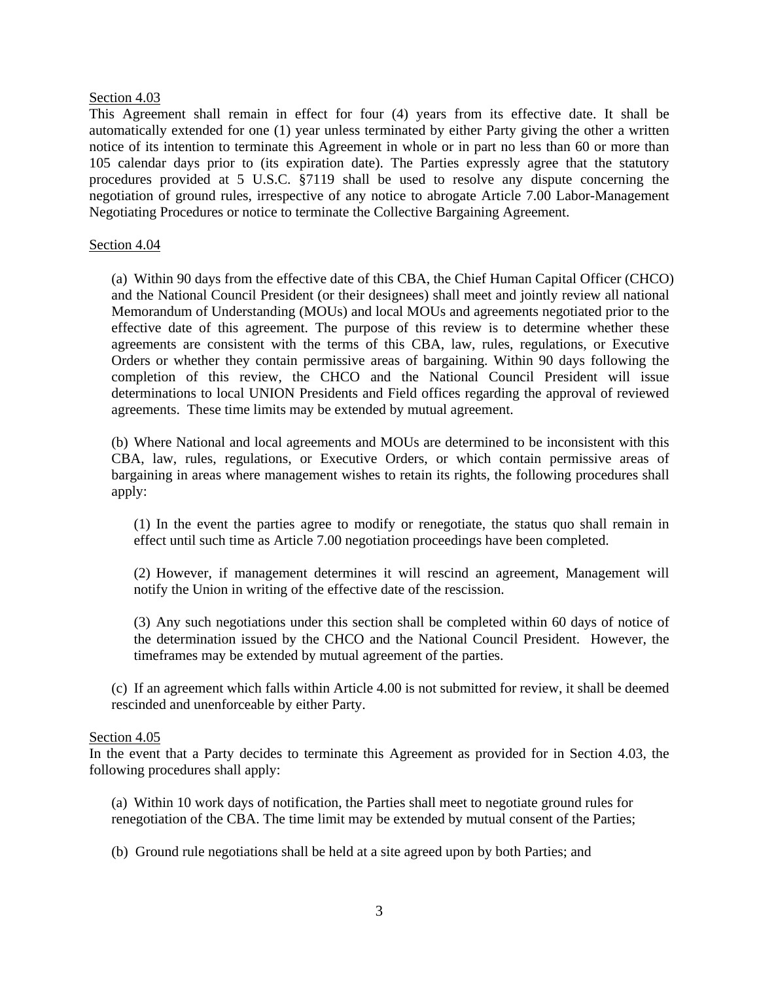### Section 4.03

This Agreement shall remain in effect for four (4) years from its effective date. It shall be automatically extended for one (1) year unless terminated by either Party giving the other a written notice of its intention to terminate this Agreement in whole or in part no less than 60 or more than 105 calendar days prior to (its expiration date). The Parties expressly agree that the statutory procedures provided at 5 U.S.C. §7119 shall be used to resolve any dispute concerning the negotiation of ground rules, irrespective of any notice to abrogate Article 7.00 Labor-Management Negotiating Procedures or notice to terminate the Collective Bargaining Agreement.

#### Section 4.04

(a) Within 90 days from the effective date of this CBA, the Chief Human Capital Officer (CHCO) and the National Council President (or their designees) shall meet and jointly review all national Memorandum of Understanding (MOUs) and local MOUs and agreements negotiated prior to the effective date of this agreement. The purpose of this review is to determine whether these agreements are consistent with the terms of this CBA, law, rules, regulations, or Executive Orders or whether they contain permissive areas of bargaining. Within 90 days following the completion of this review, the CHCO and the National Council President will issue determinations to local UNION Presidents and Field offices regarding the approval of reviewed agreements. These time limits may be extended by mutual agreement.

(b) Where National and local agreements and MOUs are determined to be inconsistent with this CBA, law, rules, regulations, or Executive Orders, or which contain permissive areas of bargaining in areas where management wishes to retain its rights, the following procedures shall apply:

(1) In the event the parties agree to modify or renegotiate, the status quo shall remain in effect until such time as Article 7.00 negotiation proceedings have been completed.

(2) However, if management determines it will rescind an agreement, Management will notify the Union in writing of the effective date of the rescission.

(3) Any such negotiations under this section shall be completed within 60 days of notice of the determination issued by the CHCO and the National Council President. However, the timeframes may be extended by mutual agreement of the parties.

(c) If an agreement which falls within Article 4.00 is not submitted for review, it shall be deemed rescinded and unenforceable by either Party.

### Section 4.05

In the event that a Party decides to terminate this Agreement as provided for in Section 4.03, the following procedures shall apply:

(a) Within 10 work days of notification, the Parties shall meet to negotiate ground rules for renegotiation of the CBA. The time limit may be extended by mutual consent of the Parties;

(b) Ground rule negotiations shall be held at a site agreed upon by both Parties; and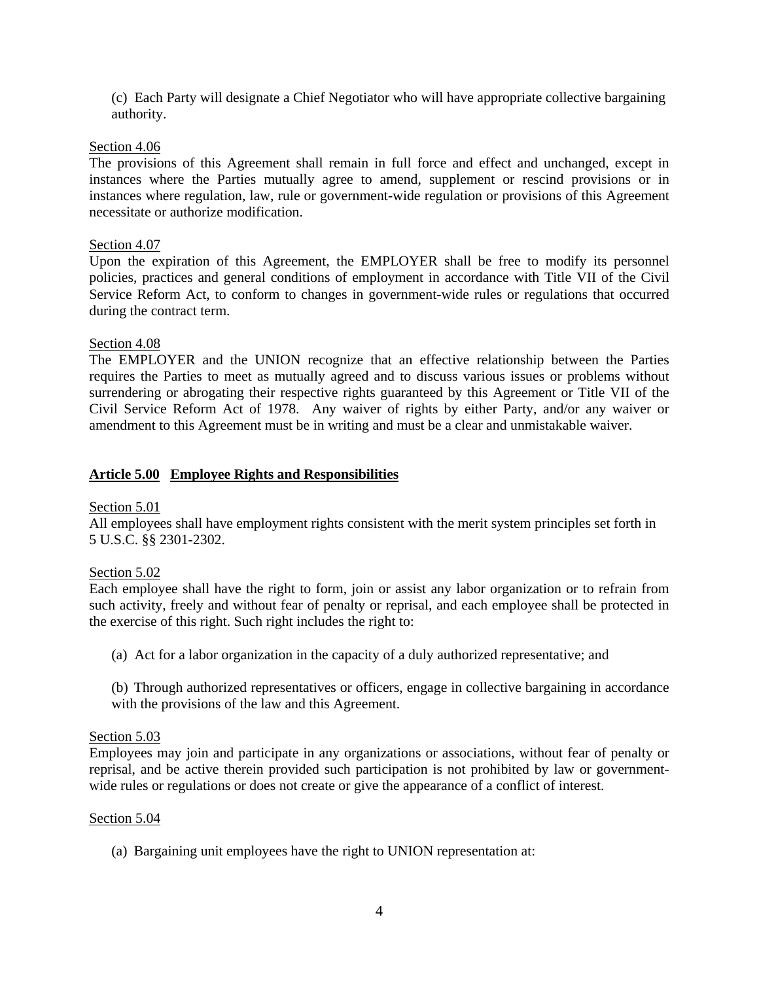(c) Each Party will designate a Chief Negotiator who will have appropriate collective bargaining authority.

### Section 4.06

The provisions of this Agreement shall remain in full force and effect and unchanged, except in instances where the Parties mutually agree to amend, supplement or rescind provisions or in instances where regulation, law, rule or government-wide regulation or provisions of this Agreement necessitate or authorize modification.

# Section 4.07

Upon the expiration of this Agreement, the EMPLOYER shall be free to modify its personnel policies, practices and general conditions of employment in accordance with Title VII of the Civil Service Reform Act, to conform to changes in government-wide rules or regulations that occurred during the contract term.

### Section 4.08

The EMPLOYER and the UNION recognize that an effective relationship between the Parties requires the Parties to meet as mutually agreed and to discuss various issues or problems without surrendering or abrogating their respective rights guaranteed by this Agreement or Title VII of the Civil Service Reform Act of 1978. Any waiver of rights by either Party, and/or any waiver or amendment to this Agreement must be in writing and must be a clear and unmistakable waiver.

# **Article 5.00 Employee Rights and Responsibilities**

### Section 5.01

All employees shall have employment rights consistent with the merit system principles set forth in 5 U.S.C. §§ 2301-2302.

# Section 5.02

Each employee shall have the right to form, join or assist any labor organization or to refrain from such activity, freely and without fear of penalty or reprisal, and each employee shall be protected in the exercise of this right. Such right includes the right to:

(a) Act for a labor organization in the capacity of a duly authorized representative; and

(b) Through authorized representatives or officers, engage in collective bargaining in accordance with the provisions of the law and this Agreement.

### Section 5.03

Employees may join and participate in any organizations or associations, without fear of penalty or reprisal, and be active therein provided such participation is not prohibited by law or governmentwide rules or regulations or does not create or give the appearance of a conflict of interest.

### Section 5.04

(a) Bargaining unit employees have the right to UNION representation at: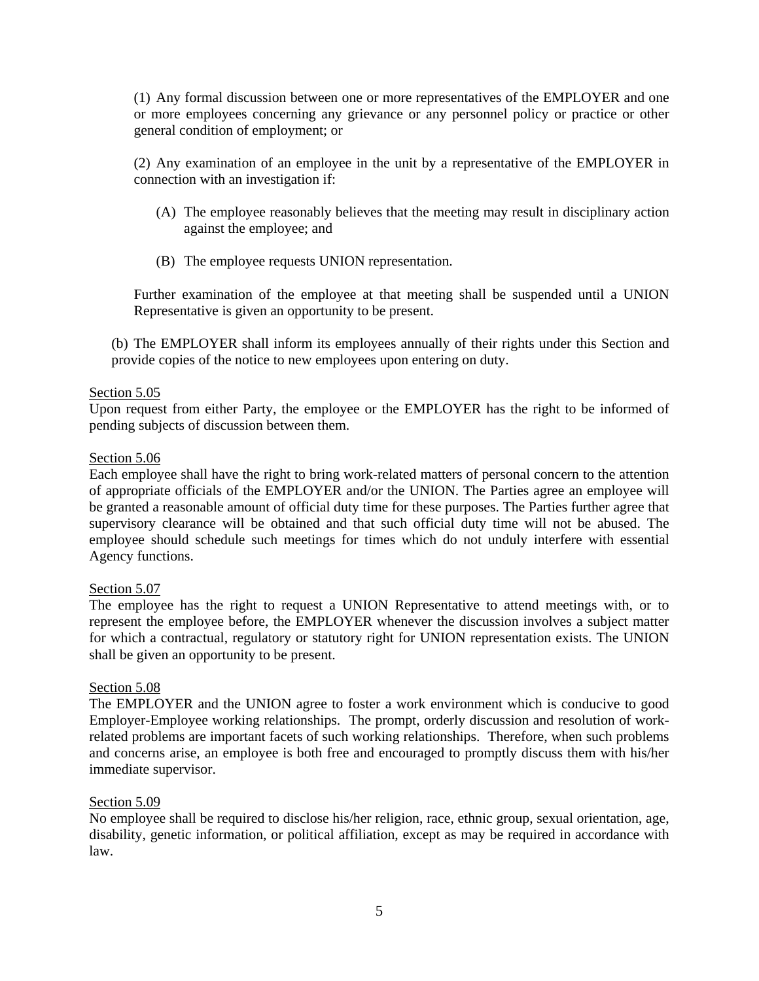(1) Any formal discussion between one or more representatives of the EMPLOYER and one or more employees concerning any grievance or any personnel policy or practice or other general condition of employment; or

(2) Any examination of an employee in the unit by a representative of the EMPLOYER in connection with an investigation if:

- (A) The employee reasonably believes that the meeting may result in disciplinary action against the employee; and
- (B) The employee requests UNION representation.

Further examination of the employee at that meeting shall be suspended until a UNION Representative is given an opportunity to be present.

(b) The EMPLOYER shall inform its employees annually of their rights under this Section and provide copies of the notice to new employees upon entering on duty.

### Section 5.05

Upon request from either Party, the employee or the EMPLOYER has the right to be informed of pending subjects of discussion between them.

### Section 5.06

Each employee shall have the right to bring work-related matters of personal concern to the attention of appropriate officials of the EMPLOYER and/or the UNION. The Parties agree an employee will be granted a reasonable amount of official duty time for these purposes. The Parties further agree that supervisory clearance will be obtained and that such official duty time will not be abused. The employee should schedule such meetings for times which do not unduly interfere with essential Agency functions.

# Section 5.07

The employee has the right to request a UNION Representative to attend meetings with, or to represent the employee before, the EMPLOYER whenever the discussion involves a subject matter for which a contractual, regulatory or statutory right for UNION representation exists. The UNION shall be given an opportunity to be present.

### Section 5.08

The EMPLOYER and the UNION agree to foster a work environment which is conducive to good Employer-Employee working relationships. The prompt, orderly discussion and resolution of workrelated problems are important facets of such working relationships. Therefore, when such problems and concerns arise, an employee is both free and encouraged to promptly discuss them with his/her immediate supervisor.

### Section 5.09

No employee shall be required to disclose his/her religion, race, ethnic group, sexual orientation, age, disability, genetic information, or political affiliation, except as may be required in accordance with law.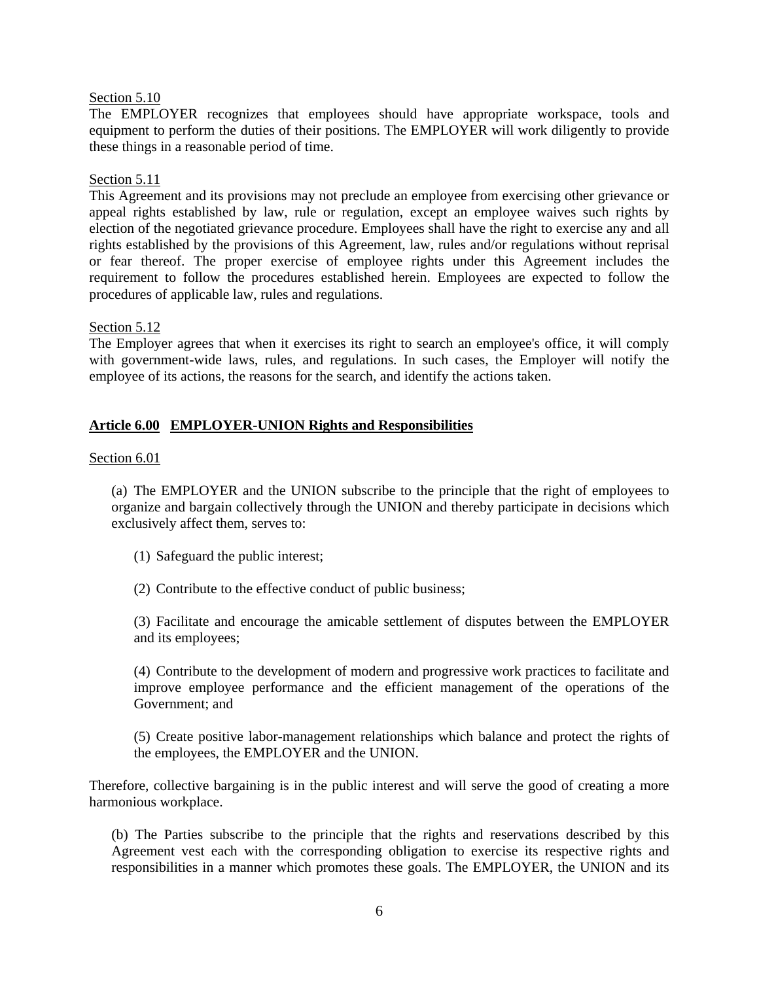### Section 5.10

The EMPLOYER recognizes that employees should have appropriate workspace, tools and equipment to perform the duties of their positions. The EMPLOYER will work diligently to provide these things in a reasonable period of time.

#### Section 5.11

This Agreement and its provisions may not preclude an employee from exercising other grievance or appeal rights established by law, rule or regulation, except an employee waives such rights by election of the negotiated grievance procedure. Employees shall have the right to exercise any and all rights established by the provisions of this Agreement, law, rules and/or regulations without reprisal or fear thereof. The proper exercise of employee rights under this Agreement includes the requirement to follow the procedures established herein. Employees are expected to follow the procedures of applicable law, rules and regulations.

#### Section 5.12

The Employer agrees that when it exercises its right to search an employee's office, it will comply with government-wide laws, rules, and regulations. In such cases, the Employer will notify the employee of its actions, the reasons for the search, and identify the actions taken.

### **Article 6.00 EMPLOYER-UNION Rights and Responsibilities**

#### Section 6.01

(a) The EMPLOYER and the UNION subscribe to the principle that the right of employees to organize and bargain collectively through the UNION and thereby participate in decisions which exclusively affect them, serves to:

- (1) Safeguard the public interest;
- (2) Contribute to the effective conduct of public business;

(3) Facilitate and encourage the amicable settlement of disputes between the EMPLOYER and its employees;

(4) Contribute to the development of modern and progressive work practices to facilitate and improve employee performance and the efficient management of the operations of the Government; and

(5) Create positive labor-management relationships which balance and protect the rights of the employees, the EMPLOYER and the UNION.

Therefore, collective bargaining is in the public interest and will serve the good of creating a more harmonious workplace.

(b) The Parties subscribe to the principle that the rights and reservations described by this Agreement vest each with the corresponding obligation to exercise its respective rights and responsibilities in a manner which promotes these goals. The EMPLOYER, the UNION and its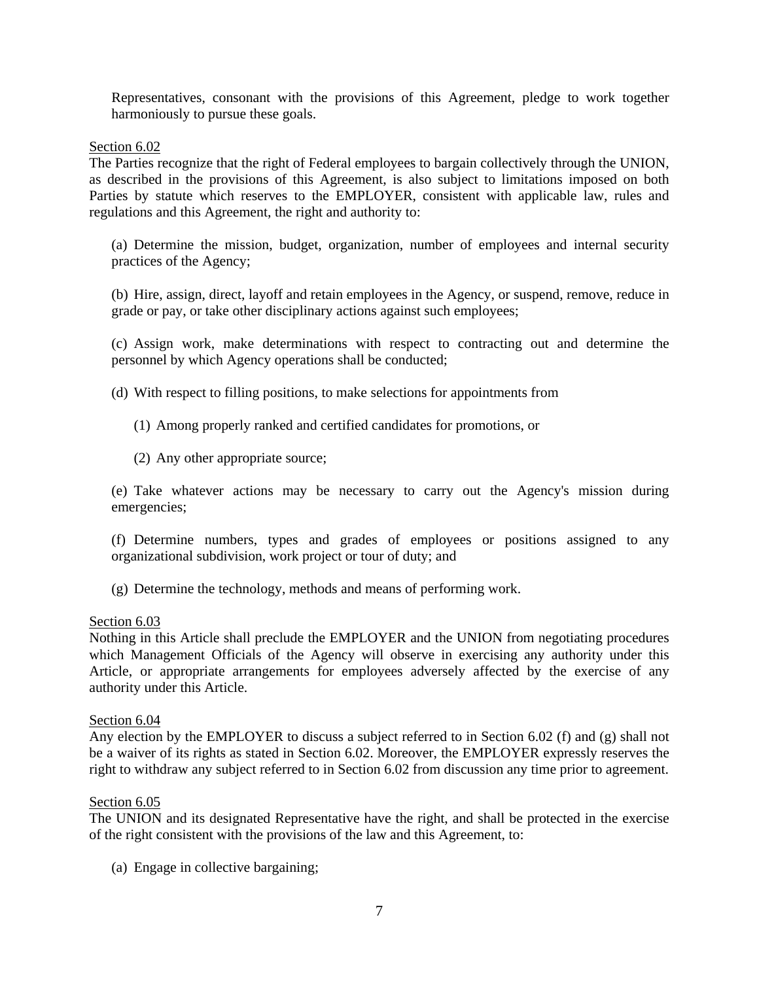Representatives, consonant with the provisions of this Agreement, pledge to work together harmoniously to pursue these goals.

### Section 6.02

The Parties recognize that the right of Federal employees to bargain collectively through the UNION, as described in the provisions of this Agreement, is also subject to limitations imposed on both Parties by statute which reserves to the EMPLOYER, consistent with applicable law, rules and regulations and this Agreement, the right and authority to:

(a) Determine the mission, budget, organization, number of employees and internal security practices of the Agency;

(b) Hire, assign, direct, layoff and retain employees in the Agency, or suspend, remove, reduce in grade or pay, or take other disciplinary actions against such employees;

(c) Assign work, make determinations with respect to contracting out and determine the personnel by which Agency operations shall be conducted;

(d) With respect to filling positions, to make selections for appointments from

- (1) Among properly ranked and certified candidates for promotions, or
- (2) Any other appropriate source;

(e) Take whatever actions may be necessary to carry out the Agency's mission during emergencies;

(f) Determine numbers, types and grades of employees or positions assigned to any organizational subdivision, work project or tour of duty; and

(g) Determine the technology, methods and means of performing work.

### Section 6.03

Nothing in this Article shall preclude the EMPLOYER and the UNION from negotiating procedures which Management Officials of the Agency will observe in exercising any authority under this Article, or appropriate arrangements for employees adversely affected by the exercise of any authority under this Article.

### Section 6.04

Any election by the EMPLOYER to discuss a subject referred to in Section 6.02 (f) and (g) shall not be a waiver of its rights as stated in Section 6.02. Moreover, the EMPLOYER expressly reserves the right to withdraw any subject referred to in Section 6.02 from discussion any time prior to agreement.

### Section 6.05

The UNION and its designated Representative have the right, and shall be protected in the exercise of the right consistent with the provisions of the law and this Agreement, to:

(a) Engage in collective bargaining;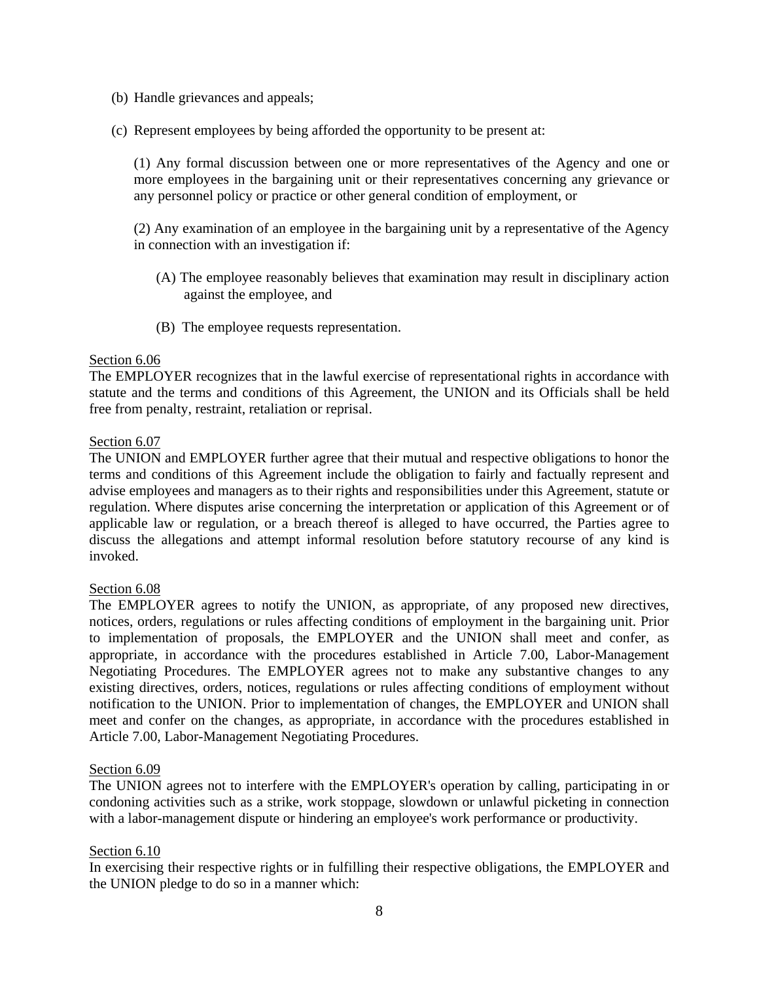- (b) Handle grievances and appeals;
- (c) Represent employees by being afforded the opportunity to be present at:

(1) Any formal discussion between one or more representatives of the Agency and one or more employees in the bargaining unit or their representatives concerning any grievance or any personnel policy or practice or other general condition of employment, or

(2) Any examination of an employee in the bargaining unit by a representative of the Agency in connection with an investigation if:

- (A) The employee reasonably believes that examination may result in disciplinary action against the employee, and
- (B) The employee requests representation.

### Section 6.06

The EMPLOYER recognizes that in the lawful exercise of representational rights in accordance with statute and the terms and conditions of this Agreement, the UNION and its Officials shall be held free from penalty, restraint, retaliation or reprisal.

### Section 6.07

The UNION and EMPLOYER further agree that their mutual and respective obligations to honor the terms and conditions of this Agreement include the obligation to fairly and factually represent and advise employees and managers as to their rights and responsibilities under this Agreement, statute or regulation. Where disputes arise concerning the interpretation or application of this Agreement or of applicable law or regulation, or a breach thereof is alleged to have occurred, the Parties agree to discuss the allegations and attempt informal resolution before statutory recourse of any kind is invoked.

### Section 6.08

The EMPLOYER agrees to notify the UNION, as appropriate, of any proposed new directives, notices, orders, regulations or rules affecting conditions of employment in the bargaining unit. Prior to implementation of proposals, the EMPLOYER and the UNION shall meet and confer, as appropriate, in accordance with the procedures established in Article 7.00, Labor-Management Negotiating Procedures. The EMPLOYER agrees not to make any substantive changes to any existing directives, orders, notices, regulations or rules affecting conditions of employment without notification to the UNION. Prior to implementation of changes, the EMPLOYER and UNION shall meet and confer on the changes, as appropriate, in accordance with the procedures established in Article 7.00, Labor-Management Negotiating Procedures.

### Section 6.09

The UNION agrees not to interfere with the EMPLOYER's operation by calling, participating in or condoning activities such as a strike, work stoppage, slowdown or unlawful picketing in connection with a labor-management dispute or hindering an employee's work performance or productivity.

# Section 6.10

In exercising their respective rights or in fulfilling their respective obligations, the EMPLOYER and the UNION pledge to do so in a manner which: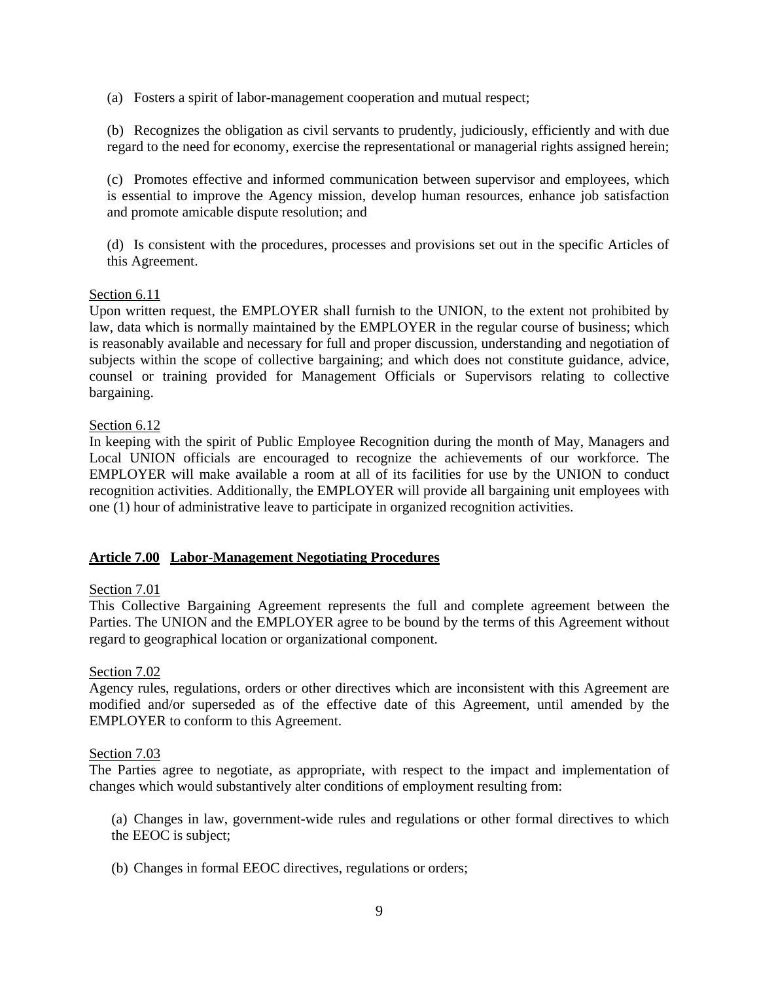(a) Fosters a spirit of labor-management cooperation and mutual respect;

(b) Recognizes the obligation as civil servants to prudently, judiciously, efficiently and with due regard to the need for economy, exercise the representational or managerial rights assigned herein;

(c) Promotes effective and informed communication between supervisor and employees, which is essential to improve the Agency mission, develop human resources, enhance job satisfaction and promote amicable dispute resolution; and

(d) Is consistent with the procedures, processes and provisions set out in the specific Articles of this Agreement.

### Section 6.11

Upon written request, the EMPLOYER shall furnish to the UNION, to the extent not prohibited by law, data which is normally maintained by the EMPLOYER in the regular course of business; which is reasonably available and necessary for full and proper discussion, understanding and negotiation of subjects within the scope of collective bargaining; and which does not constitute guidance, advice, counsel or training provided for Management Officials or Supervisors relating to collective bargaining.

### Section 6.12

In keeping with the spirit of Public Employee Recognition during the month of May, Managers and Local UNION officials are encouraged to recognize the achievements of our workforce. The EMPLOYER will make available a room at all of its facilities for use by the UNION to conduct recognition activities. Additionally, the EMPLOYER will provide all bargaining unit employees with one (1) hour of administrative leave to participate in organized recognition activities.

### **Article 7.00 Labor-Management Negotiating Procedures**

### Section 7.01

This Collective Bargaining Agreement represents the full and complete agreement between the Parties. The UNION and the EMPLOYER agree to be bound by the terms of this Agreement without regard to geographical location or organizational component.

### Section 7.02

Agency rules, regulations, orders or other directives which are inconsistent with this Agreement are modified and/or superseded as of the effective date of this Agreement, until amended by the EMPLOYER to conform to this Agreement.

### Section 7.03

The Parties agree to negotiate, as appropriate, with respect to the impact and implementation of changes which would substantively alter conditions of employment resulting from:

(a) Changes in law, government-wide rules and regulations or other formal directives to which the EEOC is subject;

(b) Changes in formal EEOC directives, regulations or orders;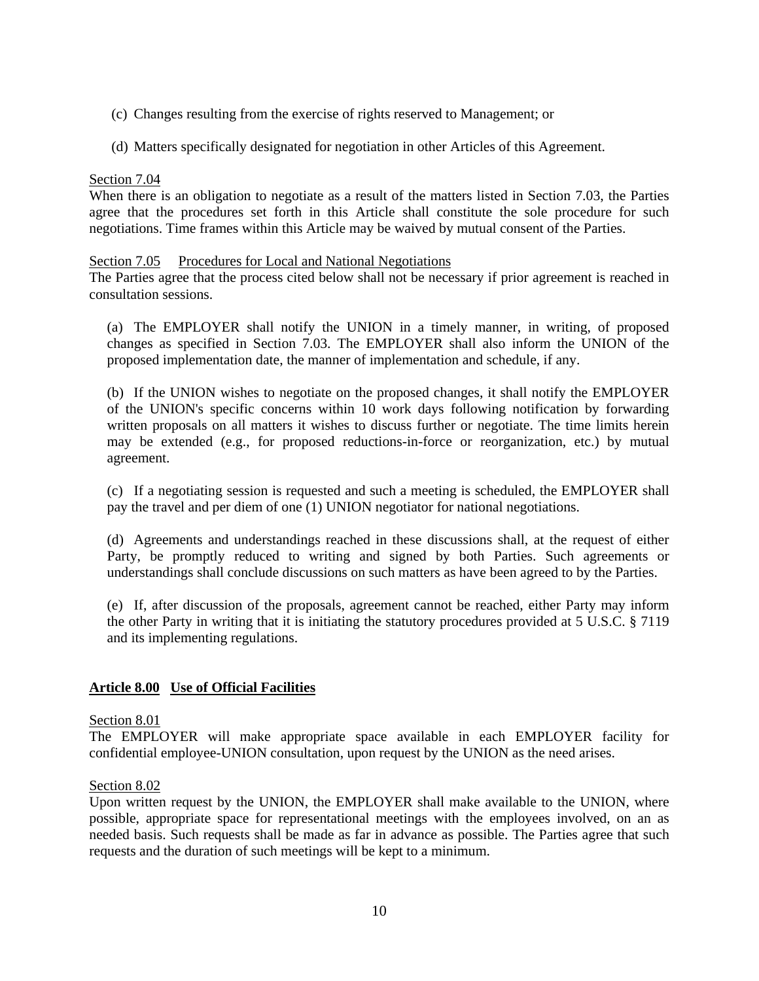- (c) Changes resulting from the exercise of rights reserved to Management; or
- (d) Matters specifically designated for negotiation in other Articles of this Agreement.

### Section 7.04

When there is an obligation to negotiate as a result of the matters listed in Section 7.03, the Parties agree that the procedures set forth in this Article shall constitute the sole procedure for such negotiations. Time frames within this Article may be waived by mutual consent of the Parties.

### Section 7.05 Procedures for Local and National Negotiations

The Parties agree that the process cited below shall not be necessary if prior agreement is reached in consultation sessions.

(a) The EMPLOYER shall notify the UNION in a timely manner, in writing, of proposed changes as specified in Section 7.03. The EMPLOYER shall also inform the UNION of the proposed implementation date, the manner of implementation and schedule, if any.

(b) If the UNION wishes to negotiate on the proposed changes, it shall notify the EMPLOYER of the UNION's specific concerns within 10 work days following notification by forwarding written proposals on all matters it wishes to discuss further or negotiate. The time limits herein may be extended (e.g., for proposed reductions-in-force or reorganization, etc.) by mutual agreement.

(c) If a negotiating session is requested and such a meeting is scheduled, the EMPLOYER shall pay the travel and per diem of one (1) UNION negotiator for national negotiations.

(d) Agreements and understandings reached in these discussions shall, at the request of either Party, be promptly reduced to writing and signed by both Parties. Such agreements or understandings shall conclude discussions on such matters as have been agreed to by the Parties.

(e) If, after discussion of the proposals, agreement cannot be reached, either Party may inform the other Party in writing that it is initiating the statutory procedures provided at 5 U.S.C. § 7119 and its implementing regulations.

### **Article 8.00 Use of Official Facilities**

# Section 8.01

The EMPLOYER will make appropriate space available in each EMPLOYER facility for confidential employee-UNION consultation, upon request by the UNION as the need arises.

### Section 8.02

Upon written request by the UNION, the EMPLOYER shall make available to the UNION, where possible, appropriate space for representational meetings with the employees involved, on an as needed basis. Such requests shall be made as far in advance as possible. The Parties agree that such requests and the duration of such meetings will be kept to a minimum.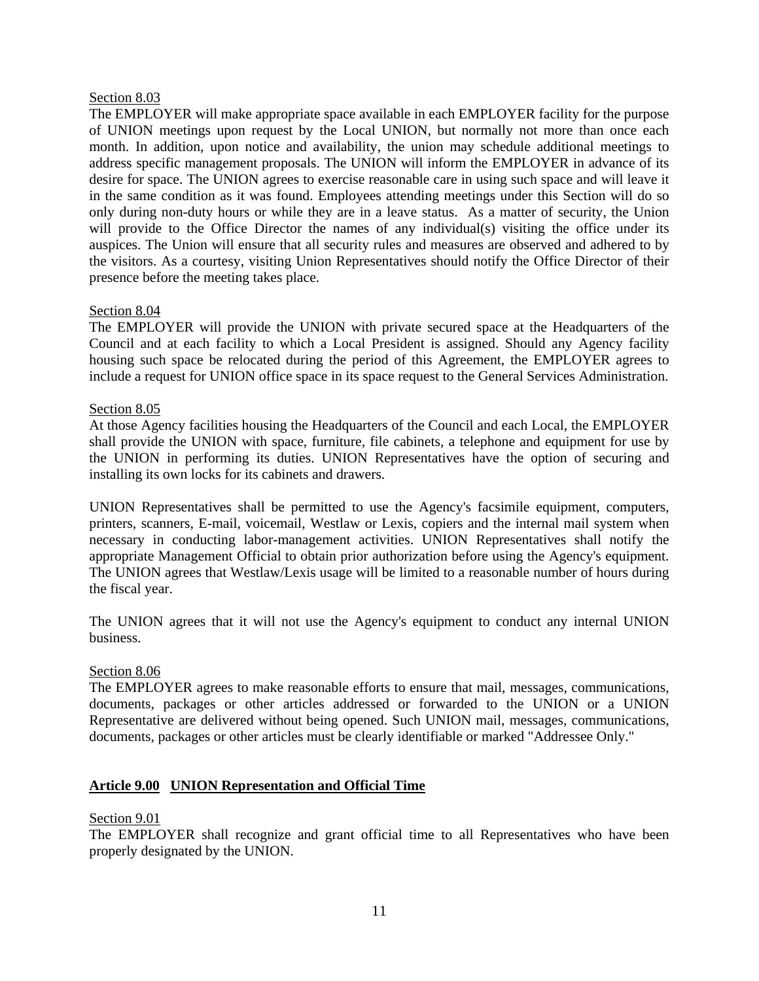### Section 8.03

The EMPLOYER will make appropriate space available in each EMPLOYER facility for the purpose of UNION meetings upon request by the Local UNION, but normally not more than once each month. In addition, upon notice and availability, the union may schedule additional meetings to address specific management proposals. The UNION will inform the EMPLOYER in advance of its desire for space. The UNION agrees to exercise reasonable care in using such space and will leave it in the same condition as it was found. Employees attending meetings under this Section will do so only during non-duty hours or while they are in a leave status. As a matter of security, the Union will provide to the Office Director the names of any individual(s) visiting the office under its auspices. The Union will ensure that all security rules and measures are observed and adhered to by the visitors. As a courtesy, visiting Union Representatives should notify the Office Director of their presence before the meeting takes place.

### Section 8.04

The EMPLOYER will provide the UNION with private secured space at the Headquarters of the Council and at each facility to which a Local President is assigned. Should any Agency facility housing such space be relocated during the period of this Agreement, the EMPLOYER agrees to include a request for UNION office space in its space request to the General Services Administration.

### Section 8.05

At those Agency facilities housing the Headquarters of the Council and each Local, the EMPLOYER shall provide the UNION with space, furniture, file cabinets, a telephone and equipment for use by the UNION in performing its duties. UNION Representatives have the option of securing and installing its own locks for its cabinets and drawers.

UNION Representatives shall be permitted to use the Agency's facsimile equipment, computers, printers, scanners, E-mail, voicemail, Westlaw or Lexis, copiers and the internal mail system when necessary in conducting labor-management activities. UNION Representatives shall notify the appropriate Management Official to obtain prior authorization before using the Agency's equipment. The UNION agrees that Westlaw/Lexis usage will be limited to a reasonable number of hours during the fiscal year.

The UNION agrees that it will not use the Agency's equipment to conduct any internal UNION business.

### Section 8.06

The EMPLOYER agrees to make reasonable efforts to ensure that mail, messages, communications, documents, packages or other articles addressed or forwarded to the UNION or a UNION Representative are delivered without being opened. Such UNION mail, messages, communications, documents, packages or other articles must be clearly identifiable or marked "Addressee Only."

### **Article 9.00 UNION Representation and Official Time**

### Section 9.01

The EMPLOYER shall recognize and grant official time to all Representatives who have been properly designated by the UNION.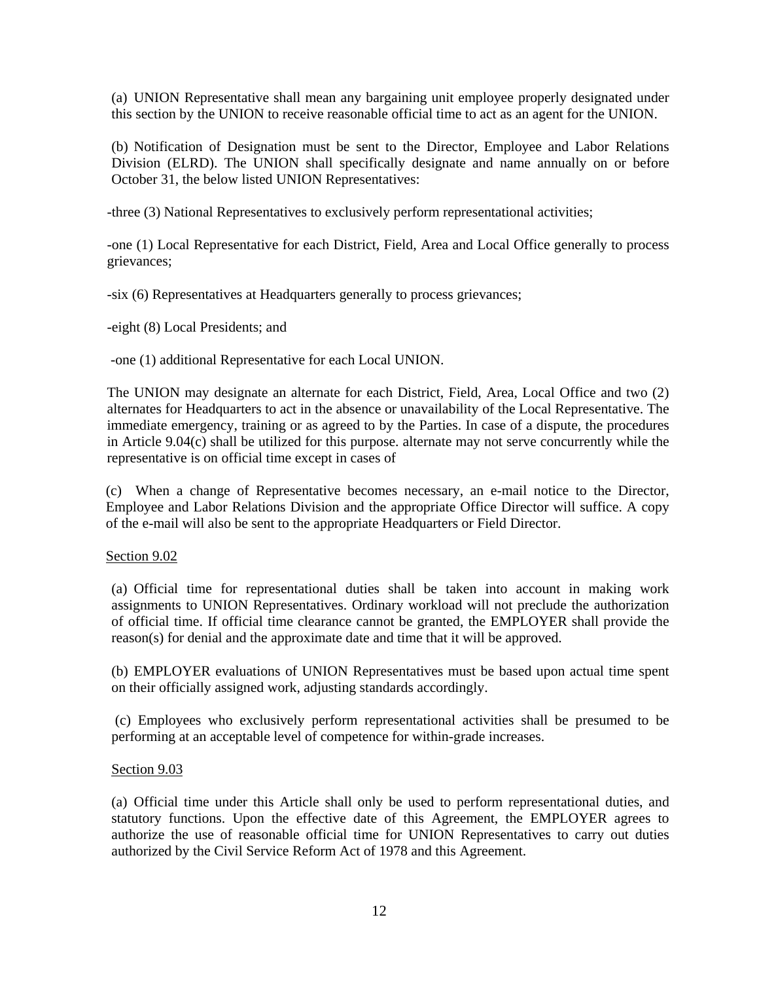(a) UNION Representative shall mean any bargaining unit employee properly designated under this section by the UNION to receive reasonable official time to act as an agent for the UNION.

(b) Notification of Designation must be sent to the Director, Employee and Labor Relations Division (ELRD). The UNION shall specifically designate and name annually on or before October 31, the below listed UNION Representatives:

-three (3) National Representatives to exclusively perform representational activities;

-one (1) Local Representative for each District, Field, Area and Local Office generally to process grievances;

-six (6) Representatives at Headquarters generally to process grievances;

-eight (8) Local Presidents; and

-one (1) additional Representative for each Local UNION.

The UNION may designate an alternate for each District, Field, Area, Local Office and two (2) alternates for Headquarters to act in the absence or unavailability of the Local Representative. The immediate emergency, training or as agreed to by the Parties. In case of a dispute, the procedures in Article 9.04(c) shall be utilized for this purpose. alternate may not serve concurrently while the representative is on official time except in cases of

(c) When a change of Representative becomes necessary, an e-mail notice to the Director, Employee and Labor Relations Division and the appropriate Office Director will suffice. A copy of the e-mail will also be sent to the appropriate Headquarters or Field Director.

### Section 9.02

(a) Official time for representational duties shall be taken into account in making work assignments to UNION Representatives. Ordinary workload will not preclude the authorization of official time. If official time clearance cannot be granted, the EMPLOYER shall provide the reason(s) for denial and the approximate date and time that it will be approved.

(b) EMPLOYER evaluations of UNION Representatives must be based upon actual time spent on their officially assigned work, adjusting standards accordingly.

 (c) Employees who exclusively perform representational activities shall be presumed to be performing at an acceptable level of competence for within-grade increases.

### Section 9.03

(a) Official time under this Article shall only be used to perform representational duties, and statutory functions. Upon the effective date of this Agreement, the EMPLOYER agrees to authorize the use of reasonable official time for UNION Representatives to carry out duties authorized by the Civil Service Reform Act of 1978 and this Agreement.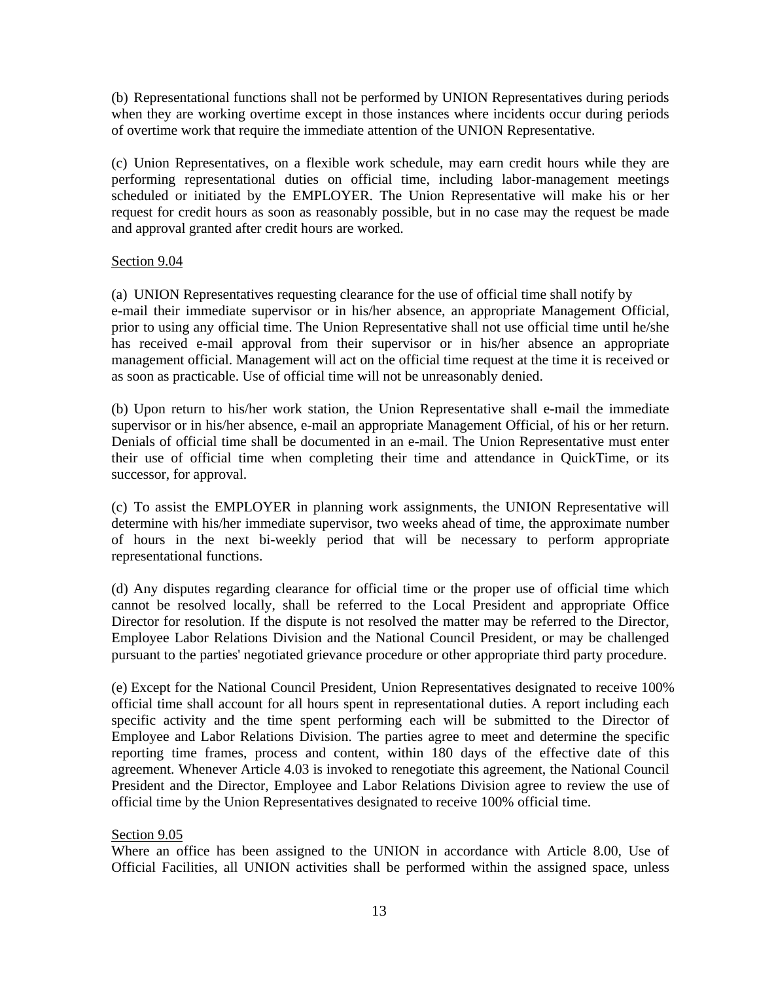(b) Representational functions shall not be performed by UNION Representatives during periods when they are working overtime except in those instances where incidents occur during periods of overtime work that require the immediate attention of the UNION Representative.

(c) Union Representatives, on a flexible work schedule, may earn credit hours while they are performing representational duties on official time, including labor-management meetings scheduled or initiated by the EMPLOYER. The Union Representative will make his or her request for credit hours as soon as reasonably possible, but in no case may the request be made and approval granted after credit hours are worked.

### Section 9.04

(a) UNION Representatives requesting clearance for the use of official time shall notify by e-mail their immediate supervisor or in his/her absence, an appropriate Management Official, prior to using any official time. The Union Representative shall not use official time until he/she has received e-mail approval from their supervisor or in his/her absence an appropriate management official. Management will act on the official time request at the time it is received or as soon as practicable. Use of official time will not be unreasonably denied.

(b) Upon return to his/her work station, the Union Representative shall e-mail the immediate supervisor or in his/her absence, e-mail an appropriate Management Official, of his or her return. Denials of official time shall be documented in an e-mail. The Union Representative must enter their use of official time when completing their time and attendance in QuickTime, or its successor, for approval.

(c) To assist the EMPLOYER in planning work assignments, the UNION Representative will determine with his/her immediate supervisor, two weeks ahead of time, the approximate number of hours in the next bi-weekly period that will be necessary to perform appropriate representational functions.

(d) Any disputes regarding clearance for official time or the proper use of official time which cannot be resolved locally, shall be referred to the Local President and appropriate Office Director for resolution. If the dispute is not resolved the matter may be referred to the Director, Employee Labor Relations Division and the National Council President, or may be challenged pursuant to the parties' negotiated grievance procedure or other appropriate third party procedure.

(e) Except for the National Council President, Union Representatives designated to receive 100% official time shall account for all hours spent in representational duties. A report including each specific activity and the time spent performing each will be submitted to the Director of Employee and Labor Relations Division. The parties agree to meet and determine the specific reporting time frames, process and content, within 180 days of the effective date of this agreement. Whenever Article 4.03 is invoked to renegotiate this agreement, the National Council President and the Director, Employee and Labor Relations Division agree to review the use of official time by the Union Representatives designated to receive 100% official time.

# Section 9.05

Where an office has been assigned to the UNION in accordance with Article 8.00, Use of Official Facilities, all UNION activities shall be performed within the assigned space, unless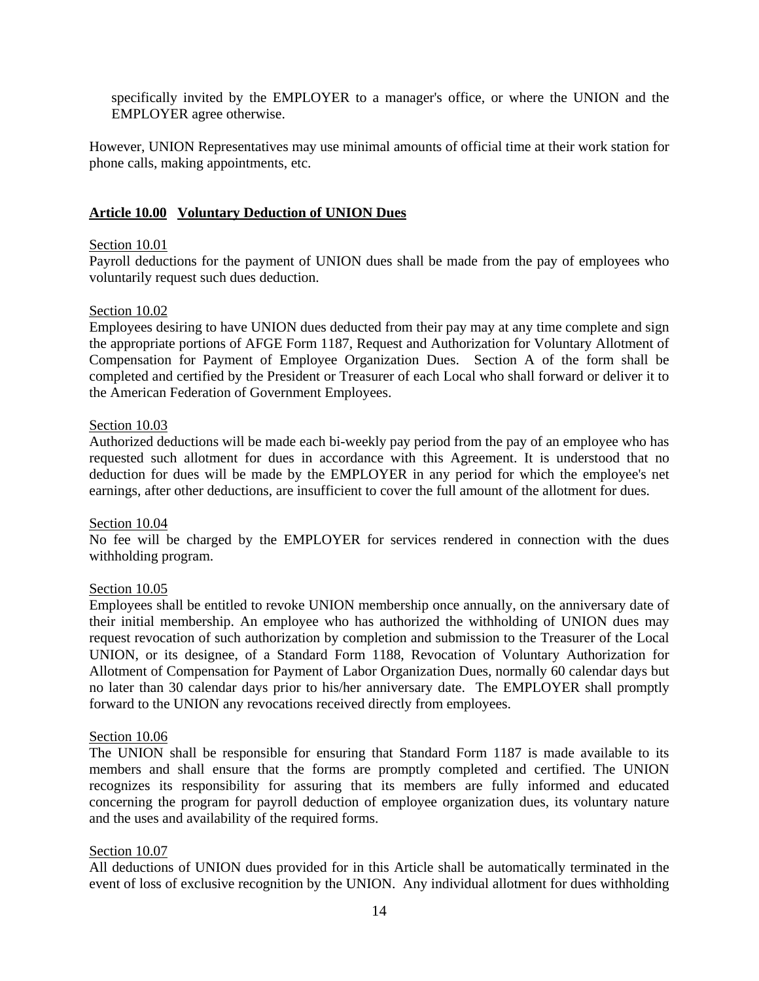specifically invited by the EMPLOYER to a manager's office, or where the UNION and the EMPLOYER agree otherwise.

However, UNION Representatives may use minimal amounts of official time at their work station for phone calls, making appointments, etc.

### **Article 10.00 Voluntary Deduction of UNION Dues**

### Section 10.01

Payroll deductions for the payment of UNION dues shall be made from the pay of employees who voluntarily request such dues deduction.

#### Section 10.02

Employees desiring to have UNION dues deducted from their pay may at any time complete and sign the appropriate portions of AFGE Form 1187, Request and Authorization for Voluntary Allotment of Compensation for Payment of Employee Organization Dues. Section A of the form shall be completed and certified by the President or Treasurer of each Local who shall forward or deliver it to the American Federation of Government Employees.

### Section 10.03

Authorized deductions will be made each bi-weekly pay period from the pay of an employee who has requested such allotment for dues in accordance with this Agreement. It is understood that no deduction for dues will be made by the EMPLOYER in any period for which the employee's net earnings, after other deductions, are insufficient to cover the full amount of the allotment for dues.

### Section 10.04

No fee will be charged by the EMPLOYER for services rendered in connection with the dues withholding program.

### Section 10.05

Employees shall be entitled to revoke UNION membership once annually, on the anniversary date of their initial membership. An employee who has authorized the withholding of UNION dues may request revocation of such authorization by completion and submission to the Treasurer of the Local UNION, or its designee, of a Standard Form 1188, Revocation of Voluntary Authorization for Allotment of Compensation for Payment of Labor Organization Dues, normally 60 calendar days but no later than 30 calendar days prior to his/her anniversary date. The EMPLOYER shall promptly forward to the UNION any revocations received directly from employees.

#### Section 10.06

The UNION shall be responsible for ensuring that Standard Form 1187 is made available to its members and shall ensure that the forms are promptly completed and certified. The UNION recognizes its responsibility for assuring that its members are fully informed and educated concerning the program for payroll deduction of employee organization dues, its voluntary nature and the uses and availability of the required forms.

### Section 10.07

All deductions of UNION dues provided for in this Article shall be automatically terminated in the event of loss of exclusive recognition by the UNION. Any individual allotment for dues withholding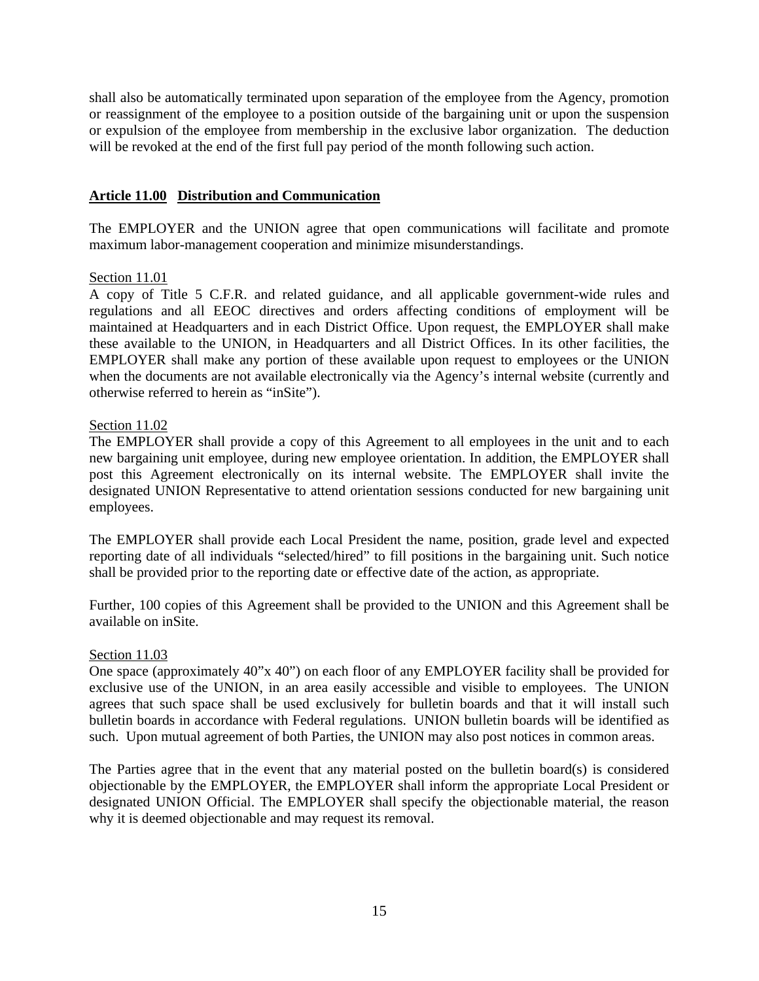shall also be automatically terminated upon separation of the employee from the Agency, promotion or reassignment of the employee to a position outside of the bargaining unit or upon the suspension or expulsion of the employee from membership in the exclusive labor organization. The deduction will be revoked at the end of the first full pay period of the month following such action.

### **Article 11.00 Distribution and Communication**

The EMPLOYER and the UNION agree that open communications will facilitate and promote maximum labor-management cooperation and minimize misunderstandings.

### Section 11.01

A copy of Title 5 C.F.R. and related guidance, and all applicable government-wide rules and regulations and all EEOC directives and orders affecting conditions of employment will be maintained at Headquarters and in each District Office. Upon request, the EMPLOYER shall make these available to the UNION, in Headquarters and all District Offices. In its other facilities, the EMPLOYER shall make any portion of these available upon request to employees or the UNION when the documents are not available electronically via the Agency's internal website (currently and otherwise referred to herein as "inSite").

### Section 11.02

The EMPLOYER shall provide a copy of this Agreement to all employees in the unit and to each new bargaining unit employee, during new employee orientation. In addition, the EMPLOYER shall post this Agreement electronically on its internal website. The EMPLOYER shall invite the designated UNION Representative to attend orientation sessions conducted for new bargaining unit employees.

The EMPLOYER shall provide each Local President the name, position, grade level and expected reporting date of all individuals "selected/hired" to fill positions in the bargaining unit. Such notice shall be provided prior to the reporting date or effective date of the action, as appropriate.

Further, 100 copies of this Agreement shall be provided to the UNION and this Agreement shall be available on inSite.

### Section 11.03

One space (approximately 40"x 40") on each floor of any EMPLOYER facility shall be provided for exclusive use of the UNION, in an area easily accessible and visible to employees. The UNION agrees that such space shall be used exclusively for bulletin boards and that it will install such bulletin boards in accordance with Federal regulations. UNION bulletin boards will be identified as such. Upon mutual agreement of both Parties, the UNION may also post notices in common areas.

The Parties agree that in the event that any material posted on the bulletin board(s) is considered objectionable by the EMPLOYER, the EMPLOYER shall inform the appropriate Local President or designated UNION Official. The EMPLOYER shall specify the objectionable material, the reason why it is deemed objectionable and may request its removal.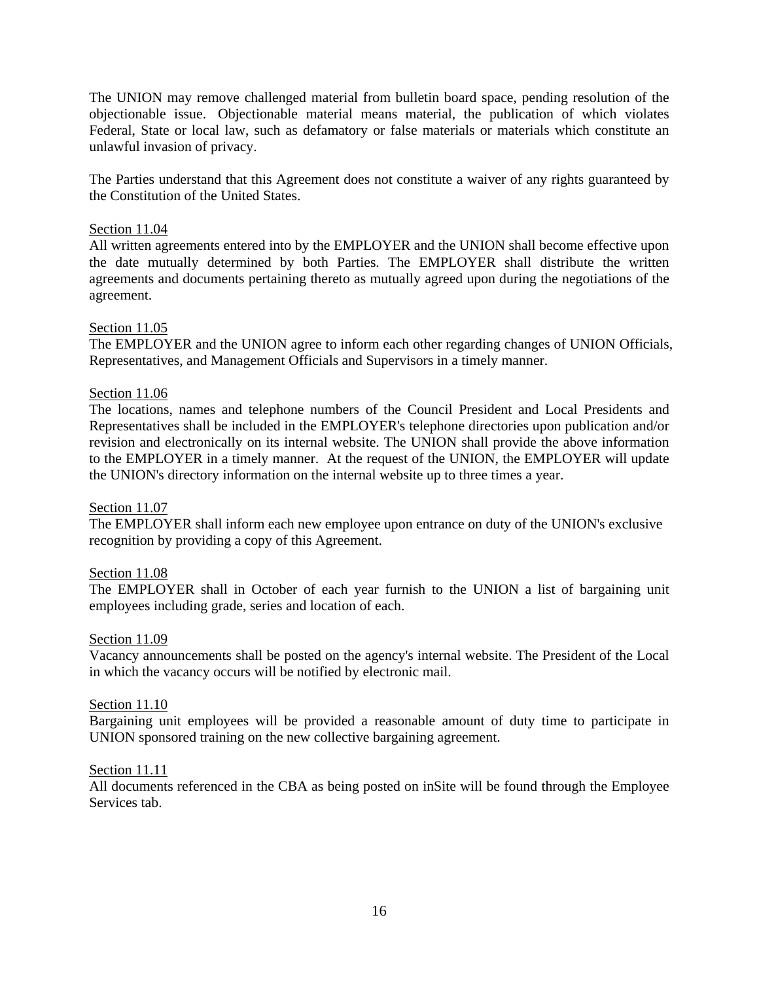The UNION may remove challenged material from bulletin board space, pending resolution of the objectionable issue. Objectionable material means material, the publication of which violates Federal, State or local law, such as defamatory or false materials or materials which constitute an unlawful invasion of privacy.

The Parties understand that this Agreement does not constitute a waiver of any rights guaranteed by the Constitution of the United States.

### Section 11.04

All written agreements entered into by the EMPLOYER and the UNION shall become effective upon the date mutually determined by both Parties. The EMPLOYER shall distribute the written agreements and documents pertaining thereto as mutually agreed upon during the negotiations of the agreement.

### Section 11.05

The EMPLOYER and the UNION agree to inform each other regarding changes of UNION Officials, Representatives, and Management Officials and Supervisors in a timely manner.

### Section 11.06

The locations, names and telephone numbers of the Council President and Local Presidents and Representatives shall be included in the EMPLOYER's telephone directories upon publication and/or revision and electronically on its internal website. The UNION shall provide the above information to the EMPLOYER in a timely manner. At the request of the UNION, the EMPLOYER will update the UNION's directory information on the internal website up to three times a year.

### Section 11.07

The EMPLOYER shall inform each new employee upon entrance on duty of the UNION's exclusive recognition by providing a copy of this Agreement.

# Section 11.08

The EMPLOYER shall in October of each year furnish to the UNION a list of bargaining unit employees including grade, series and location of each.

### Section 11.09

Vacancy announcements shall be posted on the agency's internal website. The President of the Local in which the vacancy occurs will be notified by electronic mail.

### Section 11.10

Bargaining unit employees will be provided a reasonable amount of duty time to participate in UNION sponsored training on the new collective bargaining agreement.

### Section 11.11

All documents referenced in the CBA as being posted on inSite will be found through the Employee Services tab.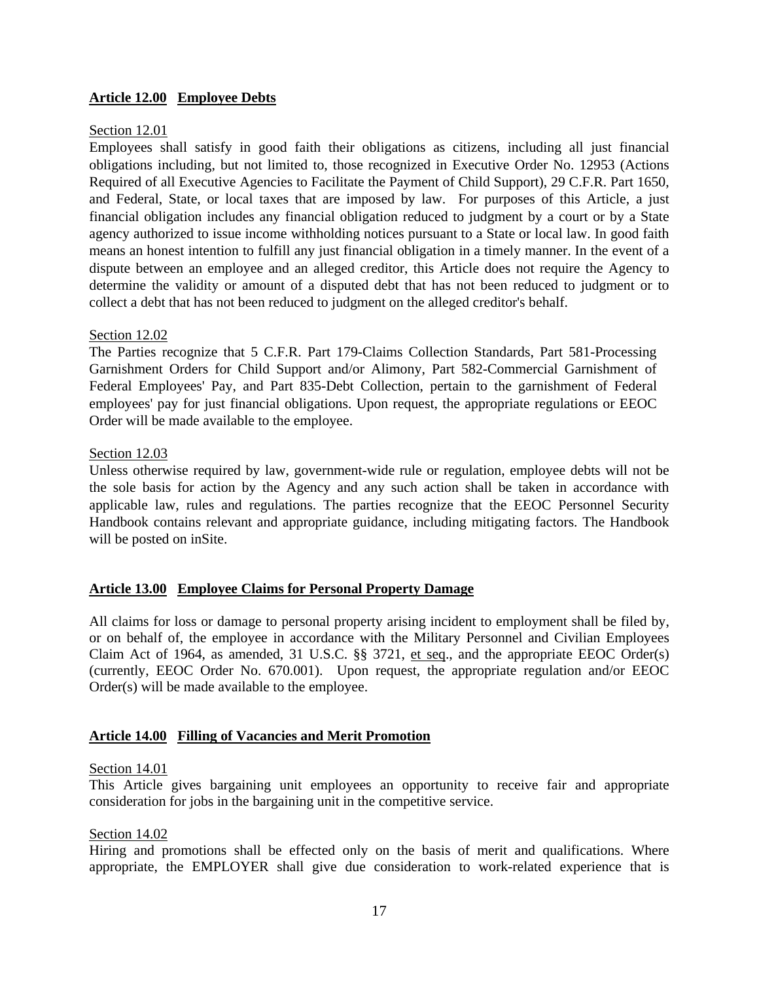# **Article 12.00 Employee Debts**

#### Section 12.01

Employees shall satisfy in good faith their obligations as citizens, including all just financial obligations including, but not limited to, those recognized in Executive Order No. 12953 (Actions Required of all Executive Agencies to Facilitate the Payment of Child Support), 29 C.F.R. Part 1650, and Federal, State, or local taxes that are imposed by law. For purposes of this Article, a just financial obligation includes any financial obligation reduced to judgment by a court or by a State agency authorized to issue income withholding notices pursuant to a State or local law. In good faith means an honest intention to fulfill any just financial obligation in a timely manner. In the event of a dispute between an employee and an alleged creditor, this Article does not require the Agency to determine the validity or amount of a disputed debt that has not been reduced to judgment or to collect a debt that has not been reduced to judgment on the alleged creditor's behalf.

#### Section 12.02

The Parties recognize that 5 C.F.R. Part 179-Claims Collection Standards, Part 581-Processing Garnishment Orders for Child Support and/or Alimony, Part 582-Commercial Garnishment of Federal Employees' Pay, and Part 835-Debt Collection, pertain to the garnishment of Federal employees' pay for just financial obligations. Upon request, the appropriate regulations or EEOC Order will be made available to the employee.

#### Section 12.03

Unless otherwise required by law, government-wide rule or regulation, employee debts will not be the sole basis for action by the Agency and any such action shall be taken in accordance with applicable law, rules and regulations. The parties recognize that the EEOC Personnel Security Handbook contains relevant and appropriate guidance, including mitigating factors. The Handbook will be posted on inSite.

### **Article 13.00 Employee Claims for Personal Property Damage**

All claims for loss or damage to personal property arising incident to employment shall be filed by, or on behalf of, the employee in accordance with the Military Personnel and Civilian Employees Claim Act of 1964, as amended, 31 U.S.C. §§ 3721, et seq., and the appropriate EEOC Order(s) (currently, EEOC Order No. 670.001). Upon request, the appropriate regulation and/or EEOC Order(s) will be made available to the employee.

### **Article 14.00 Filling of Vacancies and Merit Promotion**

### Section 14.01

This Article gives bargaining unit employees an opportunity to receive fair and appropriate consideration for jobs in the bargaining unit in the competitive service.

### Section 14.02

Hiring and promotions shall be effected only on the basis of merit and qualifications. Where appropriate, the EMPLOYER shall give due consideration to work-related experience that is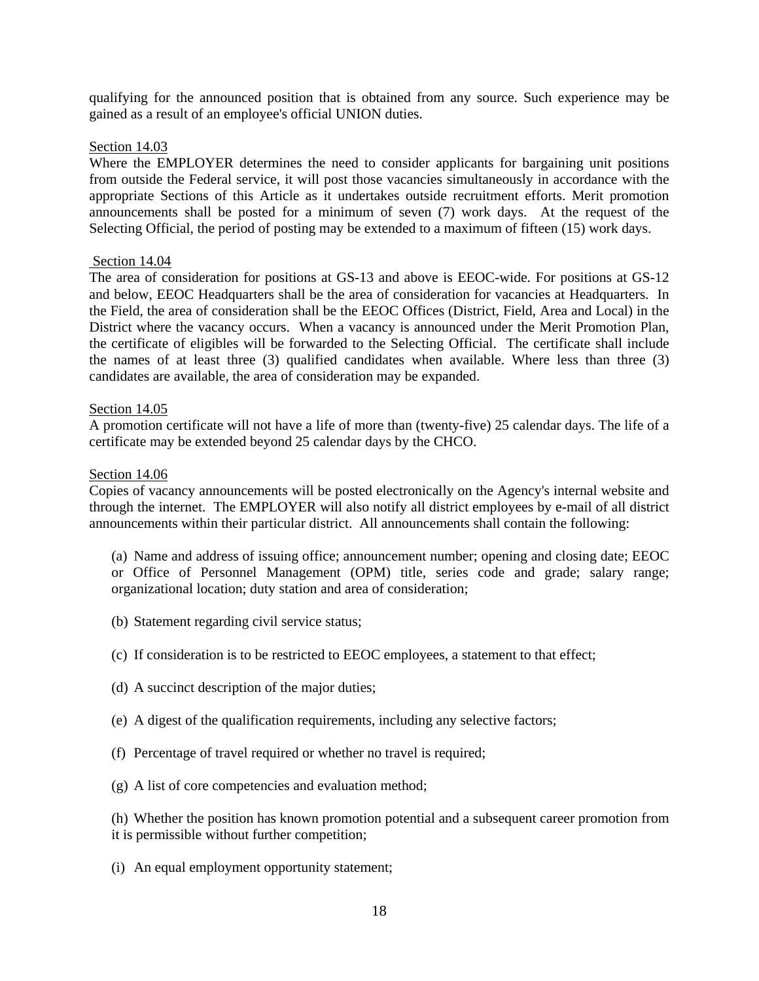qualifying for the announced position that is obtained from any source. Such experience may be gained as a result of an employee's official UNION duties.

### Section 14.03

Where the EMPLOYER determines the need to consider applicants for bargaining unit positions from outside the Federal service, it will post those vacancies simultaneously in accordance with the appropriate Sections of this Article as it undertakes outside recruitment efforts. Merit promotion announcements shall be posted for a minimum of seven (7) work days. At the request of the Selecting Official, the period of posting may be extended to a maximum of fifteen (15) work days.

### Section 14.04

The area of consideration for positions at GS-13 and above is EEOC-wide. For positions at GS-12 and below, EEOC Headquarters shall be the area of consideration for vacancies at Headquarters. In the Field, the area of consideration shall be the EEOC Offices (District, Field, Area and Local) in the District where the vacancy occurs. When a vacancy is announced under the Merit Promotion Plan, the certificate of eligibles will be forwarded to the Selecting Official. The certificate shall include the names of at least three (3) qualified candidates when available. Where less than three (3) candidates are available, the area of consideration may be expanded.

### Section 14.05

A promotion certificate will not have a life of more than (twenty-five) 25 calendar days. The life of a certificate may be extended beyond 25 calendar days by the CHCO.

### Section 14.06

Copies of vacancy announcements will be posted electronically on the Agency's internal website and through the internet. The EMPLOYER will also notify all district employees by e-mail of all district announcements within their particular district. All announcements shall contain the following:

- (a) Name and address of issuing office; announcement number; opening and closing date; EEOC or Office of Personnel Management (OPM) title, series code and grade; salary range; organizational location; duty station and area of consideration;
- (b) Statement regarding civil service status;
- (c) If consideration is to be restricted to EEOC employees, a statement to that effect;
- (d) A succinct description of the major duties;
- (e) A digest of the qualification requirements, including any selective factors;
- (f) Percentage of travel required or whether no travel is required;
- (g) A list of core competencies and evaluation method;

(h) Whether the position has known promotion potential and a subsequent career promotion from it is permissible without further competition;

(i) An equal employment opportunity statement;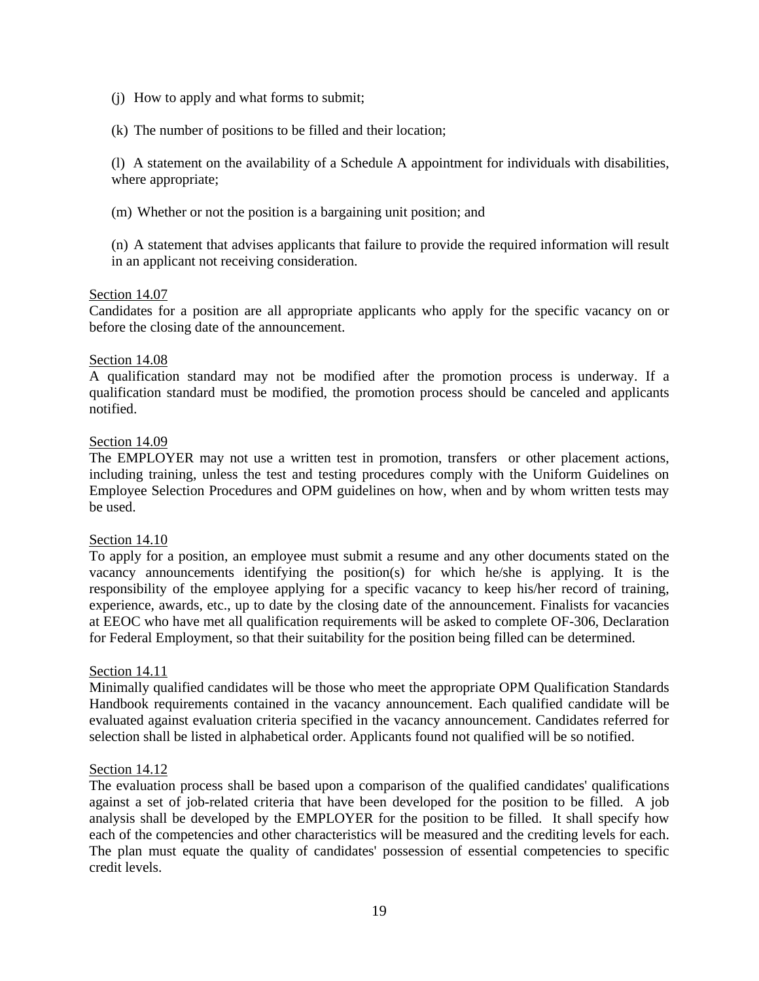- (j) How to apply and what forms to submit;
- (k) The number of positions to be filled and their location;

(l) A statement on the availability of a Schedule A appointment for individuals with disabilities, where appropriate;

(m) Whether or not the position is a bargaining unit position; and

(n) A statement that advises applicants that failure to provide the required information will result in an applicant not receiving consideration.

### Section 14.07

Candidates for a position are all appropriate applicants who apply for the specific vacancy on or before the closing date of the announcement.

### Section 14.08

A qualification standard may not be modified after the promotion process is underway. If a qualification standard must be modified, the promotion process should be canceled and applicants notified.

### Section 14.09

The EMPLOYER may not use a written test in promotion, transfers or other placement actions, including training, unless the test and testing procedures comply with the Uniform Guidelines on Employee Selection Procedures and OPM guidelines on how, when and by whom written tests may be used.

### Section 14.10

To apply for a position, an employee must submit a resume and any other documents stated on the vacancy announcements identifying the position(s) for which he/she is applying. It is the responsibility of the employee applying for a specific vacancy to keep his/her record of training, experience, awards, etc., up to date by the closing date of the announcement. Finalists for vacancies at EEOC who have met all qualification requirements will be asked to complete OF-306, Declaration for Federal Employment, so that their suitability for the position being filled can be determined.

# Section 14.11

Minimally qualified candidates will be those who meet the appropriate OPM Qualification Standards Handbook requirements contained in the vacancy announcement. Each qualified candidate will be evaluated against evaluation criteria specified in the vacancy announcement. Candidates referred for selection shall be listed in alphabetical order. Applicants found not qualified will be so notified.

### Section 14.12

The evaluation process shall be based upon a comparison of the qualified candidates' qualifications against a set of job-related criteria that have been developed for the position to be filled. A job analysis shall be developed by the EMPLOYER for the position to be filled. It shall specify how each of the competencies and other characteristics will be measured and the crediting levels for each. The plan must equate the quality of candidates' possession of essential competencies to specific credit levels.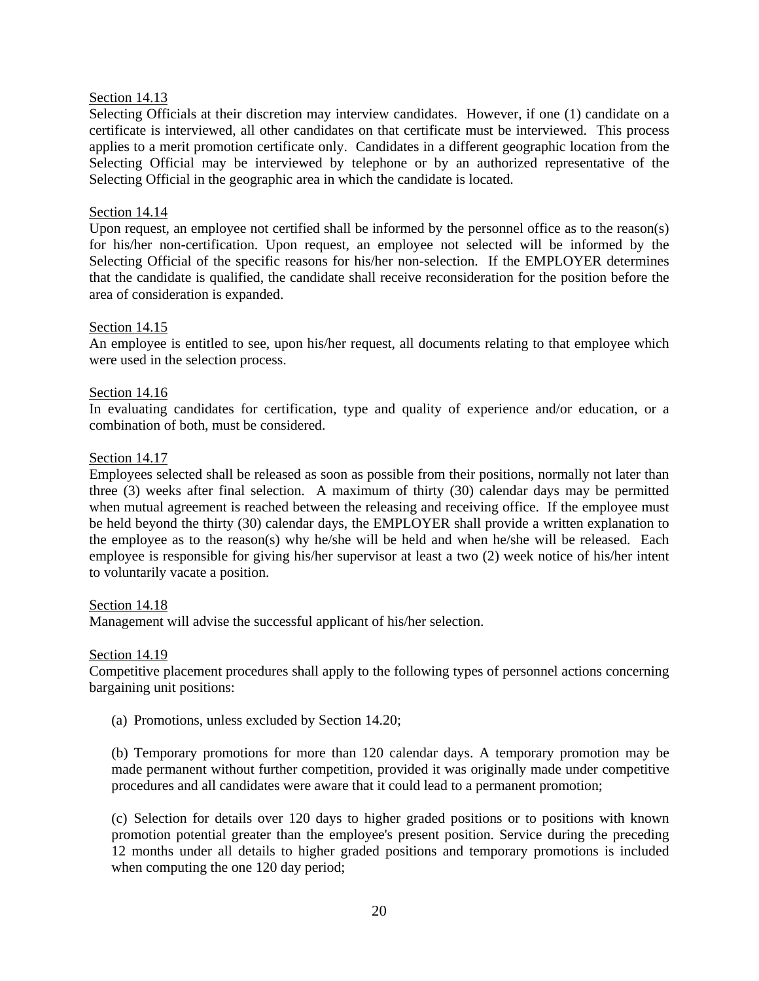### Section 14.13

Selecting Officials at their discretion may interview candidates. However, if one (1) candidate on a certificate is interviewed, all other candidates on that certificate must be interviewed. This process applies to a merit promotion certificate only. Candidates in a different geographic location from the Selecting Official may be interviewed by telephone or by an authorized representative of the Selecting Official in the geographic area in which the candidate is located.

### Section 14.14

Upon request, an employee not certified shall be informed by the personnel office as to the reason(s) for his/her non-certification. Upon request, an employee not selected will be informed by the Selecting Official of the specific reasons for his/her non-selection. If the EMPLOYER determines that the candidate is qualified, the candidate shall receive reconsideration for the position before the area of consideration is expanded.

### Section 14.15

An employee is entitled to see, upon his/her request, all documents relating to that employee which were used in the selection process.

### Section 14.16

In evaluating candidates for certification, type and quality of experience and/or education, or a combination of both, must be considered.

### Section 14.17

Employees selected shall be released as soon as possible from their positions, normally not later than three (3) weeks after final selection. A maximum of thirty (30) calendar days may be permitted when mutual agreement is reached between the releasing and receiving office. If the employee must be held beyond the thirty (30) calendar days, the EMPLOYER shall provide a written explanation to the employee as to the reason(s) why he/she will be held and when he/she will be released. Each employee is responsible for giving his/her supervisor at least a two (2) week notice of his/her intent to voluntarily vacate a position.

### Section 14.18

Management will advise the successful applicant of his/her selection.

### Section 14.19

Competitive placement procedures shall apply to the following types of personnel actions concerning bargaining unit positions:

(a) Promotions, unless excluded by Section 14.20;

(b) Temporary promotions for more than 120 calendar days. A temporary promotion may be made permanent without further competition, provided it was originally made under competitive procedures and all candidates were aware that it could lead to a permanent promotion;

(c) Selection for details over 120 days to higher graded positions or to positions with known promotion potential greater than the employee's present position. Service during the preceding 12 months under all details to higher graded positions and temporary promotions is included when computing the one 120 day period;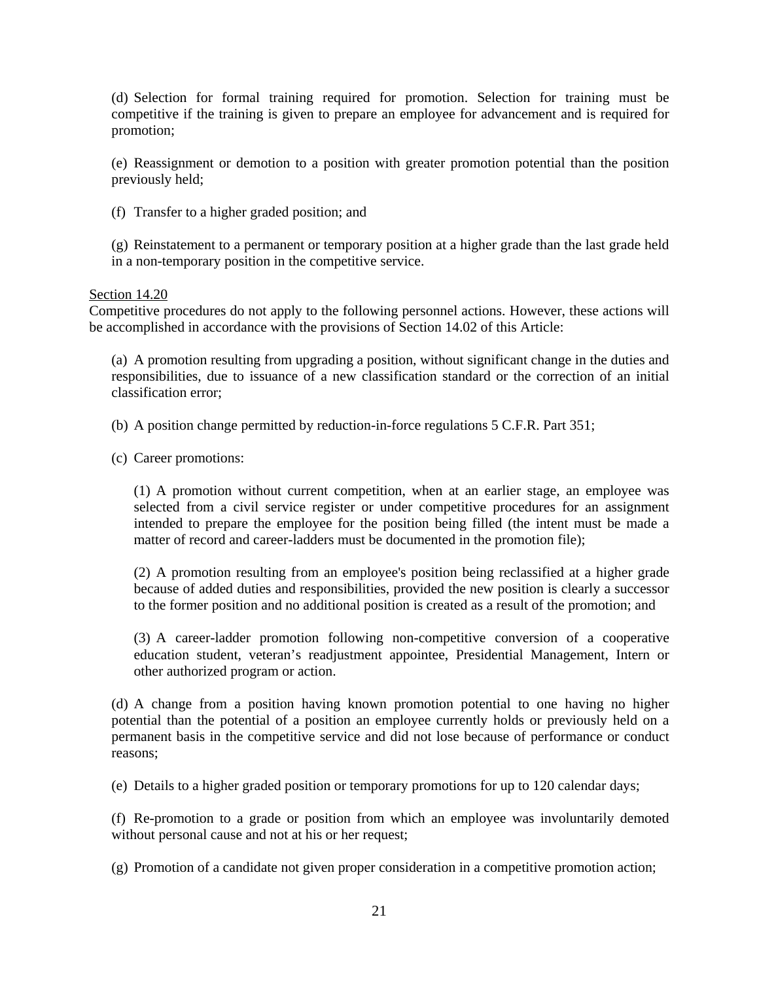(d) Selection for formal training required for promotion. Selection for training must be competitive if the training is given to prepare an employee for advancement and is required for promotion;

(e) Reassignment or demotion to a position with greater promotion potential than the position previously held;

(f) Transfer to a higher graded position; and

(g) Reinstatement to a permanent or temporary position at a higher grade than the last grade held in a non-temporary position in the competitive service.

### Section 14.20

Competitive procedures do not apply to the following personnel actions. However, these actions will be accomplished in accordance with the provisions of Section 14.02 of this Article:

(a) A promotion resulting from upgrading a position, without significant change in the duties and responsibilities, due to issuance of a new classification standard or the correction of an initial classification error;

(b) A position change permitted by reduction-in-force regulations 5 C.F.R. Part 351;

(c) Career promotions:

(1) A promotion without current competition, when at an earlier stage, an employee was selected from a civil service register or under competitive procedures for an assignment intended to prepare the employee for the position being filled (the intent must be made a matter of record and career-ladders must be documented in the promotion file);

(2) A promotion resulting from an employee's position being reclassified at a higher grade because of added duties and responsibilities, provided the new position is clearly a successor to the former position and no additional position is created as a result of the promotion; and

(3) A career-ladder promotion following non-competitive conversion of a cooperative education student, veteran's readjustment appointee, Presidential Management, Intern or other authorized program or action.

(d) A change from a position having known promotion potential to one having no higher potential than the potential of a position an employee currently holds or previously held on a permanent basis in the competitive service and did not lose because of performance or conduct reasons;

(e) Details to a higher graded position or temporary promotions for up to 120 calendar days;

(f) Re-promotion to a grade or position from which an employee was involuntarily demoted without personal cause and not at his or her request;

(g) Promotion of a candidate not given proper consideration in a competitive promotion action;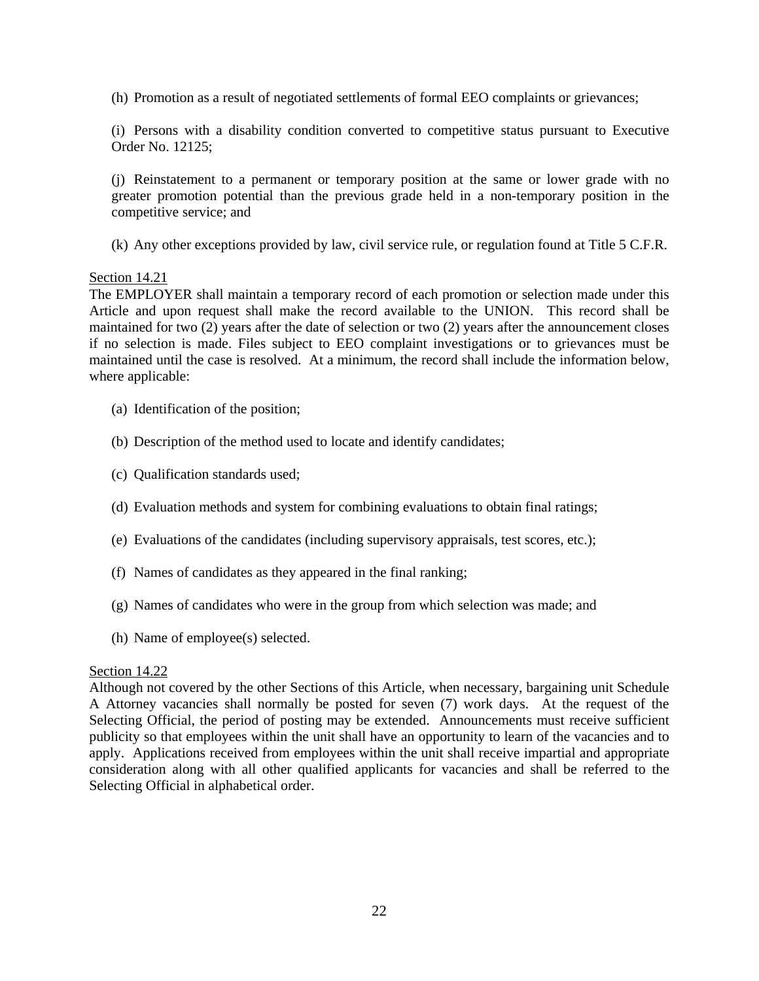(h) Promotion as a result of negotiated settlements of formal EEO complaints or grievances;

(i) Persons with a disability condition converted to competitive status pursuant to Executive Order No. 12125;

(j) Reinstatement to a permanent or temporary position at the same or lower grade with no greater promotion potential than the previous grade held in a non-temporary position in the competitive service; and

(k) Any other exceptions provided by law, civil service rule, or regulation found at Title 5 C.F.R.

### Section 14.21

The EMPLOYER shall maintain a temporary record of each promotion or selection made under this Article and upon request shall make the record available to the UNION. This record shall be maintained for two (2) years after the date of selection or two (2) years after the announcement closes if no selection is made. Files subject to EEO complaint investigations or to grievances must be maintained until the case is resolved. At a minimum, the record shall include the information below, where applicable:

- (a) Identification of the position;
- (b) Description of the method used to locate and identify candidates;
- (c) Qualification standards used;
- (d) Evaluation methods and system for combining evaluations to obtain final ratings;
- (e) Evaluations of the candidates (including supervisory appraisals, test scores, etc.);
- (f) Names of candidates as they appeared in the final ranking;
- (g) Names of candidates who were in the group from which selection was made; and
- (h) Name of employee(s) selected.

### Section 14.22

Although not covered by the other Sections of this Article, when necessary, bargaining unit Schedule A Attorney vacancies shall normally be posted for seven (7) work days. At the request of the Selecting Official, the period of posting may be extended. Announcements must receive sufficient publicity so that employees within the unit shall have an opportunity to learn of the vacancies and to apply. Applications received from employees within the unit shall receive impartial and appropriate consideration along with all other qualified applicants for vacancies and shall be referred to the Selecting Official in alphabetical order.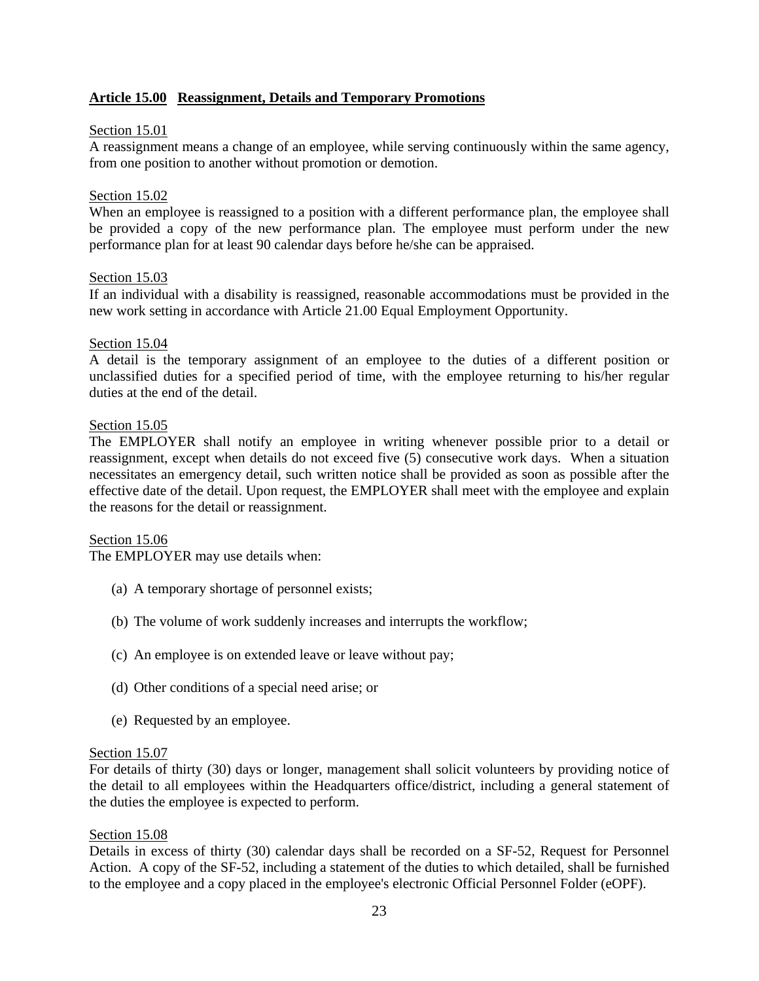# **Article 15.00 Reassignment, Details and Temporary Promotions**

### Section 15.01

A reassignment means a change of an employee, while serving continuously within the same agency, from one position to another without promotion or demotion.

### Section 15.02

When an employee is reassigned to a position with a different performance plan, the employee shall be provided a copy of the new performance plan. The employee must perform under the new performance plan for at least 90 calendar days before he/she can be appraised.

### Section 15.03

If an individual with a disability is reassigned, reasonable accommodations must be provided in the new work setting in accordance with Article 21.00 Equal Employment Opportunity.

### Section 15.04

A detail is the temporary assignment of an employee to the duties of a different position or unclassified duties for a specified period of time, with the employee returning to his/her regular duties at the end of the detail.

### Section 15.05

The EMPLOYER shall notify an employee in writing whenever possible prior to a detail or reassignment, except when details do not exceed five (5) consecutive work days. When a situation necessitates an emergency detail, such written notice shall be provided as soon as possible after the effective date of the detail. Upon request, the EMPLOYER shall meet with the employee and explain the reasons for the detail or reassignment.

### Section 15.06

The EMPLOYER may use details when:

- (a) A temporary shortage of personnel exists;
- (b) The volume of work suddenly increases and interrupts the workflow;
- (c) An employee is on extended leave or leave without pay;
- (d) Other conditions of a special need arise; or
- (e) Requested by an employee.

### Section 15.07

For details of thirty (30) days or longer, management shall solicit volunteers by providing notice of the detail to all employees within the Headquarters office/district, including a general statement of the duties the employee is expected to perform.

### Section 15.08

Details in excess of thirty (30) calendar days shall be recorded on a SF-52, Request for Personnel Action. A copy of the SF-52, including a statement of the duties to which detailed, shall be furnished to the employee and a copy placed in the employee's electronic Official Personnel Folder (eOPF).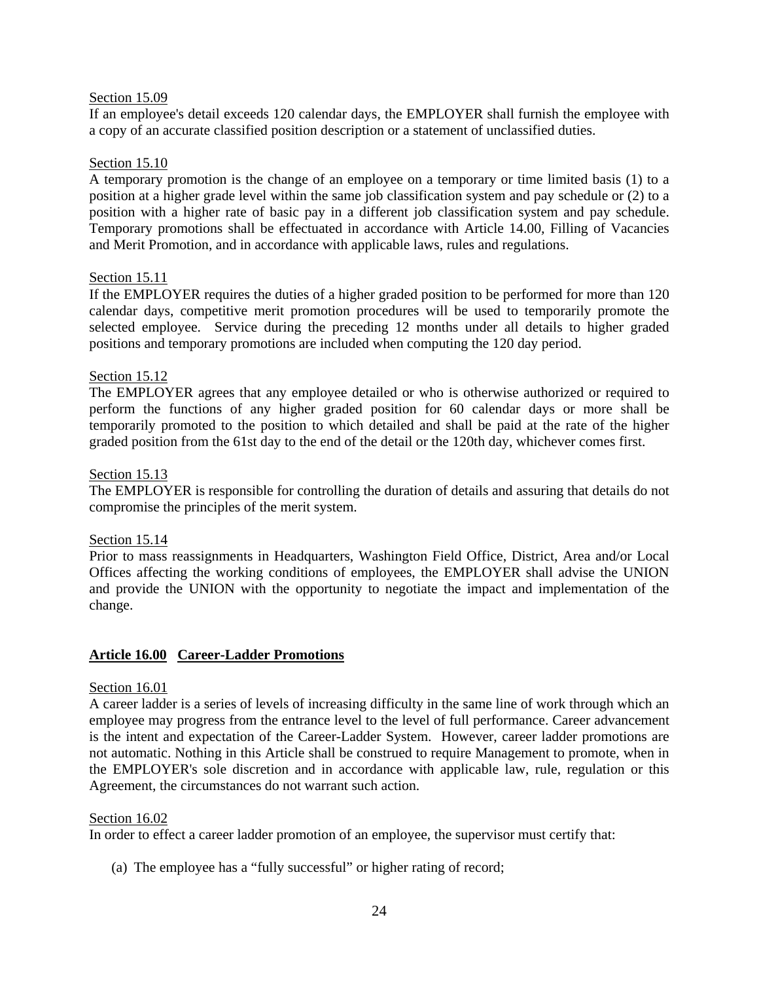### Section 15.09

If an employee's detail exceeds 120 calendar days, the EMPLOYER shall furnish the employee with a copy of an accurate classified position description or a statement of unclassified duties.

### Section 15.10

A temporary promotion is the change of an employee on a temporary or time limited basis (1) to a position at a higher grade level within the same job classification system and pay schedule or (2) to a position with a higher rate of basic pay in a different job classification system and pay schedule. Temporary promotions shall be effectuated in accordance with Article 14.00*,* Filling of Vacancies and Merit Promotion, and in accordance with applicable laws, rules and regulations.

### Section 15.11

If the EMPLOYER requires the duties of a higher graded position to be performed for more than 120 calendar days, competitive merit promotion procedures will be used to temporarily promote the selected employee. Service during the preceding 12 months under all details to higher graded positions and temporary promotions are included when computing the 120 day period.

### Section 15.12

The EMPLOYER agrees that any employee detailed or who is otherwise authorized or required to perform the functions of any higher graded position for 60 calendar days or more shall be temporarily promoted to the position to which detailed and shall be paid at the rate of the higher graded position from the 61st day to the end of the detail or the 120th day, whichever comes first.

### Section 15.13

The EMPLOYER is responsible for controlling the duration of details and assuring that details do not compromise the principles of the merit system.

### Section 15.14

Prior to mass reassignments in Headquarters, Washington Field Office, District, Area and/or Local Offices affecting the working conditions of employees, the EMPLOYER shall advise the UNION and provide the UNION with the opportunity to negotiate the impact and implementation of the change.

### **Article 16.00 Career-Ladder Promotions**

### Section 16.01

A career ladder is a series of levels of increasing difficulty in the same line of work through which an employee may progress from the entrance level to the level of full performance. Career advancement is the intent and expectation of the Career-Ladder System. However, career ladder promotions are not automatic. Nothing in this Article shall be construed to require Management to promote, when in the EMPLOYER's sole discretion and in accordance with applicable law, rule, regulation or this Agreement, the circumstances do not warrant such action.

### Section 16.02

In order to effect a career ladder promotion of an employee, the supervisor must certify that:

(a) The employee has a "fully successful" or higher rating of record;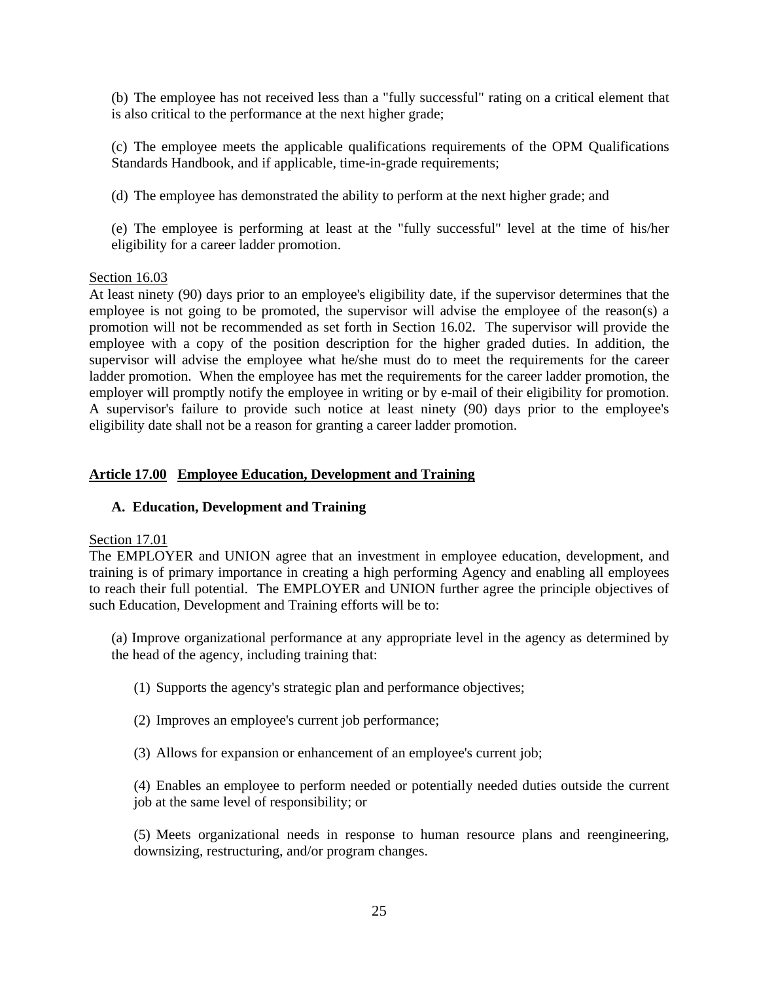(b) The employee has not received less than a "fully successful" rating on a critical element that is also critical to the performance at the next higher grade;

(c) The employee meets the applicable qualifications requirements of the OPM Qualifications Standards Handbook, and if applicable, time-in-grade requirements;

(d) The employee has demonstrated the ability to perform at the next higher grade; and

(e) The employee is performing at least at the "fully successful" level at the time of his/her eligibility for a career ladder promotion.

# Section 16.03

At least ninety (90) days prior to an employee's eligibility date, if the supervisor determines that the employee is not going to be promoted, the supervisor will advise the employee of the reason(s) a promotion will not be recommended as set forth in Section 16.02. The supervisor will provide the employee with a copy of the position description for the higher graded duties. In addition, the supervisor will advise the employee what he/she must do to meet the requirements for the career ladder promotion. When the employee has met the requirements for the career ladder promotion, the employer will promptly notify the employee in writing or by e-mail of their eligibility for promotion. A supervisor's failure to provide such notice at least ninety (90) days prior to the employee's eligibility date shall not be a reason for granting a career ladder promotion.

### **Article 17.00 Employee Education, Development and Training**

# **A. Education, Development and Training**

### Section 17.01

The EMPLOYER and UNION agree that an investment in employee education, development, and training is of primary importance in creating a high performing Agency and enabling all employees to reach their full potential. The EMPLOYER and UNION further agree the principle objectives of such Education, Development and Training efforts will be to:

(a) Improve organizational performance at any appropriate level in the agency as determined by the head of the agency, including training that:

- (1) Supports the agency's strategic plan and performance objectives;
- (2) Improves an employee's current job performance;
- (3) Allows for expansion or enhancement of an employee's current job;

(4) Enables an employee to perform needed or potentially needed duties outside the current job at the same level of responsibility; or

(5) Meets organizational needs in response to human resource plans and reengineering, downsizing, restructuring, and/or program changes.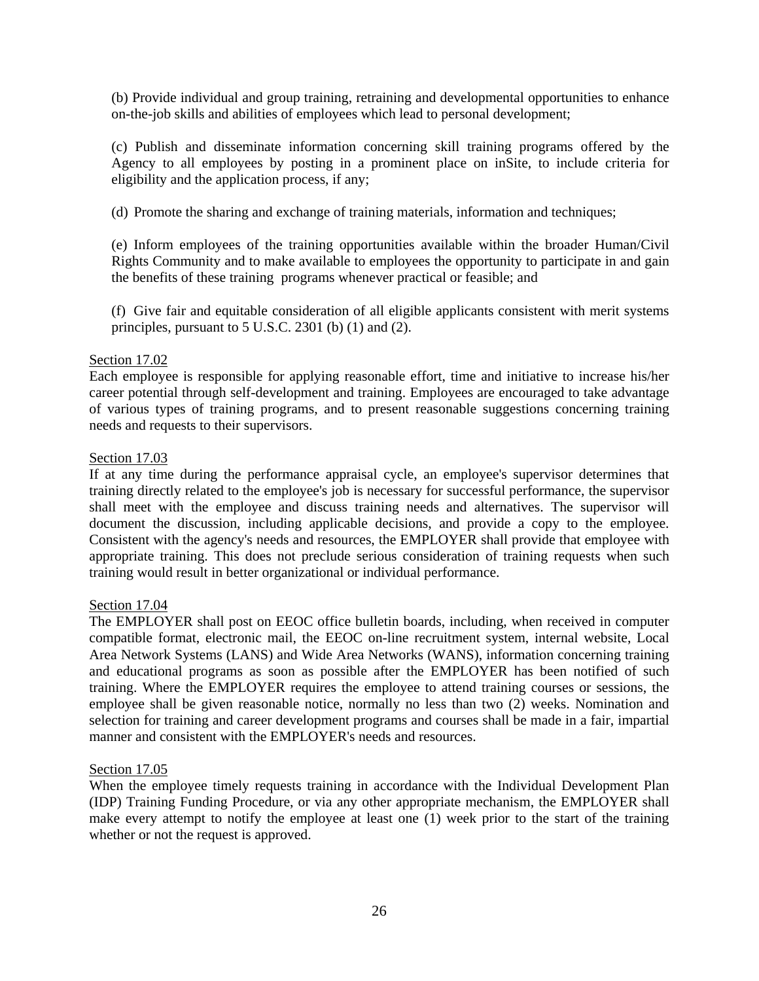(b) Provide individual and group training, retraining and developmental opportunities to enhance on-the-job skills and abilities of employees which lead to personal development;

(c) Publish and disseminate information concerning skill training programs offered by the Agency to all employees by posting in a prominent place on inSite, to include criteria for eligibility and the application process, if any;

(d) Promote the sharing and exchange of training materials, information and techniques;

(e) Inform employees of the training opportunities available within the broader Human/Civil Rights Community and to make available to employees the opportunity to participate in and gain the benefits of these training programs whenever practical or feasible; and

(f) Give fair and equitable consideration of all eligible applicants consistent with merit systems principles, pursuant to  $5$  U.S.C. 2301 (b) (1) and (2).

### Section 17.02

Each employee is responsible for applying reasonable effort, time and initiative to increase his/her career potential through self-development and training. Employees are encouraged to take advantage of various types of training programs, and to present reasonable suggestions concerning training needs and requests to their supervisors.

### Section 17.03

If at any time during the performance appraisal cycle, an employee's supervisor determines that training directly related to the employee's job is necessary for successful performance, the supervisor shall meet with the employee and discuss training needs and alternatives. The supervisor will document the discussion, including applicable decisions, and provide a copy to the employee. Consistent with the agency's needs and resources, the EMPLOYER shall provide that employee with appropriate training. This does not preclude serious consideration of training requests when such training would result in better organizational or individual performance.

### Section 17.04

The EMPLOYER shall post on EEOC office bulletin boards, including, when received in computer compatible format, electronic mail, the EEOC on-line recruitment system, internal website, Local Area Network Systems (LANS) and Wide Area Networks (WANS), information concerning training and educational programs as soon as possible after the EMPLOYER has been notified of such training. Where the EMPLOYER requires the employee to attend training courses or sessions, the employee shall be given reasonable notice, normally no less than two (2) weeks. Nomination and selection for training and career development programs and courses shall be made in a fair, impartial manner and consistent with the EMPLOYER's needs and resources.

### Section 17.05

When the employee timely requests training in accordance with the Individual Development Plan (IDP) Training Funding Procedure, or via any other appropriate mechanism, the EMPLOYER shall make every attempt to notify the employee at least one (1) week prior to the start of the training whether or not the request is approved.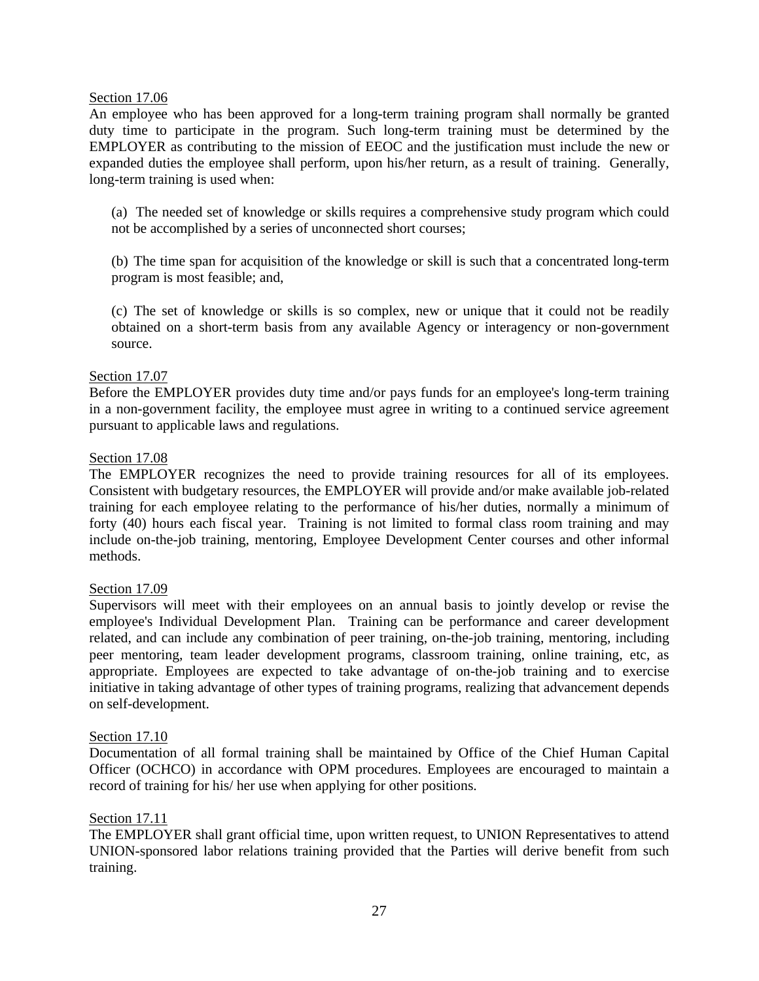### Section 17.06

An employee who has been approved for a long-term training program shall normally be granted duty time to participate in the program. Such long-term training must be determined by the EMPLOYER as contributing to the mission of EEOC and the justification must include the new or expanded duties the employee shall perform, upon his/her return, as a result of training. Generally, long-term training is used when:

(a) The needed set of knowledge or skills requires a comprehensive study program which could not be accomplished by a series of unconnected short courses;

(b) The time span for acquisition of the knowledge or skill is such that a concentrated long-term program is most feasible; and,

(c) The set of knowledge or skills is so complex, new or unique that it could not be readily obtained on a short-term basis from any available Agency or interagency or non-government source.

### Section 17.07

Before the EMPLOYER provides duty time and/or pays funds for an employee's long-term training in a non-government facility, the employee must agree in writing to a continued service agreement pursuant to applicable laws and regulations.

### Section 17.08

The EMPLOYER recognizes the need to provide training resources for all of its employees. Consistent with budgetary resources, the EMPLOYER will provide and/or make available job-related training for each employee relating to the performance of his/her duties, normally a minimum of forty (40) hours each fiscal year. Training is not limited to formal class room training and may include on-the-job training, mentoring, Employee Development Center courses and other informal methods.

# Section 17.09

Supervisors will meet with their employees on an annual basis to jointly develop or revise the employee's Individual Development Plan. Training can be performance and career development related, and can include any combination of peer training, on-the-job training, mentoring, including peer mentoring, team leader development programs, classroom training, online training, etc, as appropriate. Employees are expected to take advantage of on-the-job training and to exercise initiative in taking advantage of other types of training programs, realizing that advancement depends on self-development.

### Section 17.10

Documentation of all formal training shall be maintained by Office of the Chief Human Capital Officer (OCHCO) in accordance with OPM procedures. Employees are encouraged to maintain a record of training for his/ her use when applying for other positions.

### Section 17.11

The EMPLOYER shall grant official time, upon written request, to UNION Representatives to attend UNION-sponsored labor relations training provided that the Parties will derive benefit from such training.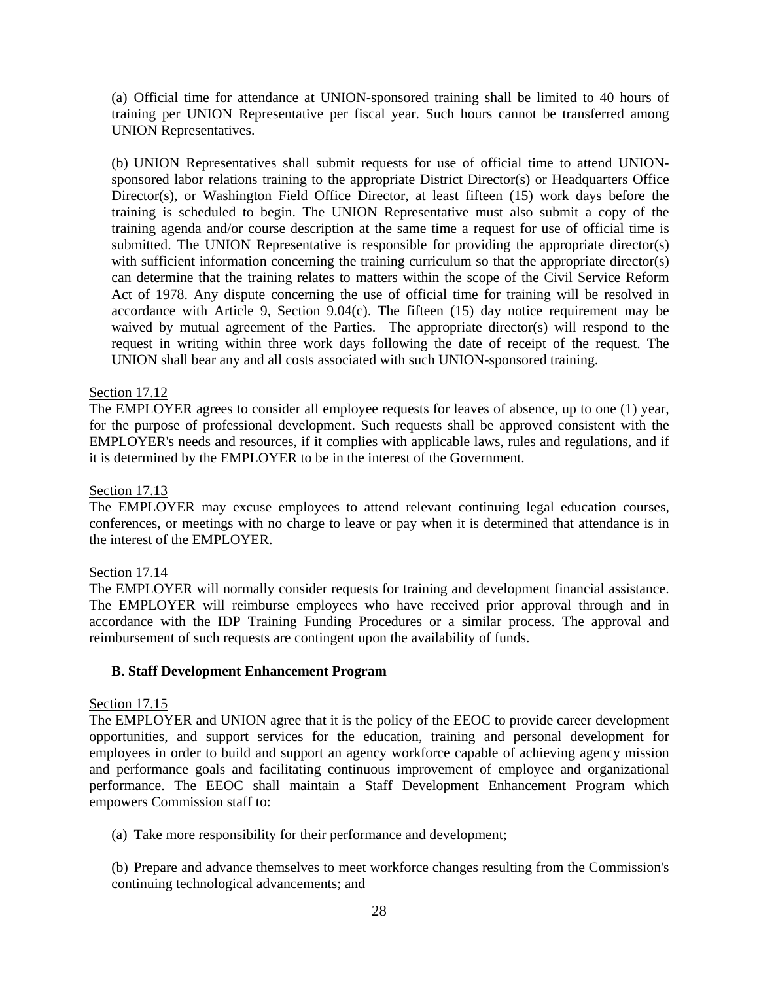(a) Official time for attendance at UNION-sponsored training shall be limited to 40 hours of training per UNION Representative per fiscal year. Such hours cannot be transferred among UNION Representatives.

(b) UNION Representatives shall submit requests for use of official time to attend UNIONsponsored labor relations training to the appropriate District Director(s) or Headquarters Office Director(s), or Washington Field Office Director, at least fifteen (15) work days before the training is scheduled to begin. The UNION Representative must also submit a copy of the training agenda and/or course description at the same time a request for use of official time is submitted. The UNION Representative is responsible for providing the appropriate director(s) with sufficient information concerning the training curriculum so that the appropriate director(s) can determine that the training relates to matters within the scope of the Civil Service Reform Act of 1978. Any dispute concerning the use of official time for training will be resolved in accordance with Article 9, Section  $9.04(c)$ . The fifteen (15) day notice requirement may be waived by mutual agreement of the Parties. The appropriate director(s) will respond to the request in writing within three work days following the date of receipt of the request. The UNION shall bear any and all costs associated with such UNION-sponsored training.

### Section 17.12

The EMPLOYER agrees to consider all employee requests for leaves of absence, up to one (1) year, for the purpose of professional development. Such requests shall be approved consistent with the EMPLOYER's needs and resources, if it complies with applicable laws, rules and regulations, and if it is determined by the EMPLOYER to be in the interest of the Government.

### Section 17.13

The EMPLOYER may excuse employees to attend relevant continuing legal education courses, conferences, or meetings with no charge to leave or pay when it is determined that attendance is in the interest of the EMPLOYER.

### Section 17.14

The EMPLOYER will normally consider requests for training and development financial assistance. The EMPLOYER will reimburse employees who have received prior approval through and in accordance with the IDP Training Funding Procedures or a similar process. The approval and reimbursement of such requests are contingent upon the availability of funds.

### **B. Staff Development Enhancement Program**

### Section 17.15

The EMPLOYER and UNION agree that it is the policy of the EEOC to provide career development opportunities, and support services for the education, training and personal development for employees in order to build and support an agency workforce capable of achieving agency mission and performance goals and facilitating continuous improvement of employee and organizational performance. The EEOC shall maintain a Staff Development Enhancement Program which empowers Commission staff to:

(a) Take more responsibility for their performance and development;

(b) Prepare and advance themselves to meet workforce changes resulting from the Commission's continuing technological advancements; and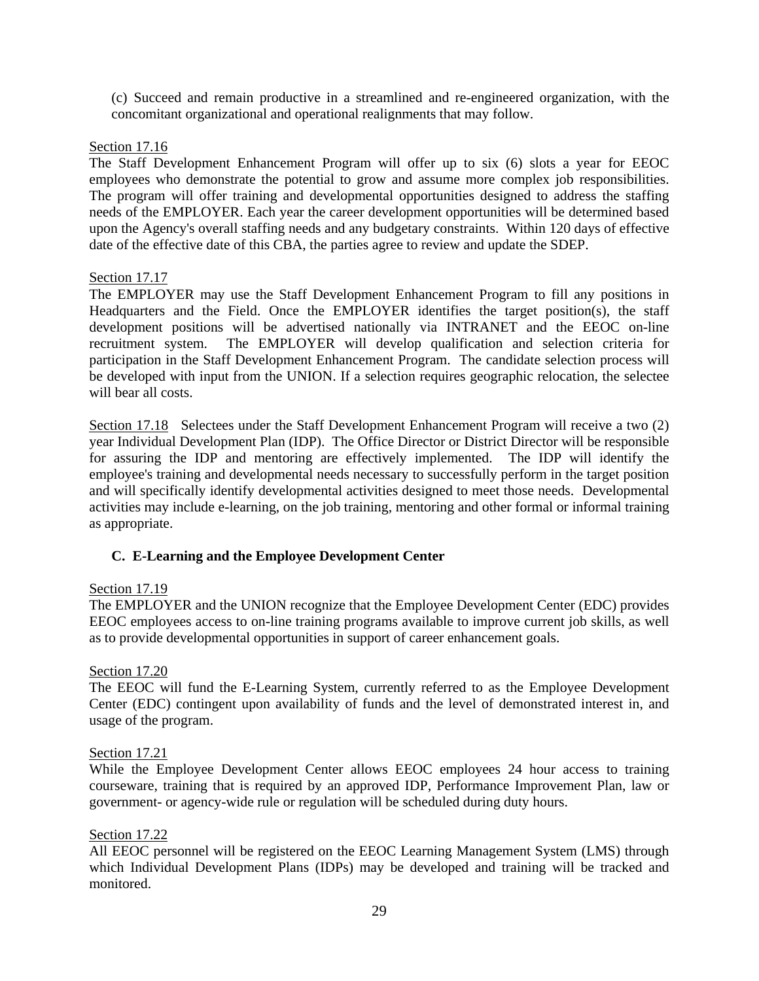(c) Succeed and remain productive in a streamlined and re-engineered organization, with the concomitant organizational and operational realignments that may follow.

# Section 17.16

The Staff Development Enhancement Program will offer up to six (6) slots a year for EEOC employees who demonstrate the potential to grow and assume more complex job responsibilities. The program will offer training and developmental opportunities designed to address the staffing needs of the EMPLOYER. Each year the career development opportunities will be determined based upon the Agency's overall staffing needs and any budgetary constraints. Within 120 days of effective date of the effective date of this CBA, the parties agree to review and update the SDEP.

### Section 17.17

The EMPLOYER may use the Staff Development Enhancement Program to fill any positions in Headquarters and the Field. Once the EMPLOYER identifies the target position(s), the staff development positions will be advertised nationally via INTRANET and the EEOC on-line recruitment system. The EMPLOYER will develop qualification and selection criteria for participation in the Staff Development Enhancement Program. The candidate selection process will be developed with input from the UNION. If a selection requires geographic relocation, the selectee will bear all costs.

Section 17.18 Selectees under the Staff Development Enhancement Program will receive a two (2) year Individual Development Plan (IDP). The Office Director or District Director will be responsible for assuring the IDP and mentoring are effectively implemented. The IDP will identify the employee's training and developmental needs necessary to successfully perform in the target position and will specifically identify developmental activities designed to meet those needs. Developmental activities may include e-learning, on the job training, mentoring and other formal or informal training as appropriate.

# **C. E-Learning and the Employee Development Center**

### Section 17.19

The EMPLOYER and the UNION recognize that the Employee Development Center (EDC) provides EEOC employees access to on-line training programs available to improve current job skills, as well as to provide developmental opportunities in support of career enhancement goals.

### Section 17.20

The EEOC will fund the E-Learning System, currently referred to as the Employee Development Center (EDC) contingent upon availability of funds and the level of demonstrated interest in, and usage of the program.

### Section 17.21

While the Employee Development Center allows EEOC employees 24 hour access to training courseware, training that is required by an approved IDP, Performance Improvement Plan, law or government- or agency-wide rule or regulation will be scheduled during duty hours.

### Section 17.22

All EEOC personnel will be registered on the EEOC Learning Management System (LMS) through which Individual Development Plans (IDPs) may be developed and training will be tracked and monitored.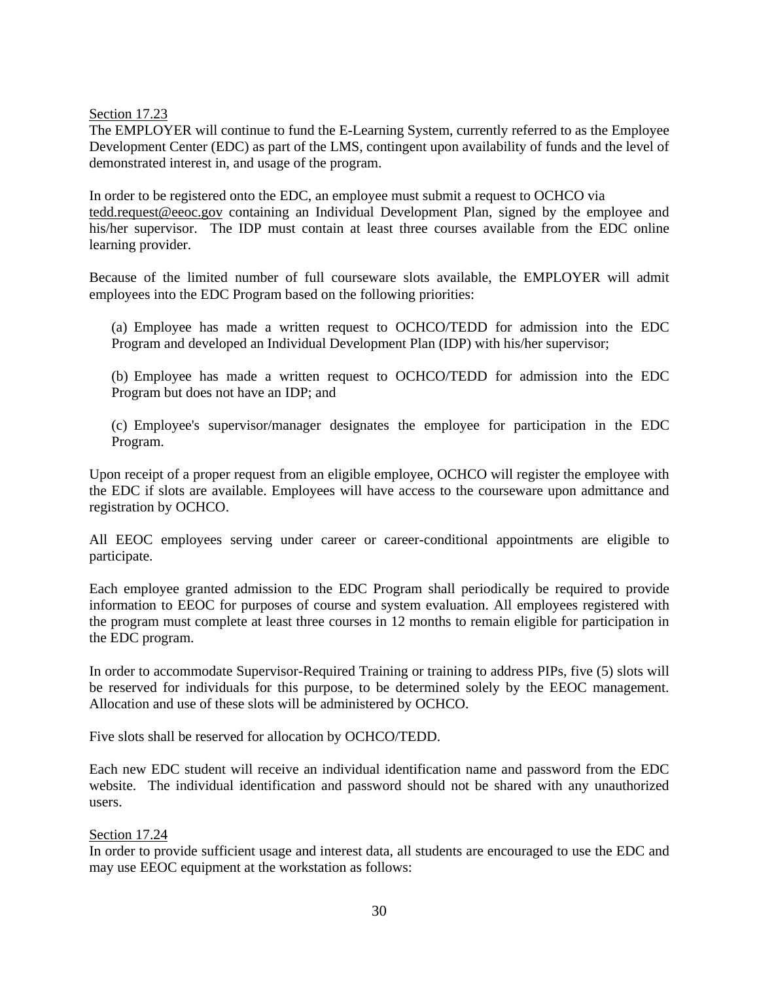Section 17.23

The EMPLOYER will continue to fund the E-Learning System, currently referred to as the Employee Development Center (EDC) as part of the LMS, contingent upon availability of funds and the level of demonstrated interest in, and usage of the program.

In order to be registered onto the EDC, an employee must submit a request to OCHCO via tedd.request@eeoc.gov containing an Individual Development Plan, signed by the employee and his/her supervisor. The IDP must contain at least three courses available from the EDC online learning provider.

Because of the limited number of full courseware slots available, the EMPLOYER will admit employees into the EDC Program based on the following priorities:

(a) Employee has made a written request to OCHCO/TEDD for admission into the EDC Program and developed an Individual Development Plan (IDP) with his/her supervisor;

(b) Employee has made a written request to OCHCO/TEDD for admission into the EDC Program but does not have an IDP; and

(c) Employee's supervisor/manager designates the employee for participation in the EDC Program.

Upon receipt of a proper request from an eligible employee, OCHCO will register the employee with the EDC if slots are available. Employees will have access to the courseware upon admittance and registration by OCHCO.

All EEOC employees serving under career or career-conditional appointments are eligible to participate.

Each employee granted admission to the EDC Program shall periodically be required to provide information to EEOC for purposes of course and system evaluation. All employees registered with the program must complete at least three courses in 12 months to remain eligible for participation in the EDC program.

In order to accommodate Supervisor-Required Training or training to address PIPs, five (5) slots will be reserved for individuals for this purpose, to be determined solely by the EEOC management. Allocation and use of these slots will be administered by OCHCO.

Five slots shall be reserved for allocation by OCHCO/TEDD.

Each new EDC student will receive an individual identification name and password from the EDC website. The individual identification and password should not be shared with any unauthorized users.

# Section 17.24

In order to provide sufficient usage and interest data, all students are encouraged to use the EDC and may use EEOC equipment at the workstation as follows: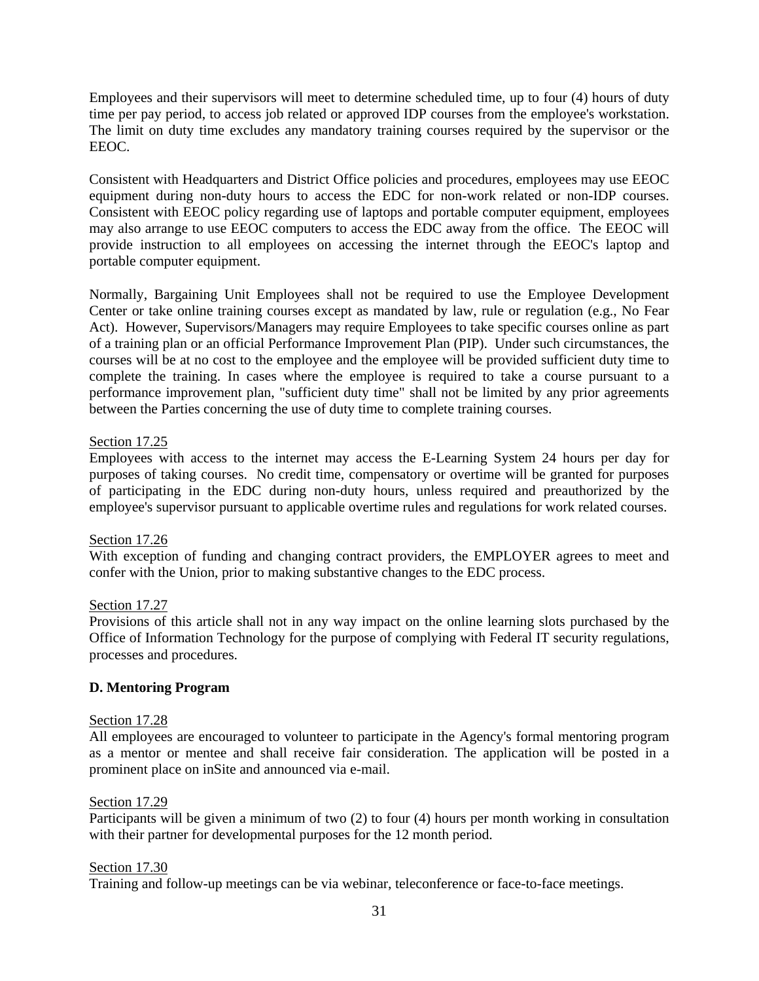Employees and their supervisors will meet to determine scheduled time, up to four (4) hours of duty time per pay period, to access job related or approved IDP courses from the employee's workstation. The limit on duty time excludes any mandatory training courses required by the supervisor or the EEOC.

Consistent with Headquarters and District Office policies and procedures, employees may use EEOC equipment during non-duty hours to access the EDC for non-work related or non-IDP courses. Consistent with EEOC policy regarding use of laptops and portable computer equipment, employees may also arrange to use EEOC computers to access the EDC away from the office. The EEOC will provide instruction to all employees on accessing the internet through the EEOC's laptop and portable computer equipment.

Normally, Bargaining Unit Employees shall not be required to use the Employee Development Center or take online training courses except as mandated by law, rule or regulation (e.g., No Fear Act). However, Supervisors/Managers may require Employees to take specific courses online as part of a training plan or an official Performance Improvement Plan (PIP). Under such circumstances, the courses will be at no cost to the employee and the employee will be provided sufficient duty time to complete the training. In cases where the employee is required to take a course pursuant to a performance improvement plan, "sufficient duty time" shall not be limited by any prior agreements between the Parties concerning the use of duty time to complete training courses.

# Section 17.25

Employees with access to the internet may access the E-Learning System 24 hours per day for purposes of taking courses. No credit time, compensatory or overtime will be granted for purposes of participating in the EDC during non-duty hours, unless required and preauthorized by the employee's supervisor pursuant to applicable overtime rules and regulations for work related courses.

# Section 17.26

With exception of funding and changing contract providers, the EMPLOYER agrees to meet and confer with the Union, prior to making substantive changes to the EDC process.

### Section 17.27

Provisions of this article shall not in any way impact on the online learning slots purchased by the Office of Information Technology for the purpose of complying with Federal IT security regulations, processes and procedures.

# **D. Mentoring Program**

### Section 17.28

All employees are encouraged to volunteer to participate in the Agency's formal mentoring program as a mentor or mentee and shall receive fair consideration. The application will be posted in a prominent place on inSite and announced via e-mail.

### Section 17.29

Participants will be given a minimum of two (2) to four (4) hours per month working in consultation with their partner for developmental purposes for the 12 month period.

### Section 17.30

Training and follow-up meetings can be via webinar, teleconference or face-to-face meetings.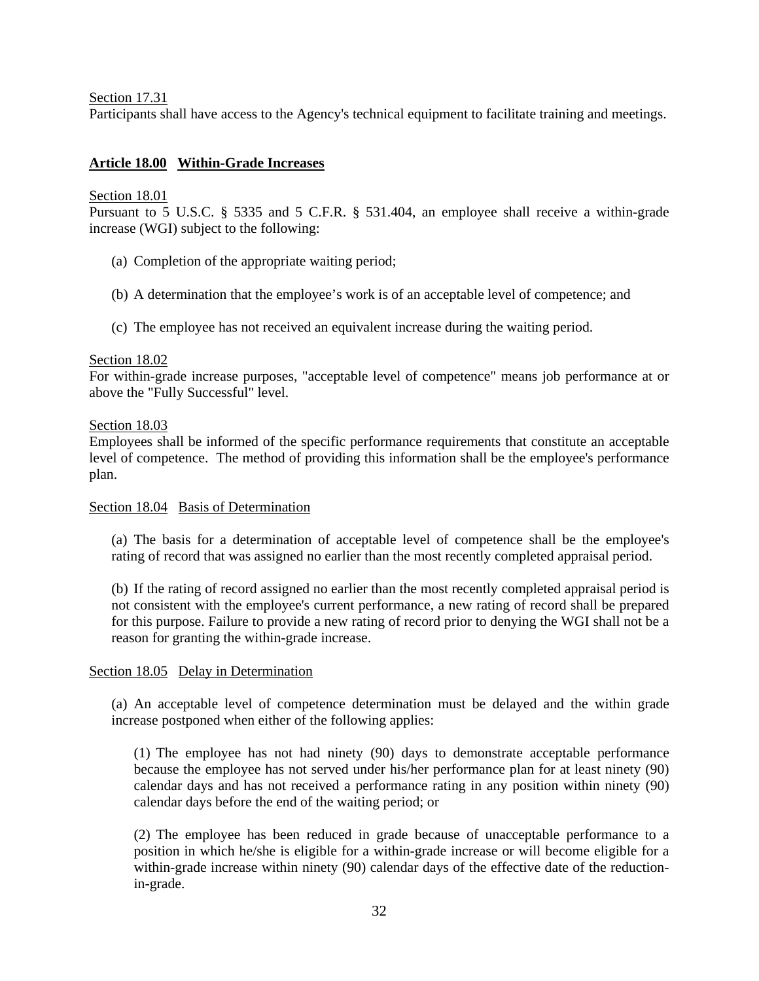Section 17.31

Participants shall have access to the Agency's technical equipment to facilitate training and meetings.

# **Article 18.00 Within-Grade Increases**

### Section 18.01

Pursuant to 5 U.S.C. § 5335 and 5 C.F.R. § 531.404, an employee shall receive a within-grade increase (WGI) subject to the following:

- (a) Completion of the appropriate waiting period;
- (b) A determination that the employee's work is of an acceptable level of competence; and
- (c) The employee has not received an equivalent increase during the waiting period.

# Section 18.02

For within-grade increase purposes, "acceptable level of competence" means job performance at or above the "Fully Successful" level.

# Section 18.03

Employees shall be informed of the specific performance requirements that constitute an acceptable level of competence. The method of providing this information shall be the employee's performance plan.

# Section 18.04 Basis of Determination

(a) The basis for a determination of acceptable level of competence shall be the employee's rating of record that was assigned no earlier than the most recently completed appraisal period.

(b) If the rating of record assigned no earlier than the most recently completed appraisal period is not consistent with the employee's current performance, a new rating of record shall be prepared for this purpose. Failure to provide a new rating of record prior to denying the WGI shall not be a reason for granting the within-grade increase.

# Section 18.05 Delay in Determination

(a) An acceptable level of competence determination must be delayed and the within grade increase postponed when either of the following applies:

(1) The employee has not had ninety (90) days to demonstrate acceptable performance because the employee has not served under his/her performance plan for at least ninety (90) calendar days and has not received a performance rating in any position within ninety (90) calendar days before the end of the waiting period; or

(2) The employee has been reduced in grade because of unacceptable performance to a position in which he/she is eligible for a within-grade increase or will become eligible for a within-grade increase within ninety (90) calendar days of the effective date of the reductionin-grade.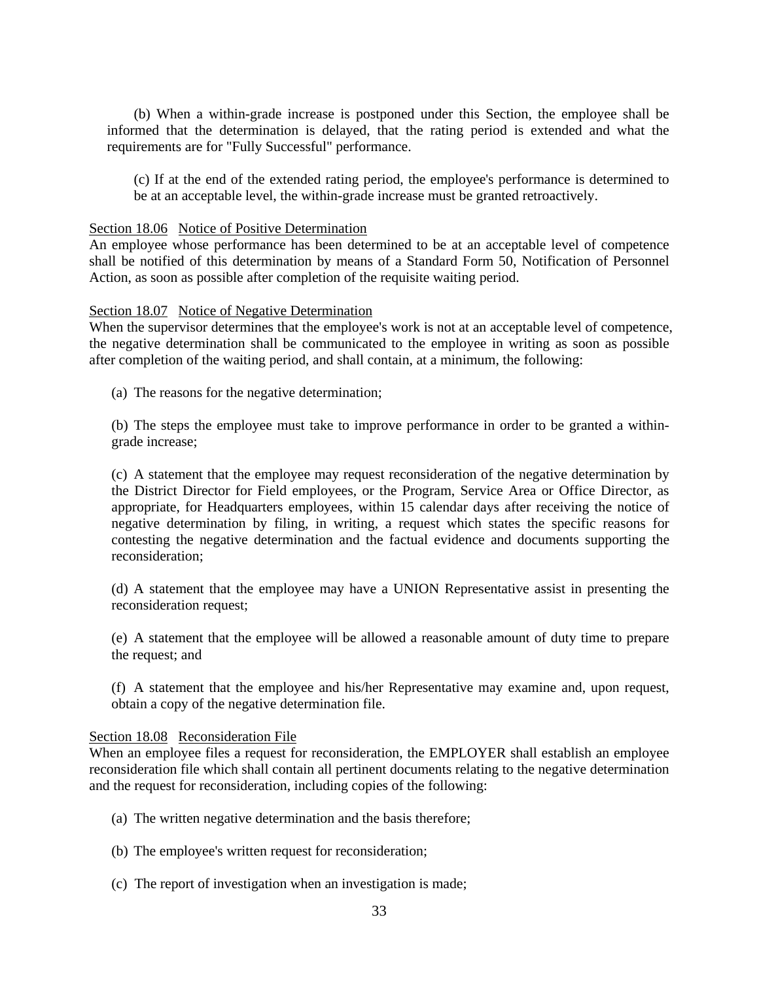(b) When a within-grade increase is postponed under this Section, the employee shall be informed that the determination is delayed, that the rating period is extended and what the requirements are for "Fully Successful" performance.

(c) If at the end of the extended rating period, the employee's performance is determined to be at an acceptable level, the within-grade increase must be granted retroactively.

### Section 18.06 Notice of Positive Determination

An employee whose performance has been determined to be at an acceptable level of competence shall be notified of this determination by means of a Standard Form 50, Notification of Personnel Action, as soon as possible after completion of the requisite waiting period.

#### Section 18.07 Notice of Negative Determination

When the supervisor determines that the employee's work is not at an acceptable level of competence, the negative determination shall be communicated to the employee in writing as soon as possible after completion of the waiting period, and shall contain, at a minimum, the following:

(a) The reasons for the negative determination;

(b) The steps the employee must take to improve performance in order to be granted a withingrade increase;

(c) A statement that the employee may request reconsideration of the negative determination by the District Director for Field employees, or the Program, Service Area or Office Director, as appropriate, for Headquarters employees, within 15 calendar days after receiving the notice of negative determination by filing, in writing, a request which states the specific reasons for contesting the negative determination and the factual evidence and documents supporting the reconsideration;

(d) A statement that the employee may have a UNION Representative assist in presenting the reconsideration request;

(e) A statement that the employee will be allowed a reasonable amount of duty time to prepare the request; and

(f) A statement that the employee and his/her Representative may examine and, upon request, obtain a copy of the negative determination file.

#### Section 18.08 Reconsideration File

When an employee files a request for reconsideration, the EMPLOYER shall establish an employee reconsideration file which shall contain all pertinent documents relating to the negative determination and the request for reconsideration, including copies of the following:

- (a) The written negative determination and the basis therefore;
- (b) The employee's written request for reconsideration;
- (c) The report of investigation when an investigation is made;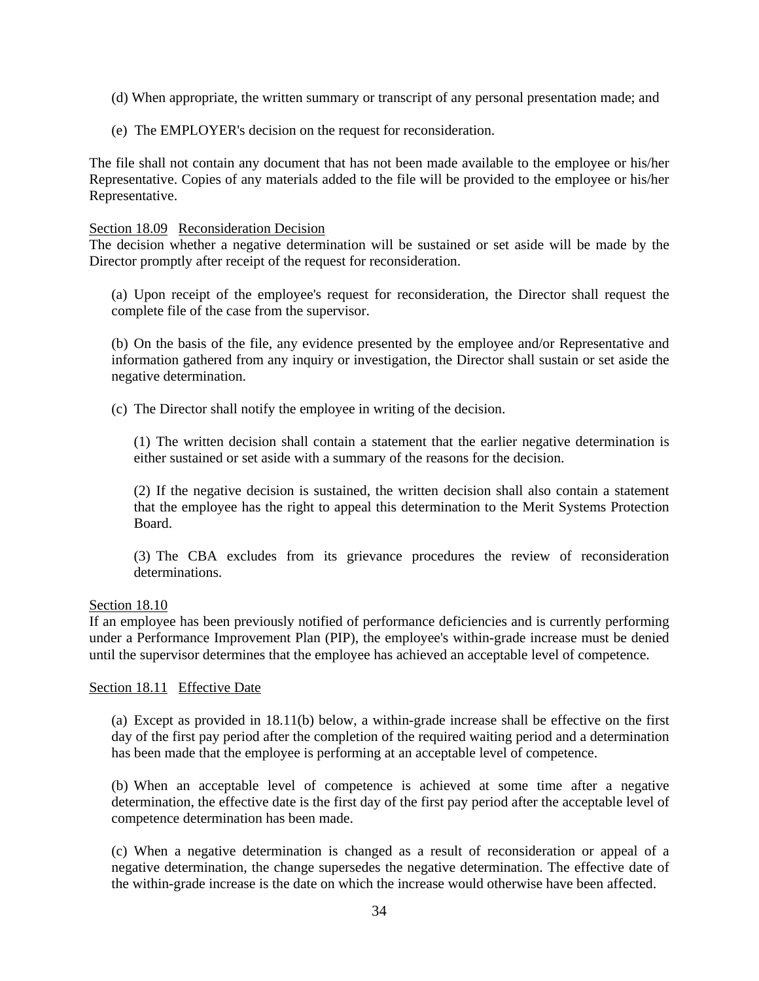- (d) When appropriate, the written summary or transcript of any personal presentation made; and
- (e) The EMPLOYER's decision on the request for reconsideration.

The file shall not contain any document that has not been made available to the employee or his/her Representative. Copies of any materials added to the file will be provided to the employee or his/her Representative.

# Section 18.09 Reconsideration Decision

The decision whether a negative determination will be sustained or set aside will be made by the Director promptly after receipt of the request for reconsideration.

(a) Upon receipt of the employee's request for reconsideration, the Director shall request the complete file of the case from the supervisor.

(b) On the basis of the file, any evidence presented by the employee and/or Representative and information gathered from any inquiry or investigation, the Director shall sustain or set aside the negative determination.

(c) The Director shall notify the employee in writing of the decision.

(1) The written decision shall contain a statement that the earlier negative determination is either sustained or set aside with a summary of the reasons for the decision.

(2) If the negative decision is sustained, the written decision shall also contain a statement that the employee has the right to appeal this determination to the Merit Systems Protection Board.

(3) The CBA excludes from its grievance procedures the review of reconsideration determinations.

# Section 18.10

If an employee has been previously notified of performance deficiencies and is currently performing under a Performance Improvement Plan (PIP), the employee's within-grade increase must be denied until the supervisor determines that the employee has achieved an acceptable level of competence.

### Section 18.11 Effective Date

(a) Except as provided in 18.11(b) below, a within-grade increase shall be effective on the first day of the first pay period after the completion of the required waiting period and a determination has been made that the employee is performing at an acceptable level of competence.

(b) When an acceptable level of competence is achieved at some time after a negative determination, the effective date is the first day of the first pay period after the acceptable level of competence determination has been made.

(c) When a negative determination is changed as a result of reconsideration or appeal of a negative determination, the change supersedes the negative determination. The effective date of the within-grade increase is the date on which the increase would otherwise have been affected.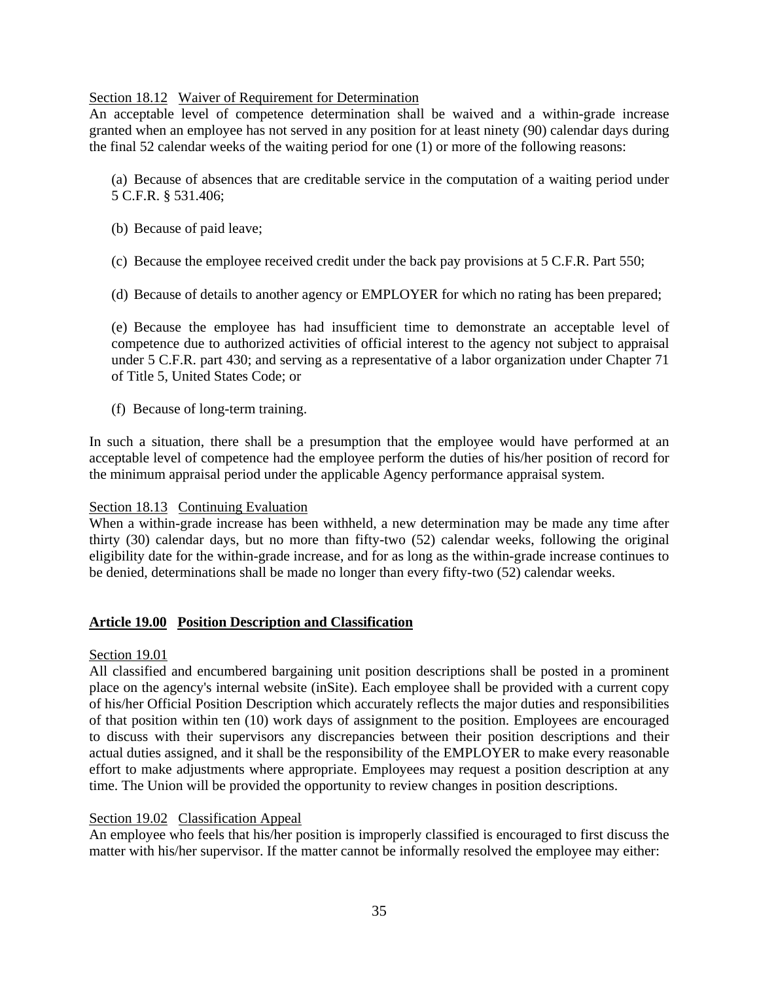# Section 18.12 Waiver of Requirement for Determination

An acceptable level of competence determination shall be waived and a within-grade increase granted when an employee has not served in any position for at least ninety (90) calendar days during the final 52 calendar weeks of the waiting period for one (1) or more of the following reasons:

(a) Because of absences that are creditable service in the computation of a waiting period under 5 C.F.R. § 531.406;

- (b) Because of paid leave;
- (c) Because the employee received credit under the back pay provisions at 5 C.F.R. Part 550;
- (d) Because of details to another agency or EMPLOYER for which no rating has been prepared;

(e) Because the employee has had insufficient time to demonstrate an acceptable level of competence due to authorized activities of official interest to the agency not subject to appraisal under 5 C.F.R. part 430; and serving as a representative of a labor organization under Chapter 71 of Title 5, United States Code; or

(f) Because of long-term training.

In such a situation, there shall be a presumption that the employee would have performed at an acceptable level of competence had the employee perform the duties of his/her position of record for the minimum appraisal period under the applicable Agency performance appraisal system.

### Section 18.13 Continuing Evaluation

When a within-grade increase has been withheld, a new determination may be made any time after thirty (30) calendar days, but no more than fifty-two (52) calendar weeks, following the original eligibility date for the within-grade increase, and for as long as the within-grade increase continues to be denied, determinations shall be made no longer than every fifty-two (52) calendar weeks.

# **Article 19.00 Position Description and Classification**

### Section 19.01

All classified and encumbered bargaining unit position descriptions shall be posted in a prominent place on the agency's internal website (inSite). Each employee shall be provided with a current copy of his/her Official Position Description which accurately reflects the major duties and responsibilities of that position within ten (10) work days of assignment to the position. Employees are encouraged to discuss with their supervisors any discrepancies between their position descriptions and their actual duties assigned, and it shall be the responsibility of the EMPLOYER to make every reasonable effort to make adjustments where appropriate. Employees may request a position description at any time. The Union will be provided the opportunity to review changes in position descriptions.

### Section 19.02 Classification Appeal

An employee who feels that his/her position is improperly classified is encouraged to first discuss the matter with his/her supervisor. If the matter cannot be informally resolved the employee may either: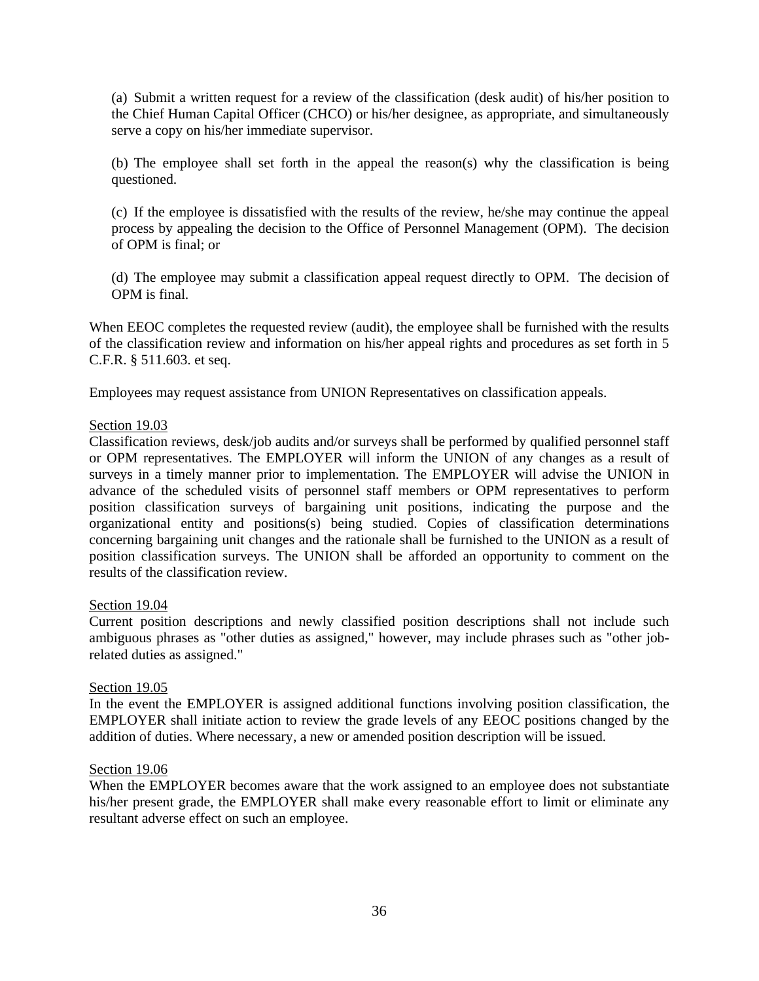(a) Submit a written request for a review of the classification (desk audit) of his/her position to the Chief Human Capital Officer (CHCO) or his/her designee, as appropriate, and simultaneously serve a copy on his/her immediate supervisor.

(b) The employee shall set forth in the appeal the reason(s) why the classification is being questioned.

(c) If the employee is dissatisfied with the results of the review, he/she may continue the appeal process by appealing the decision to the Office of Personnel Management (OPM). The decision of OPM is final; or

(d) The employee may submit a classification appeal request directly to OPM. The decision of OPM is final.

When EEOC completes the requested review (audit), the employee shall be furnished with the results of the classification review and information on his/her appeal rights and procedures as set forth in 5 C.F.R. § 511.603. et seq.

Employees may request assistance from UNION Representatives on classification appeals.

# Section 19.03

Classification reviews, desk/job audits and/or surveys shall be performed by qualified personnel staff or OPM representatives. The EMPLOYER will inform the UNION of any changes as a result of surveys in a timely manner prior to implementation. The EMPLOYER will advise the UNION in advance of the scheduled visits of personnel staff members or OPM representatives to perform position classification surveys of bargaining unit positions, indicating the purpose and the organizational entity and positions(s) being studied. Copies of classification determinations concerning bargaining unit changes and the rationale shall be furnished to the UNION as a result of position classification surveys. The UNION shall be afforded an opportunity to comment on the results of the classification review.

# Section 19.04

Current position descriptions and newly classified position descriptions shall not include such ambiguous phrases as "other duties as assigned," however, may include phrases such as "other jobrelated duties as assigned."

### Section 19.05

In the event the EMPLOYER is assigned additional functions involving position classification, the EMPLOYER shall initiate action to review the grade levels of any EEOC positions changed by the addition of duties. Where necessary, a new or amended position description will be issued.

### Section 19.06

When the EMPLOYER becomes aware that the work assigned to an employee does not substantiate his/her present grade, the EMPLOYER shall make every reasonable effort to limit or eliminate any resultant adverse effect on such an employee.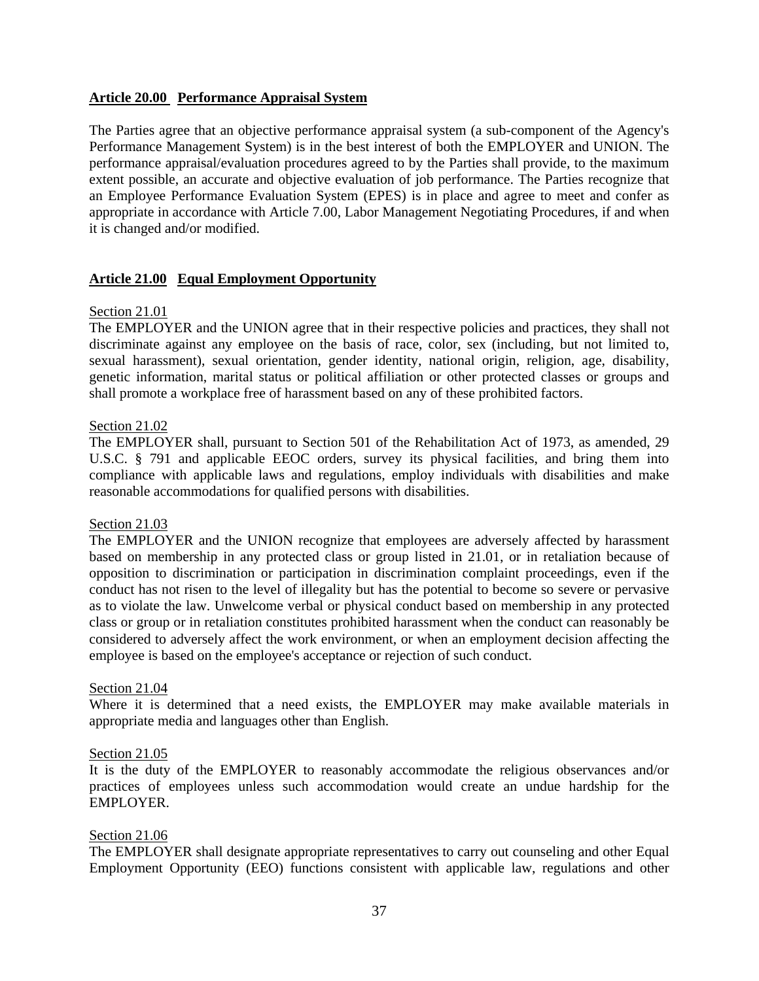### **Article 20.00 Performance Appraisal System**

The Parties agree that an objective performance appraisal system (a sub-component of the Agency's Performance Management System) is in the best interest of both the EMPLOYER and UNION. The performance appraisal/evaluation procedures agreed to by the Parties shall provide, to the maximum extent possible, an accurate and objective evaluation of job performance. The Parties recognize that an Employee Performance Evaluation System (EPES) is in place and agree to meet and confer as appropriate in accordance with Article 7.00, Labor Management Negotiating Procedures, if and when it is changed and/or modified.

# **Article 21.00 Equal Employment Opportunity**

#### Section 21.01

The EMPLOYER and the UNION agree that in their respective policies and practices, they shall not discriminate against any employee on the basis of race, color, sex (including, but not limited to, sexual harassment), sexual orientation, gender identity, national origin, religion, age, disability, genetic information, marital status or political affiliation or other protected classes or groups and shall promote a workplace free of harassment based on any of these prohibited factors.

### Section 21.02

The EMPLOYER shall, pursuant to Section 501 of the Rehabilitation Act of 1973, as amended, 29 U.S.C. § 791 and applicable EEOC orders, survey its physical facilities, and bring them into compliance with applicable laws and regulations, employ individuals with disabilities and make reasonable accommodations for qualified persons with disabilities.

### Section 21.03

The EMPLOYER and the UNION recognize that employees are adversely affected by harassment based on membership in any protected class or group listed in 21.01, or in retaliation because of opposition to discrimination or participation in discrimination complaint proceedings, even if the conduct has not risen to the level of illegality but has the potential to become so severe or pervasive as to violate the law. Unwelcome verbal or physical conduct based on membership in any protected class or group or in retaliation constitutes prohibited harassment when the conduct can reasonably be considered to adversely affect the work environment, or when an employment decision affecting the employee is based on the employee's acceptance or rejection of such conduct.

#### Section 21.04

Where it is determined that a need exists, the EMPLOYER may make available materials in appropriate media and languages other than English.

### Section 21.05

It is the duty of the EMPLOYER to reasonably accommodate the religious observances and/or practices of employees unless such accommodation would create an undue hardship for the EMPLOYER.

### Section 21.06

The EMPLOYER shall designate appropriate representatives to carry out counseling and other Equal Employment Opportunity (EEO) functions consistent with applicable law, regulations and other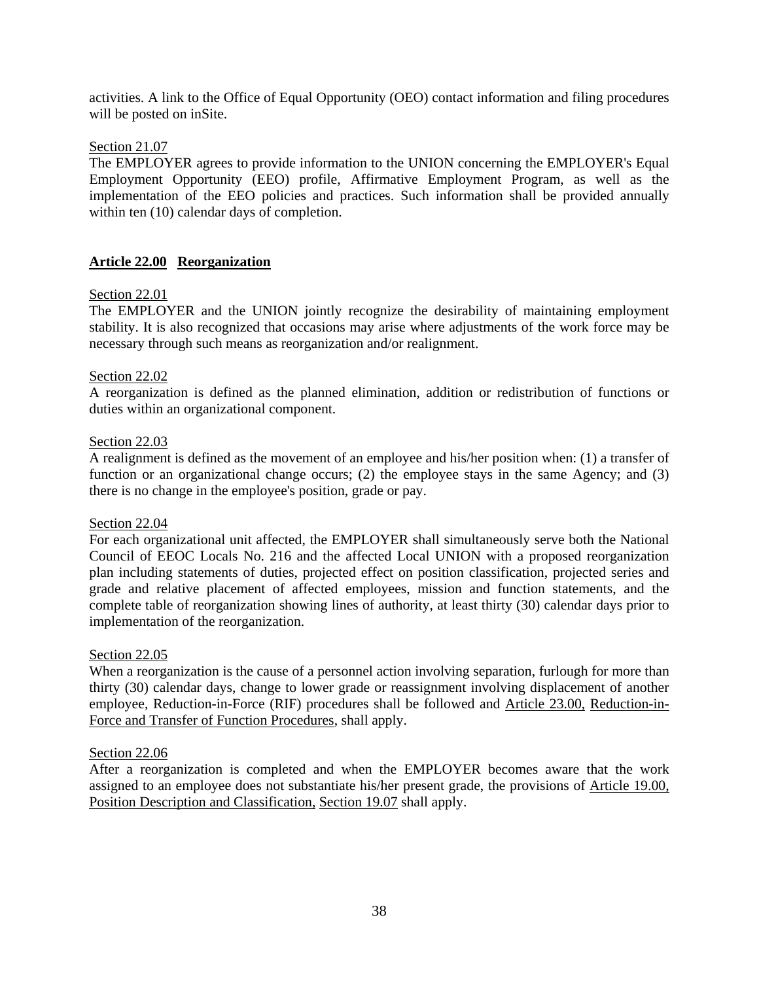activities. A link to the Office of Equal Opportunity (OEO) contact information and filing procedures will be posted on inSite.

# Section 21.07

The EMPLOYER agrees to provide information to the UNION concerning the EMPLOYER's Equal Employment Opportunity (EEO) profile, Affirmative Employment Program, as well as the implementation of the EEO policies and practices. Such information shall be provided annually within ten  $(10)$  calendar days of completion.

# **Article 22.00 Reorganization**

# Section 22.01

The EMPLOYER and the UNION jointly recognize the desirability of maintaining employment stability. It is also recognized that occasions may arise where adjustments of the work force may be necessary through such means as reorganization and/or realignment.

# Section 22.02

A reorganization is defined as the planned elimination, addition or redistribution of functions or duties within an organizational component.

# Section 22.03

A realignment is defined as the movement of an employee and his/her position when: (1) a transfer of function or an organizational change occurs; (2) the employee stays in the same Agency; and (3) there is no change in the employee's position, grade or pay.

### Section 22.04

For each organizational unit affected, the EMPLOYER shall simultaneously serve both the National Council of EEOC Locals No. 216 and the affected Local UNION with a proposed reorganization plan including statements of duties, projected effect on position classification, projected series and grade and relative placement of affected employees, mission and function statements, and the complete table of reorganization showing lines of authority, at least thirty (30) calendar days prior to implementation of the reorganization.

### Section 22.05

When a reorganization is the cause of a personnel action involving separation, furlough for more than thirty (30) calendar days, change to lower grade or reassignment involving displacement of another employee, Reduction-in-Force (RIF) procedures shall be followed and Article 23.00, Reduction-in-Force and Transfer of Function Procedures, shall apply.

# Section 22.06

After a reorganization is completed and when the EMPLOYER becomes aware that the work assigned to an employee does not substantiate his/her present grade, the provisions of Article 19.00, Position Description and Classification, Section 19.07 shall apply.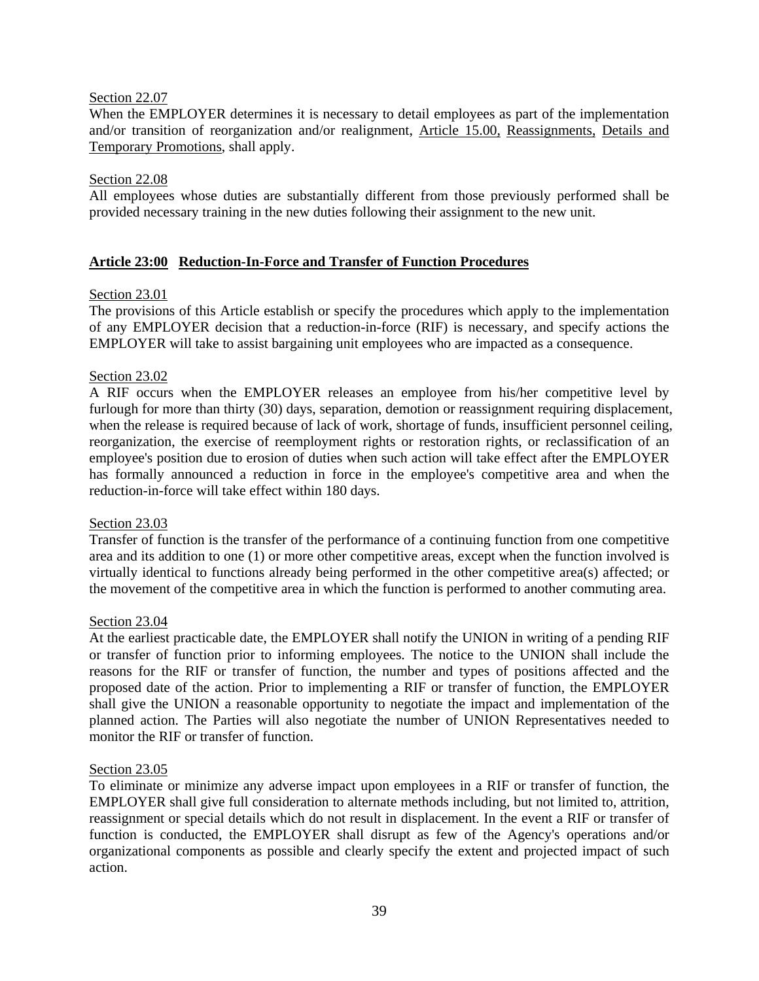# Section 22.07

When the EMPLOYER determines it is necessary to detail employees as part of the implementation and/or transition of reorganization and/or realignment, Article 15.00, Reassignments, Details and Temporary Promotions, shall apply.

# Section 22.08

All employees whose duties are substantially different from those previously performed shall be provided necessary training in the new duties following their assignment to the new unit.

# **Article 23:00 Reduction-In-Force and Transfer of Function Procedures**

# Section 23.01

The provisions of this Article establish or specify the procedures which apply to the implementation of any EMPLOYER decision that a reduction-in-force (RIF) is necessary, and specify actions the EMPLOYER will take to assist bargaining unit employees who are impacted as a consequence.

### Section 23.02

A RIF occurs when the EMPLOYER releases an employee from his/her competitive level by furlough for more than thirty (30) days, separation, demotion or reassignment requiring displacement, when the release is required because of lack of work, shortage of funds, insufficient personnel ceiling, reorganization, the exercise of reemployment rights or restoration rights, or reclassification of an employee's position due to erosion of duties when such action will take effect after the EMPLOYER has formally announced a reduction in force in the employee's competitive area and when the reduction-in-force will take effect within 180 days.

### Section 23.03

Transfer of function is the transfer of the performance of a continuing function from one competitive area and its addition to one (1) or more other competitive areas, except when the function involved is virtually identical to functions already being performed in the other competitive area(s) affected; or the movement of the competitive area in which the function is performed to another commuting area.

### Section 23.04

At the earliest practicable date, the EMPLOYER shall notify the UNION in writing of a pending RIF or transfer of function prior to informing employees. The notice to the UNION shall include the reasons for the RIF or transfer of function, the number and types of positions affected and the proposed date of the action. Prior to implementing a RIF or transfer of function, the EMPLOYER shall give the UNION a reasonable opportunity to negotiate the impact and implementation of the planned action. The Parties will also negotiate the number of UNION Representatives needed to monitor the RIF or transfer of function.

### Section 23.05

To eliminate or minimize any adverse impact upon employees in a RIF or transfer of function, the EMPLOYER shall give full consideration to alternate methods including, but not limited to, attrition, reassignment or special details which do not result in displacement. In the event a RIF or transfer of function is conducted, the EMPLOYER shall disrupt as few of the Agency's operations and/or organizational components as possible and clearly specify the extent and projected impact of such action.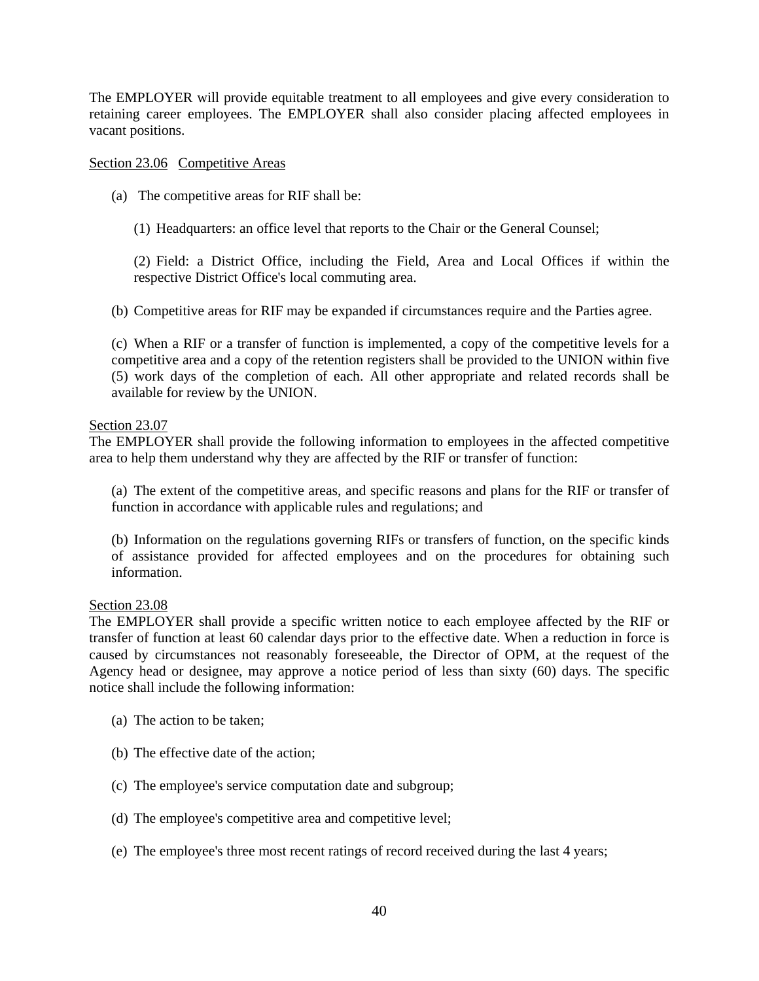The EMPLOYER will provide equitable treatment to all employees and give every consideration to retaining career employees. The EMPLOYER shall also consider placing affected employees in vacant positions.

### Section 23.06 Competitive Areas

- (a) The competitive areas for RIF shall be:
	- (1) Headquarters: an office level that reports to the Chair or the General Counsel;

(2) Field: a District Office, including the Field, Area and Local Offices if within the respective District Office's local commuting area.

(b) Competitive areas for RIF may be expanded if circumstances require and the Parties agree.

(c) When a RIF or a transfer of function is implemented, a copy of the competitive levels for a competitive area and a copy of the retention registers shall be provided to the UNION within five (5) work days of the completion of each. All other appropriate and related records shall be available for review by the UNION.

### Section 23.07

The EMPLOYER shall provide the following information to employees in the affected competitive area to help them understand why they are affected by the RIF or transfer of function:

(a) The extent of the competitive areas, and specific reasons and plans for the RIF or transfer of function in accordance with applicable rules and regulations; and

(b) Information on the regulations governing RIFs or transfers of function, on the specific kinds of assistance provided for affected employees and on the procedures for obtaining such information.

# Section 23.08

The EMPLOYER shall provide a specific written notice to each employee affected by the RIF or transfer of function at least 60 calendar days prior to the effective date. When a reduction in force is caused by circumstances not reasonably foreseeable, the Director of OPM, at the request of the Agency head or designee, may approve a notice period of less than sixty (60) days. The specific notice shall include the following information:

- (a) The action to be taken;
- (b) The effective date of the action;
- (c) The employee's service computation date and subgroup;
- (d) The employee's competitive area and competitive level;
- (e) The employee's three most recent ratings of record received during the last 4 years;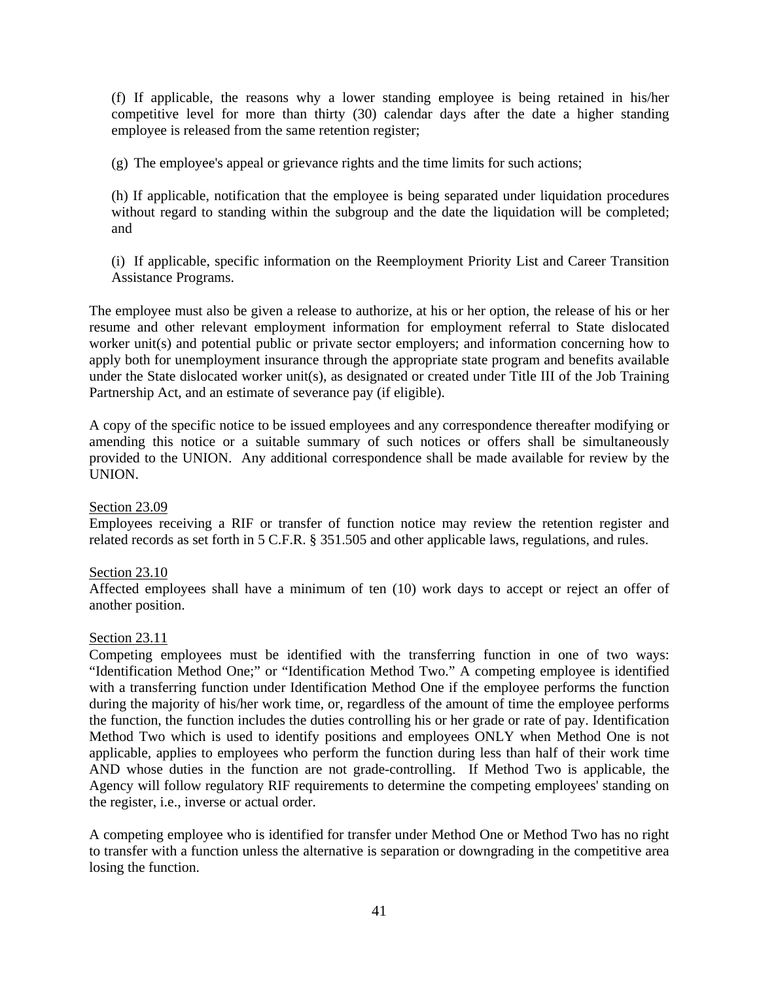(f) If applicable, the reasons why a lower standing employee is being retained in his/her competitive level for more than thirty (30) calendar days after the date a higher standing employee is released from the same retention register;

(g) The employee's appeal or grievance rights and the time limits for such actions;

(h) If applicable, notification that the employee is being separated under liquidation procedures without regard to standing within the subgroup and the date the liquidation will be completed; and

(i) If applicable, specific information on the Reemployment Priority List and Career Transition Assistance Programs.

The employee must also be given a release to authorize, at his or her option, the release of his or her resume and other relevant employment information for employment referral to State dislocated worker unit(s) and potential public or private sector employers; and information concerning how to apply both for unemployment insurance through the appropriate state program and benefits available under the State dislocated worker unit(s), as designated or created under Title III of the Job Training Partnership Act, and an estimate of severance pay (if eligible).

A copy of the specific notice to be issued employees and any correspondence thereafter modifying or amending this notice or a suitable summary of such notices or offers shall be simultaneously provided to the UNION. Any additional correspondence shall be made available for review by the UNION.

### Section 23.09

Employees receiving a RIF or transfer of function notice may review the retention register and related records as set forth in 5 C.F.R. § 351.505 and other applicable laws, regulations, and rules.

# Section 23.10

Affected employees shall have a minimum of ten (10) work days to accept or reject an offer of another position.

### Section 23.11

Competing employees must be identified with the transferring function in one of two ways: "Identification Method One;" or "Identification Method Two." A competing employee is identified with a transferring function under Identification Method One if the employee performs the function during the majority of his/her work time, or, regardless of the amount of time the employee performs the function, the function includes the duties controlling his or her grade or rate of pay. Identification Method Two which is used to identify positions and employees ONLY when Method One is not applicable, applies to employees who perform the function during less than half of their work time AND whose duties in the function are not grade-controlling. If Method Two is applicable, the Agency will follow regulatory RIF requirements to determine the competing employees' standing on the register, i.e., inverse or actual order.

A competing employee who is identified for transfer under Method One or Method Two has no right to transfer with a function unless the alternative is separation or downgrading in the competitive area losing the function.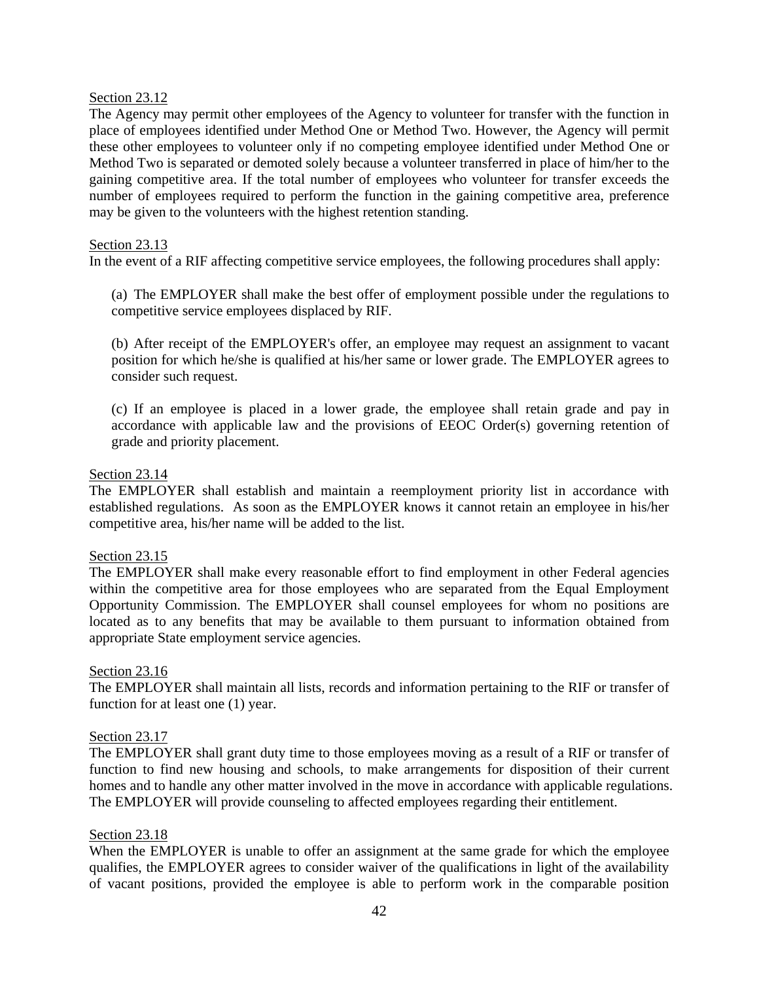#### Section 23.12

The Agency may permit other employees of the Agency to volunteer for transfer with the function in place of employees identified under Method One or Method Two. However, the Agency will permit these other employees to volunteer only if no competing employee identified under Method One or Method Two is separated or demoted solely because a volunteer transferred in place of him/her to the gaining competitive area. If the total number of employees who volunteer for transfer exceeds the number of employees required to perform the function in the gaining competitive area, preference may be given to the volunteers with the highest retention standing.

### Section 23.13

In the event of a RIF affecting competitive service employees, the following procedures shall apply:

(a) The EMPLOYER shall make the best offer of employment possible under the regulations to competitive service employees displaced by RIF.

(b) After receipt of the EMPLOYER's offer, an employee may request an assignment to vacant position for which he/she is qualified at his/her same or lower grade. The EMPLOYER agrees to consider such request.

(c) If an employee is placed in a lower grade, the employee shall retain grade and pay in accordance with applicable law and the provisions of EEOC Order(s) governing retention of grade and priority placement.

### Section 23.14

The EMPLOYER shall establish and maintain a reemployment priority list in accordance with established regulations. As soon as the EMPLOYER knows it cannot retain an employee in his/her competitive area, his/her name will be added to the list.

### Section 23.15

The EMPLOYER shall make every reasonable effort to find employment in other Federal agencies within the competitive area for those employees who are separated from the Equal Employment Opportunity Commission. The EMPLOYER shall counsel employees for whom no positions are located as to any benefits that may be available to them pursuant to information obtained from appropriate State employment service agencies.

### Section 23.16

The EMPLOYER shall maintain all lists, records and information pertaining to the RIF or transfer of function for at least one (1) year.

### Section 23.17

The EMPLOYER shall grant duty time to those employees moving as a result of a RIF or transfer of function to find new housing and schools, to make arrangements for disposition of their current homes and to handle any other matter involved in the move in accordance with applicable regulations. The EMPLOYER will provide counseling to affected employees regarding their entitlement.

### Section 23.18

When the EMPLOYER is unable to offer an assignment at the same grade for which the employee qualifies, the EMPLOYER agrees to consider waiver of the qualifications in light of the availability of vacant positions, provided the employee is able to perform work in the comparable position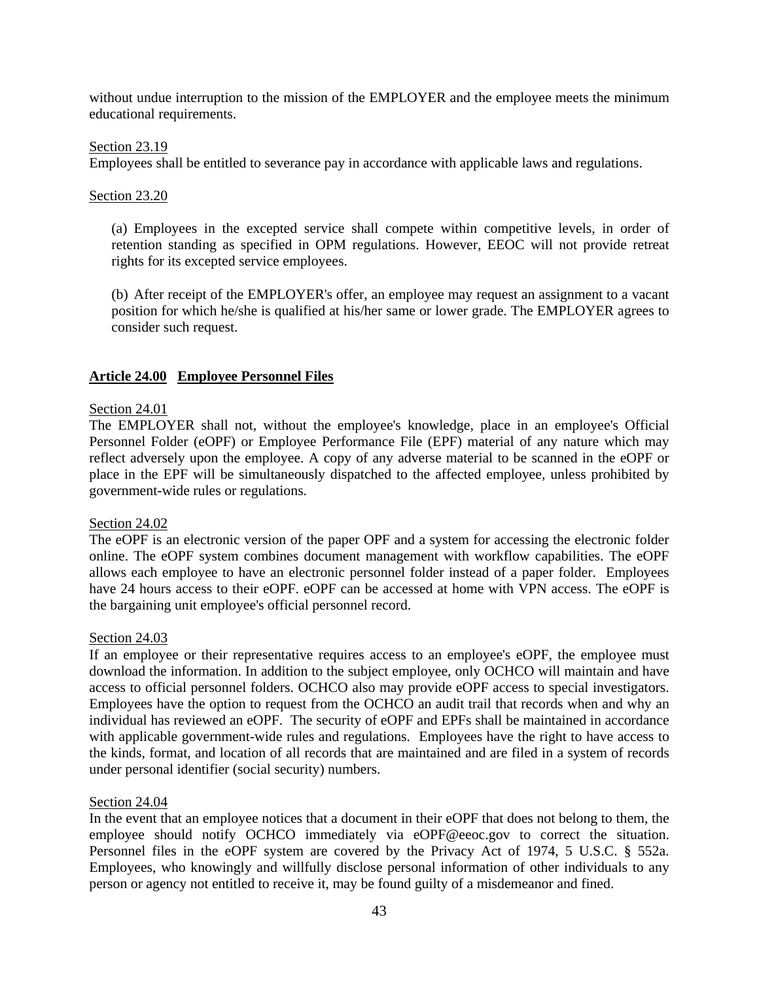without undue interruption to the mission of the EMPLOYER and the employee meets the minimum educational requirements.

Section 23.19

Employees shall be entitled to severance pay in accordance with applicable laws and regulations.

# Section 23.20

(a) Employees in the excepted service shall compete within competitive levels, in order of retention standing as specified in OPM regulations. However, EEOC will not provide retreat rights for its excepted service employees.

(b) After receipt of the EMPLOYER's offer, an employee may request an assignment to a vacant position for which he/she is qualified at his/her same or lower grade. The EMPLOYER agrees to consider such request.

# **Article 24.00 Employee Personnel Files**

# Section 24.01

The EMPLOYER shall not, without the employee's knowledge, place in an employee's Official Personnel Folder (eOPF) or Employee Performance File (EPF) material of any nature which may reflect adversely upon the employee. A copy of any adverse material to be scanned in the eOPF or place in the EPF will be simultaneously dispatched to the affected employee, unless prohibited by government-wide rules or regulations.

### Section 24.02

The eOPF is an electronic version of the paper OPF and a system for accessing the electronic folder online. The eOPF system combines document management with workflow capabilities. The eOPF allows each employee to have an electronic personnel folder instead of a paper folder. Employees have 24 hours access to their eOPF. eOPF can be accessed at home with VPN access. The eOPF is the bargaining unit employee's official personnel record.

### Section 24.03

If an employee or their representative requires access to an employee's eOPF, the employee must download the information. In addition to the subject employee, only OCHCO will maintain and have access to official personnel folders. OCHCO also may provide eOPF access to special investigators. Employees have the option to request from the OCHCO an audit trail that records when and why an individual has reviewed an eOPF. The security of eOPF and EPFs shall be maintained in accordance with applicable government-wide rules and regulations. Employees have the right to have access to the kinds, format, and location of all records that are maintained and are filed in a system of records under personal identifier (social security) numbers.

# Section 24.04

In the event that an employee notices that a document in their eOPF that does not belong to them, the employee should notify OCHCO immediately via eOPF@eeoc.gov to correct the situation. Personnel files in the eOPF system are covered by the Privacy Act of 1974, 5 U.S.C. § 552a. Employees, who knowingly and willfully disclose personal information of other individuals to any person or agency not entitled to receive it, may be found guilty of a misdemeanor and fined.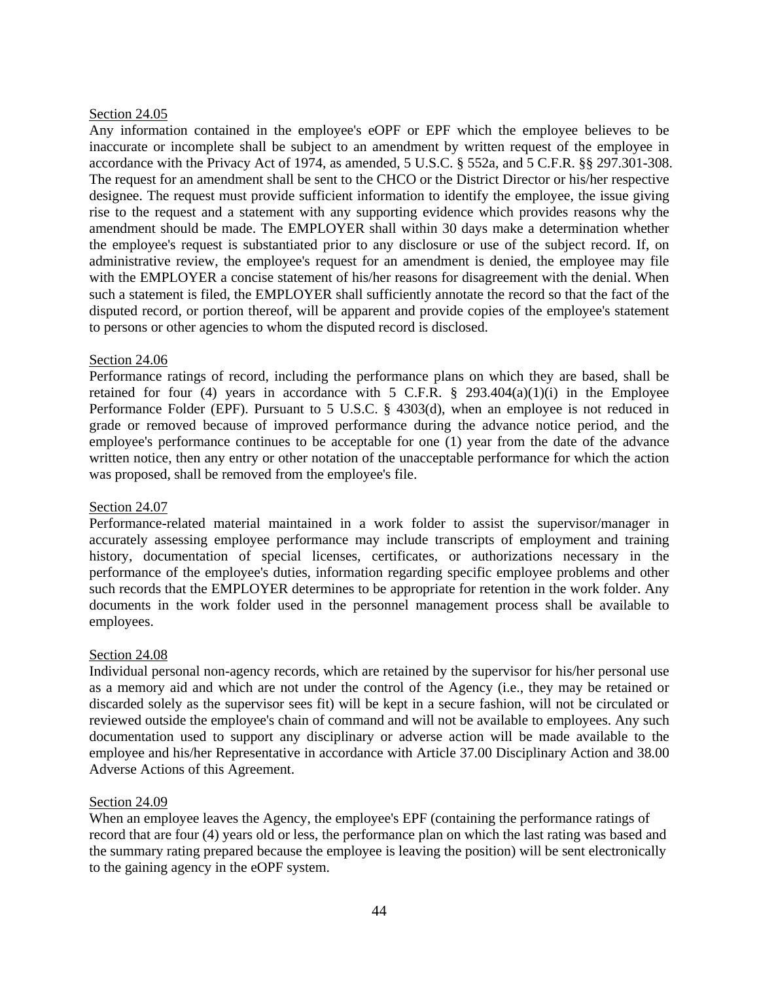### Section 24.05

Any information contained in the employee's eOPF or EPF which the employee believes to be inaccurate or incomplete shall be subject to an amendment by written request of the employee in accordance with the Privacy Act of 1974, as amended, 5 U.S.C. § 552a, and 5 C.F.R. §§ 297.301-308. The request for an amendment shall be sent to the CHCO or the District Director or his/her respective designee. The request must provide sufficient information to identify the employee, the issue giving rise to the request and a statement with any supporting evidence which provides reasons why the amendment should be made. The EMPLOYER shall within 30 days make a determination whether the employee's request is substantiated prior to any disclosure or use of the subject record. If, on administrative review, the employee's request for an amendment is denied, the employee may file with the EMPLOYER a concise statement of his/her reasons for disagreement with the denial. When such a statement is filed, the EMPLOYER shall sufficiently annotate the record so that the fact of the disputed record, or portion thereof, will be apparent and provide copies of the employee's statement to persons or other agencies to whom the disputed record is disclosed.

### Section 24.06

Performance ratings of record, including the performance plans on which they are based, shall be retained for four (4) years in accordance with 5 C.F.R.  $\S$  293.404(a)(1)(i) in the Employee Performance Folder (EPF). Pursuant to 5 U.S.C. § 4303(d), when an employee is not reduced in grade or removed because of improved performance during the advance notice period, and the employee's performance continues to be acceptable for one (1) year from the date of the advance written notice, then any entry or other notation of the unacceptable performance for which the action was proposed, shall be removed from the employee's file.

### Section 24.07

Performance-related material maintained in a work folder to assist the supervisor/manager in accurately assessing employee performance may include transcripts of employment and training history, documentation of special licenses, certificates, or authorizations necessary in the performance of the employee's duties, information regarding specific employee problems and other such records that the EMPLOYER determines to be appropriate for retention in the work folder. Any documents in the work folder used in the personnel management process shall be available to employees.

### Section 24.08

Individual personal non-agency records, which are retained by the supervisor for his/her personal use as a memory aid and which are not under the control of the Agency (i.e., they may be retained or discarded solely as the supervisor sees fit) will be kept in a secure fashion, will not be circulated or reviewed outside the employee's chain of command and will not be available to employees. Any such documentation used to support any disciplinary or adverse action will be made available to the employee and his/her Representative in accordance with Article 37.00 Disciplinary Action and 38.00 Adverse Actions of this Agreement.

### Section 24.09

When an employee leaves the Agency, the employee's EPF (containing the performance ratings of record that are four (4) years old or less, the performance plan on which the last rating was based and the summary rating prepared because the employee is leaving the position) will be sent electronically to the gaining agency in the eOPF system.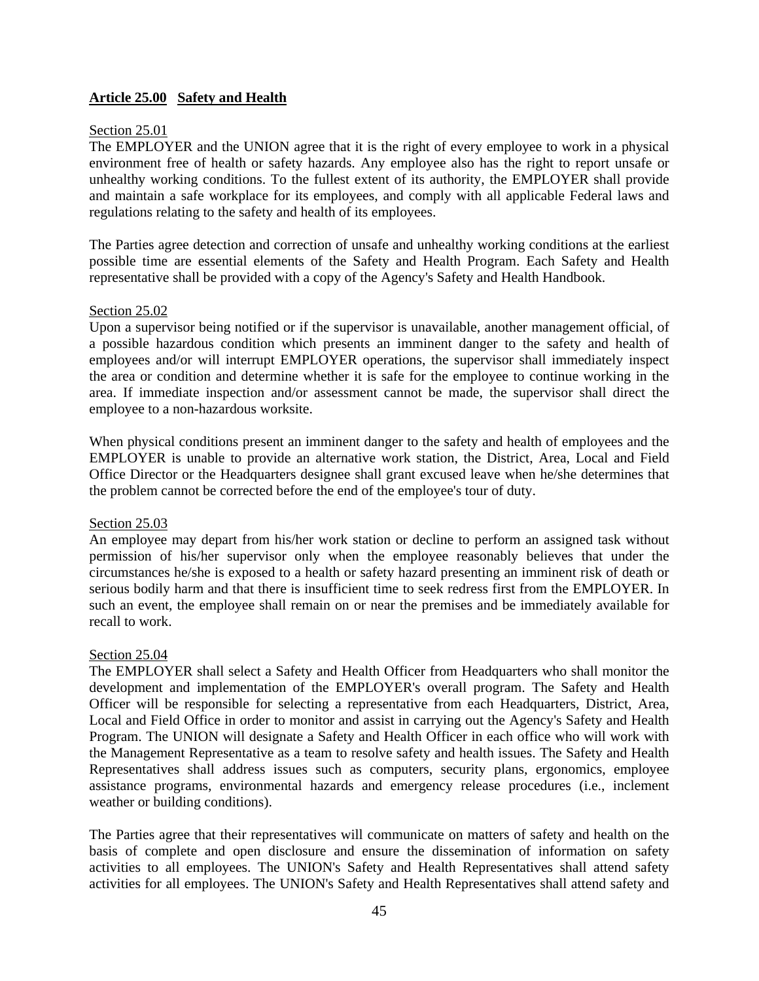# **Article 25.00 Safety and Health**

#### Section 25.01

The EMPLOYER and the UNION agree that it is the right of every employee to work in a physical environment free of health or safety hazards. Any employee also has the right to report unsafe or unhealthy working conditions. To the fullest extent of its authority, the EMPLOYER shall provide and maintain a safe workplace for its employees, and comply with all applicable Federal laws and regulations relating to the safety and health of its employees.

The Parties agree detection and correction of unsafe and unhealthy working conditions at the earliest possible time are essential elements of the Safety and Health Program. Each Safety and Health representative shall be provided with a copy of the Agency's Safety and Health Handbook.

### Section 25.02

Upon a supervisor being notified or if the supervisor is unavailable, another management official, of a possible hazardous condition which presents an imminent danger to the safety and health of employees and/or will interrupt EMPLOYER operations, the supervisor shall immediately inspect the area or condition and determine whether it is safe for the employee to continue working in the area. If immediate inspection and/or assessment cannot be made, the supervisor shall direct the employee to a non-hazardous worksite.

When physical conditions present an imminent danger to the safety and health of employees and the EMPLOYER is unable to provide an alternative work station, the District, Area, Local and Field Office Director or the Headquarters designee shall grant excused leave when he/she determines that the problem cannot be corrected before the end of the employee's tour of duty.

### Section 25.03

An employee may depart from his/her work station or decline to perform an assigned task without permission of his/her supervisor only when the employee reasonably believes that under the circumstances he/she is exposed to a health or safety hazard presenting an imminent risk of death or serious bodily harm and that there is insufficient time to seek redress first from the EMPLOYER. In such an event, the employee shall remain on or near the premises and be immediately available for recall to work.

### Section 25.04

The EMPLOYER shall select a Safety and Health Officer from Headquarters who shall monitor the development and implementation of the EMPLOYER's overall program. The Safety and Health Officer will be responsible for selecting a representative from each Headquarters, District, Area, Local and Field Office in order to monitor and assist in carrying out the Agency's Safety and Health Program. The UNION will designate a Safety and Health Officer in each office who will work with the Management Representative as a team to resolve safety and health issues. The Safety and Health Representatives shall address issues such as computers, security plans, ergonomics, employee assistance programs, environmental hazards and emergency release procedures (i.e., inclement weather or building conditions).

The Parties agree that their representatives will communicate on matters of safety and health on the basis of complete and open disclosure and ensure the dissemination of information on safety activities to all employees. The UNION's Safety and Health Representatives shall attend safety activities for all employees. The UNION's Safety and Health Representatives shall attend safety and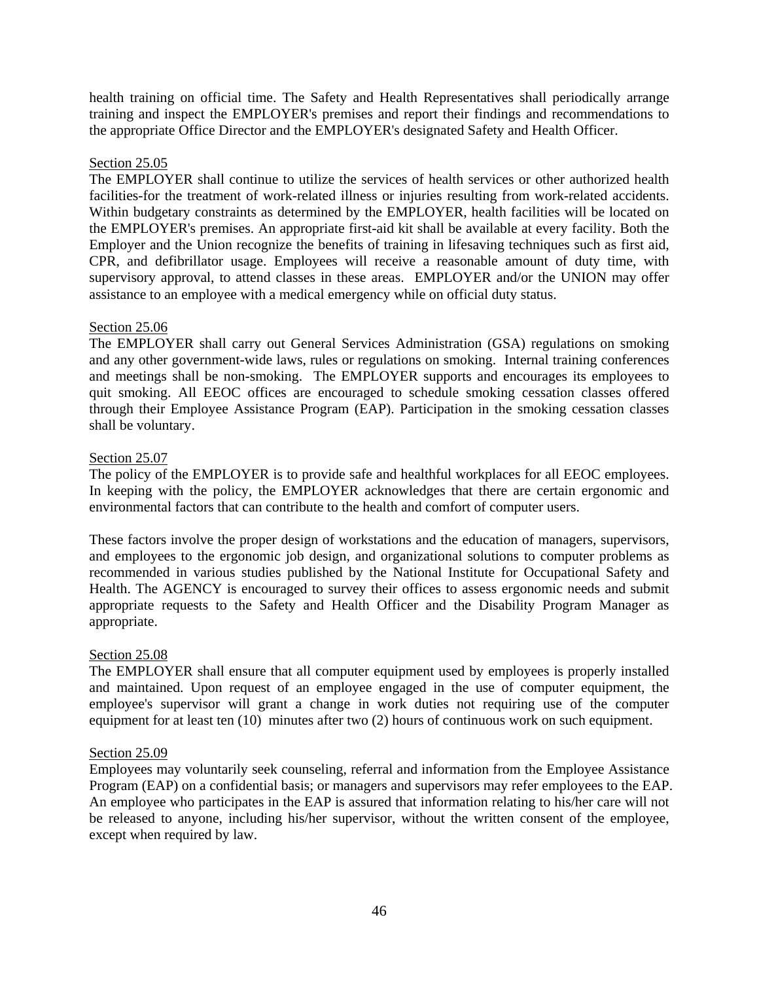health training on official time. The Safety and Health Representatives shall periodically arrange training and inspect the EMPLOYER's premises and report their findings and recommendations to the appropriate Office Director and the EMPLOYER's designated Safety and Health Officer.

### Section 25.05

The EMPLOYER shall continue to utilize the services of health services or other authorized health facilities-for the treatment of work-related illness or injuries resulting from work-related accidents. Within budgetary constraints as determined by the EMPLOYER, health facilities will be located on the EMPLOYER's premises. An appropriate first-aid kit shall be available at every facility. Both the Employer and the Union recognize the benefits of training in lifesaving techniques such as first aid, CPR, and defibrillator usage. Employees will receive a reasonable amount of duty time, with supervisory approval, to attend classes in these areas. EMPLOYER and/or the UNION may offer assistance to an employee with a medical emergency while on official duty status.

# Section 25.06

The EMPLOYER shall carry out General Services Administration (GSA) regulations on smoking and any other government-wide laws, rules or regulations on smoking. Internal training conferences and meetings shall be non-smoking. The EMPLOYER supports and encourages its employees to quit smoking. All EEOC offices are encouraged to schedule smoking cessation classes offered through their Employee Assistance Program (EAP). Participation in the smoking cessation classes shall be voluntary.

### Section 25.07

The policy of the EMPLOYER is to provide safe and healthful workplaces for all EEOC employees. In keeping with the policy, the EMPLOYER acknowledges that there are certain ergonomic and environmental factors that can contribute to the health and comfort of computer users.

These factors involve the proper design of workstations and the education of managers, supervisors, and employees to the ergonomic job design, and organizational solutions to computer problems as recommended in various studies published by the National Institute for Occupational Safety and Health. The AGENCY is encouraged to survey their offices to assess ergonomic needs and submit appropriate requests to the Safety and Health Officer and the Disability Program Manager as appropriate.

### Section 25.08

The EMPLOYER shall ensure that all computer equipment used by employees is properly installed and maintained. Upon request of an employee engaged in the use of computer equipment, the employee's supervisor will grant a change in work duties not requiring use of the computer equipment for at least ten (10) minutes after two (2) hours of continuous work on such equipment.

### Section 25.09

Employees may voluntarily seek counseling, referral and information from the Employee Assistance Program (EAP) on a confidential basis; or managers and supervisors may refer employees to the EAP. An employee who participates in the EAP is assured that information relating to his/her care will not be released to anyone, including his/her supervisor, without the written consent of the employee, except when required by law.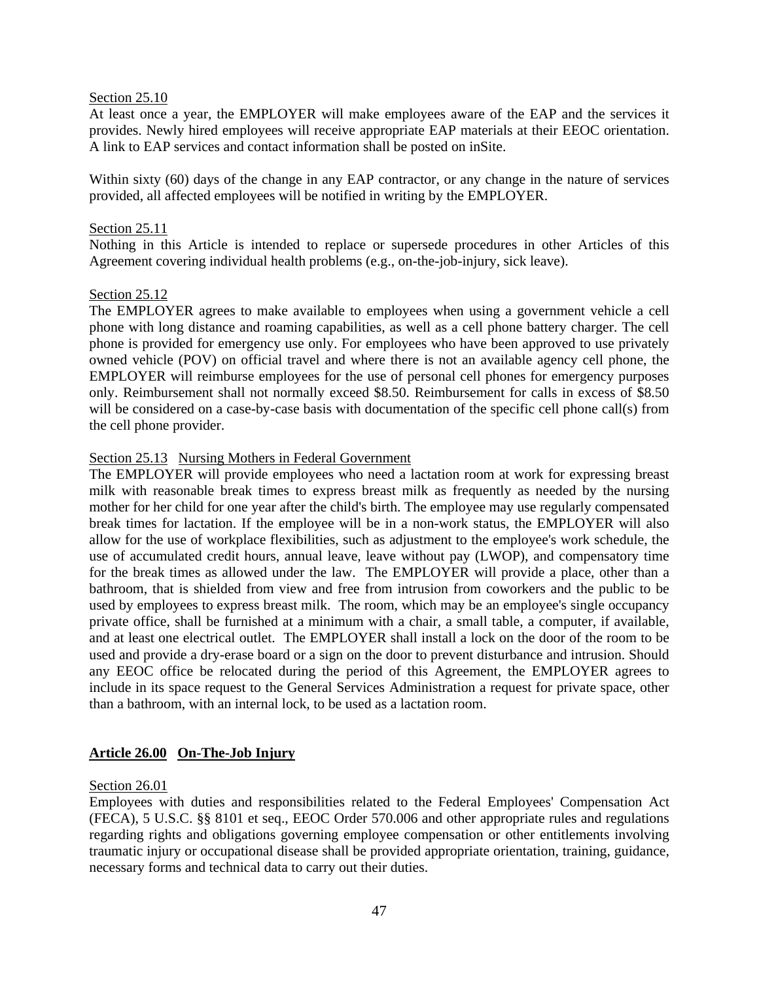### Section 25.10

At least once a year, the EMPLOYER will make employees aware of the EAP and the services it provides. Newly hired employees will receive appropriate EAP materials at their EEOC orientation. A link to EAP services and contact information shall be posted on inSite.

Within sixty (60) days of the change in any EAP contractor, or any change in the nature of services provided, all affected employees will be notified in writing by the EMPLOYER.

#### Section 25.11

Nothing in this Article is intended to replace or supersede procedures in other Articles of this Agreement covering individual health problems (e.g., on-the-job-injury, sick leave).

#### Section 25.12

The EMPLOYER agrees to make available to employees when using a government vehicle a cell phone with long distance and roaming capabilities, as well as a cell phone battery charger. The cell phone is provided for emergency use only. For employees who have been approved to use privately owned vehicle (POV) on official travel and where there is not an available agency cell phone, the EMPLOYER will reimburse employees for the use of personal cell phones for emergency purposes only. Reimbursement shall not normally exceed \$8.50. Reimbursement for calls in excess of \$8.50 will be considered on a case-by-case basis with documentation of the specific cell phone call(s) from the cell phone provider.

### Section 25.13 Nursing Mothers in Federal Government

The EMPLOYER will provide employees who need a lactation room at work for expressing breast milk with reasonable break times to express breast milk as frequently as needed by the nursing mother for her child for one year after the child's birth. The employee may use regularly compensated break times for lactation. If the employee will be in a non-work status, the EMPLOYER will also allow for the use of workplace flexibilities, such as adjustment to the employee's work schedule, the use of accumulated credit hours, annual leave, leave without pay (LWOP), and compensatory time for the break times as allowed under the law. The EMPLOYER will provide a place, other than a bathroom, that is shielded from view and free from intrusion from coworkers and the public to be used by employees to express breast milk. The room, which may be an employee's single occupancy private office, shall be furnished at a minimum with a chair, a small table, a computer, if available, and at least one electrical outlet. The EMPLOYER shall install a lock on the door of the room to be used and provide a dry-erase board or a sign on the door to prevent disturbance and intrusion. Should any EEOC office be relocated during the period of this Agreement, the EMPLOYER agrees to include in its space request to the General Services Administration a request for private space, other than a bathroom, with an internal lock, to be used as a lactation room.

### **Article 26.00 On-The-Job Injury**

#### Section 26.01

Employees with duties and responsibilities related to the Federal Employees' Compensation Act (FECA), 5 U.S.C. §§ 8101 et seq., EEOC Order 570.006 and other appropriate rules and regulations regarding rights and obligations governing employee compensation or other entitlements involving traumatic injury or occupational disease shall be provided appropriate orientation, training, guidance, necessary forms and technical data to carry out their duties.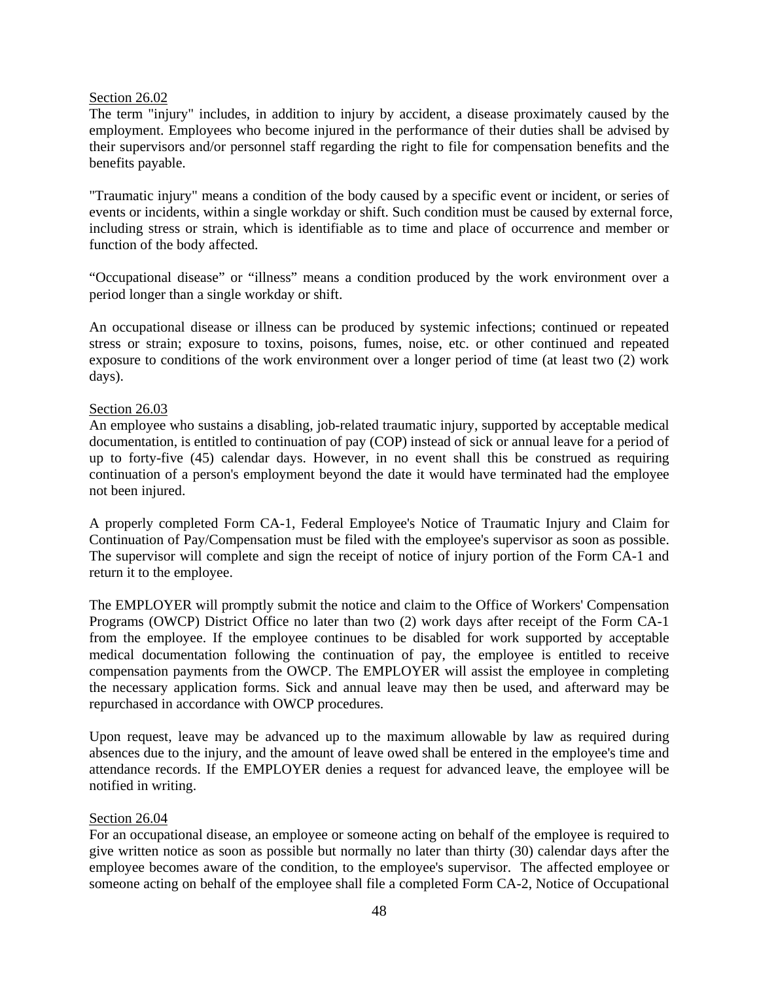### Section 26.02

The term "injury" includes, in addition to injury by accident, a disease proximately caused by the employment. Employees who become injured in the performance of their duties shall be advised by their supervisors and/or personnel staff regarding the right to file for compensation benefits and the benefits payable.

"Traumatic injury" means a condition of the body caused by a specific event or incident, or series of events or incidents, within a single workday or shift. Such condition must be caused by external force, including stress or strain, which is identifiable as to time and place of occurrence and member or function of the body affected.

"Occupational disease" or "illness" means a condition produced by the work environment over a period longer than a single workday or shift.

An occupational disease or illness can be produced by systemic infections; continued or repeated stress or strain; exposure to toxins, poisons, fumes, noise, etc. or other continued and repeated exposure to conditions of the work environment over a longer period of time (at least two (2) work days).

# Section 26.03

An employee who sustains a disabling, job-related traumatic injury, supported by acceptable medical documentation, is entitled to continuation of pay (COP) instead of sick or annual leave for a period of up to forty-five (45) calendar days. However, in no event shall this be construed as requiring continuation of a person's employment beyond the date it would have terminated had the employee not been injured.

A properly completed Form CA-1, Federal Employee's Notice of Traumatic Injury and Claim for Continuation of Pay/Compensation must be filed with the employee's supervisor as soon as possible. The supervisor will complete and sign the receipt of notice of injury portion of the Form CA-1 and return it to the employee.

The EMPLOYER will promptly submit the notice and claim to the Office of Workers' Compensation Programs (OWCP) District Office no later than two (2) work days after receipt of the Form CA-1 from the employee. If the employee continues to be disabled for work supported by acceptable medical documentation following the continuation of pay, the employee is entitled to receive compensation payments from the OWCP. The EMPLOYER will assist the employee in completing the necessary application forms. Sick and annual leave may then be used, and afterward may be repurchased in accordance with OWCP procedures.

Upon request, leave may be advanced up to the maximum allowable by law as required during absences due to the injury, and the amount of leave owed shall be entered in the employee's time and attendance records. If the EMPLOYER denies a request for advanced leave, the employee will be notified in writing.

### Section 26.04

For an occupational disease, an employee or someone acting on behalf of the employee is required to give written notice as soon as possible but normally no later than thirty (30) calendar days after the employee becomes aware of the condition, to the employee's supervisor. The affected employee or someone acting on behalf of the employee shall file a completed Form CA-2, Notice of Occupational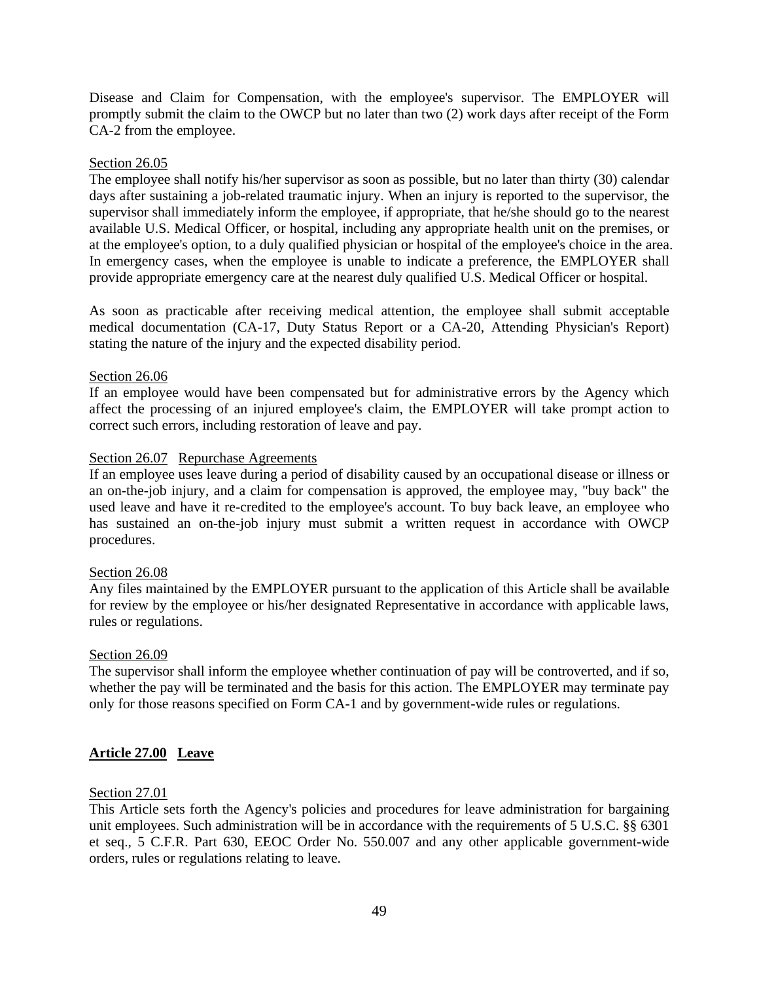Disease and Claim for Compensation, with the employee's supervisor. The EMPLOYER will promptly submit the claim to the OWCP but no later than two (2) work days after receipt of the Form CA-2 from the employee.

# Section 26.05

The employee shall notify his/her supervisor as soon as possible, but no later than thirty (30) calendar days after sustaining a job-related traumatic injury. When an injury is reported to the supervisor, the supervisor shall immediately inform the employee, if appropriate, that he/she should go to the nearest available U.S. Medical Officer, or hospital, including any appropriate health unit on the premises, or at the employee's option, to a duly qualified physician or hospital of the employee's choice in the area. In emergency cases, when the employee is unable to indicate a preference, the EMPLOYER shall provide appropriate emergency care at the nearest duly qualified U.S. Medical Officer or hospital.

As soon as practicable after receiving medical attention, the employee shall submit acceptable medical documentation (CA-17, Duty Status Report or a CA-20, Attending Physician's Report) stating the nature of the injury and the expected disability period.

### Section 26.06

If an employee would have been compensated but for administrative errors by the Agency which affect the processing of an injured employee's claim, the EMPLOYER will take prompt action to correct such errors, including restoration of leave and pay.

# Section 26.07 Repurchase Agreements

If an employee uses leave during a period of disability caused by an occupational disease or illness or an on-the-job injury, and a claim for compensation is approved, the employee may, "buy back" the used leave and have it re-credited to the employee's account. To buy back leave, an employee who has sustained an on-the-job injury must submit a written request in accordance with OWCP procedures.

### Section 26.08

Any files maintained by the EMPLOYER pursuant to the application of this Article shall be available for review by the employee or his/her designated Representative in accordance with applicable laws, rules or regulations.

### Section 26.09

The supervisor shall inform the employee whether continuation of pay will be controverted, and if so, whether the pay will be terminated and the basis for this action. The EMPLOYER may terminate pay only for those reasons specified on Form CA-1 and by government-wide rules or regulations.

# **Article 27.00 Leave**

### Section 27.01

This Article sets forth the Agency's policies and procedures for leave administration for bargaining unit employees. Such administration will be in accordance with the requirements of 5 U.S.C. §§ 6301 et seq., 5 C.F.R. Part 630, EEOC Order No. 550.007 and any other applicable government-wide orders, rules or regulations relating to leave.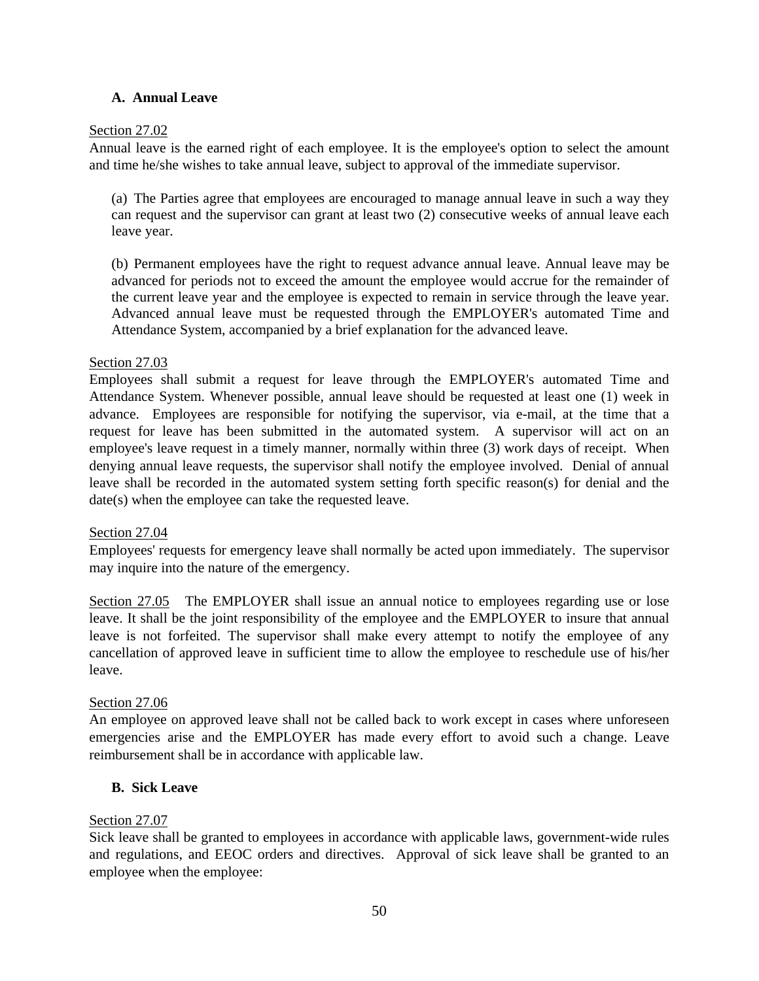# **A. Annual Leave**

# Section 27.02

Annual leave is the earned right of each employee. It is the employee's option to select the amount and time he/she wishes to take annual leave, subject to approval of the immediate supervisor.

(a) The Parties agree that employees are encouraged to manage annual leave in such a way they can request and the supervisor can grant at least two (2) consecutive weeks of annual leave each leave year.

(b) Permanent employees have the right to request advance annual leave. Annual leave may be advanced for periods not to exceed the amount the employee would accrue for the remainder of the current leave year and the employee is expected to remain in service through the leave year. Advanced annual leave must be requested through the EMPLOYER's automated Time and Attendance System, accompanied by a brief explanation for the advanced leave.

# Section 27.03

Employees shall submit a request for leave through the EMPLOYER's automated Time and Attendance System. Whenever possible, annual leave should be requested at least one (1) week in advance. Employees are responsible for notifying the supervisor, via e-mail, at the time that a request for leave has been submitted in the automated system. A supervisor will act on an employee's leave request in a timely manner, normally within three (3) work days of receipt. When denying annual leave requests, the supervisor shall notify the employee involved. Denial of annual leave shall be recorded in the automated system setting forth specific reason(s) for denial and the date(s) when the employee can take the requested leave.

### Section 27.04

Employees' requests for emergency leave shall normally be acted upon immediately. The supervisor may inquire into the nature of the emergency.

Section 27.05 The EMPLOYER shall issue an annual notice to employees regarding use or lose leave. It shall be the joint responsibility of the employee and the EMPLOYER to insure that annual leave is not forfeited. The supervisor shall make every attempt to notify the employee of any cancellation of approved leave in sufficient time to allow the employee to reschedule use of his/her leave.

### Section 27.06

An employee on approved leave shall not be called back to work except in cases where unforeseen emergencies arise and the EMPLOYER has made every effort to avoid such a change. Leave reimbursement shall be in accordance with applicable law.

# **B. Sick Leave**

### Section 27.07

Sick leave shall be granted to employees in accordance with applicable laws, government-wide rules and regulations, and EEOC orders and directives. Approval of sick leave shall be granted to an employee when the employee: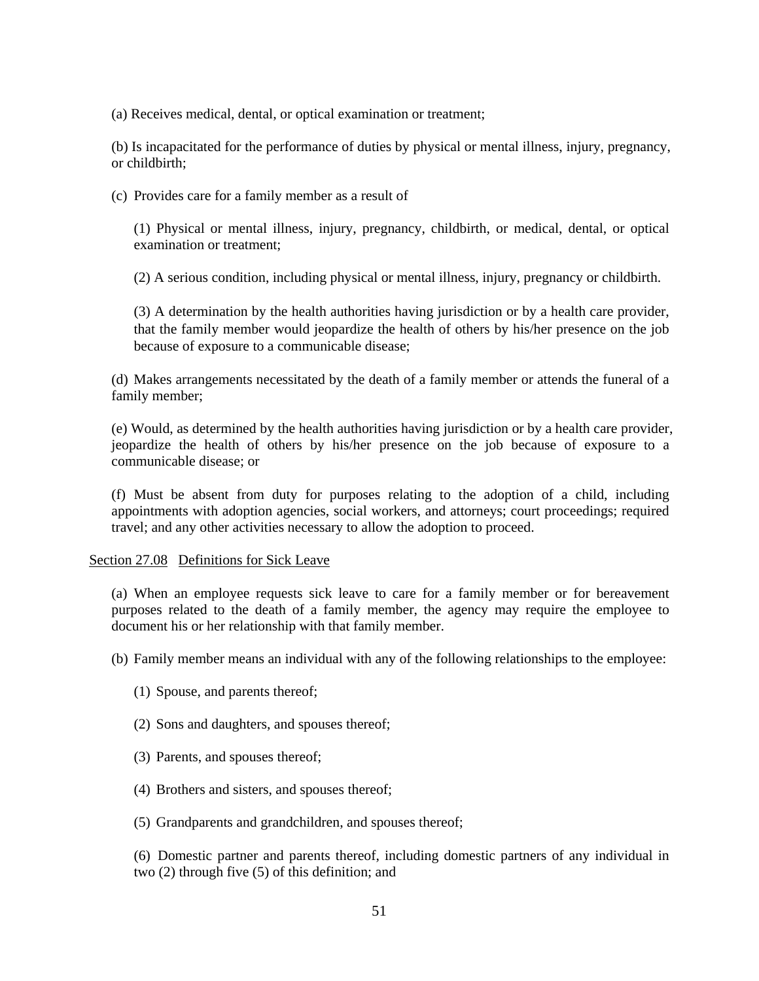(a) Receives medical, dental, or optical examination or treatment;

(b) Is incapacitated for the performance of duties by physical or mental illness, injury, pregnancy, or childbirth;

(c) Provides care for a family member as a result of

(1) Physical or mental illness, injury, pregnancy, childbirth, or medical, dental, or optical examination or treatment;

(2) A serious condition, including physical or mental illness, injury, pregnancy or childbirth.

(3) A determination by the health authorities having jurisdiction or by a health care provider, that the family member would jeopardize the health of others by his/her presence on the job because of exposure to a communicable disease;

(d) Makes arrangements necessitated by the death of a family member or attends the funeral of a family member;

(e) Would, as determined by the health authorities having jurisdiction or by a health care provider, jeopardize the health of others by his/her presence on the job because of exposure to a communicable disease; or

(f) Must be absent from duty for purposes relating to the adoption of a child, including appointments with adoption agencies, social workers, and attorneys; court proceedings; required travel; and any other activities necessary to allow the adoption to proceed.

Section 27.08 Definitions for Sick Leave

(a) When an employee requests sick leave to care for a family member or for bereavement purposes related to the death of a family member, the agency may require the employee to document his or her relationship with that family member.

(b) Family member means an individual with any of the following relationships to the employee:

- (1) Spouse, and parents thereof;
- (2) Sons and daughters, and spouses thereof;
- (3) Parents, and spouses thereof;
- (4) Brothers and sisters, and spouses thereof;

(5) Grandparents and grandchildren, and spouses thereof;

(6) Domestic partner and parents thereof, including domestic partners of any individual in two (2) through five (5) of this definition; and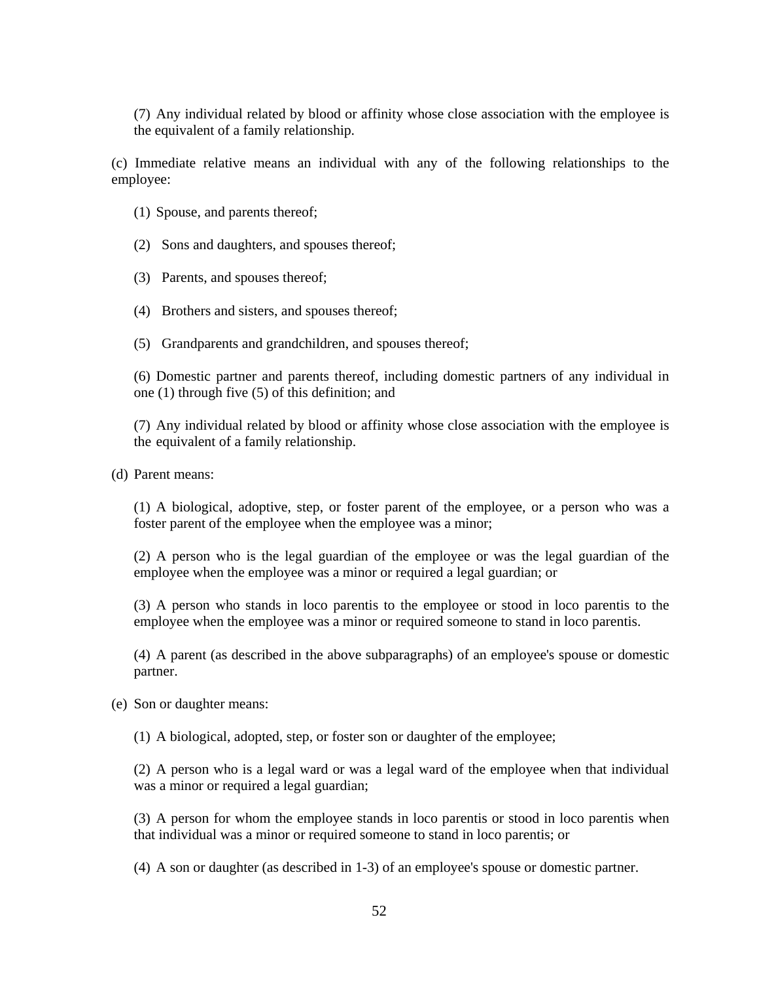(7) Any individual related by blood or affinity whose close association with the employee is the equivalent of a family relationship.

(c) Immediate relative means an individual with any of the following relationships to the employee:

- (1) Spouse, and parents thereof;
- (2) Sons and daughters, and spouses thereof;
- (3) Parents, and spouses thereof;
- (4) Brothers and sisters, and spouses thereof;
- (5) Grandparents and grandchildren, and spouses thereof;

(6) Domestic partner and parents thereof, including domestic partners of any individual in one (1) through five (5) of this definition; and

(7) Any individual related by blood or affinity whose close association with the employee is the equivalent of a family relationship.

(d) Parent means:

(1) A biological, adoptive, step, or foster parent of the employee, or a person who was a foster parent of the employee when the employee was a minor;

(2) A person who is the legal guardian of the employee or was the legal guardian of the employee when the employee was a minor or required a legal guardian; or

(3) A person who stands in loco parentis to the employee or stood in loco parentis to the employee when the employee was a minor or required someone to stand in loco parentis.

(4) A parent (as described in the above subparagraphs) of an employee's spouse or domestic partner.

(e) Son or daughter means:

(1) A biological, adopted, step, or foster son or daughter of the employee;

(2) A person who is a legal ward or was a legal ward of the employee when that individual was a minor or required a legal guardian;

(3) A person for whom the employee stands in loco parentis or stood in loco parentis when that individual was a minor or required someone to stand in loco parentis; or

(4) A son or daughter (as described in 1-3) of an employee's spouse or domestic partner.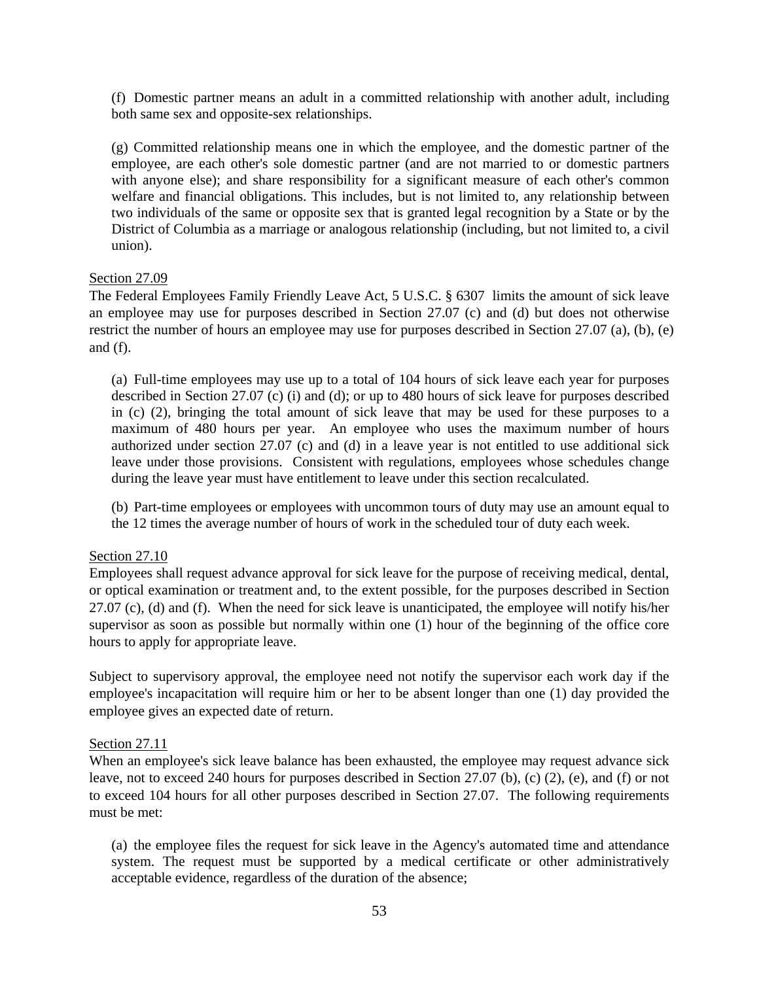(f) Domestic partner means an adult in a committed relationship with another adult, including both same sex and opposite-sex relationships.

(g) Committed relationship means one in which the employee, and the domestic partner of the employee, are each other's sole domestic partner (and are not married to or domestic partners with anyone else); and share responsibility for a significant measure of each other's common welfare and financial obligations. This includes, but is not limited to, any relationship between two individuals of the same or opposite sex that is granted legal recognition by a State or by the District of Columbia as a marriage or analogous relationship (including, but not limited to, a civil union).

### Section 27.09

The Federal Employees Family Friendly Leave Act, 5 U.S.C. § 6307 limits the amount of sick leave an employee may use for purposes described in Section 27.07 (c) and (d) but does not otherwise restrict the number of hours an employee may use for purposes described in Section 27.07 (a), (b), (e) and (f).

(a) Full-time employees may use up to a total of 104 hours of sick leave each year for purposes described in Section 27.07 (c) (i) and (d); or up to 480 hours of sick leave for purposes described in (c) (2), bringing the total amount of sick leave that may be used for these purposes to a maximum of 480 hours per year. An employee who uses the maximum number of hours authorized under section 27.07 (c) and (d) in a leave year is not entitled to use additional sick leave under those provisions. Consistent with regulations, employees whose schedules change during the leave year must have entitlement to leave under this section recalculated.

(b) Part-time employees or employees with uncommon tours of duty may use an amount equal to the 12 times the average number of hours of work in the scheduled tour of duty each week.

### Section 27.10

Employees shall request advance approval for sick leave for the purpose of receiving medical, dental, or optical examination or treatment and, to the extent possible, for the purposes described in Section 27.07 (c), (d) and (f). When the need for sick leave is unanticipated, the employee will notify his/her supervisor as soon as possible but normally within one (1) hour of the beginning of the office core hours to apply for appropriate leave.

Subject to supervisory approval, the employee need not notify the supervisor each work day if the employee's incapacitation will require him or her to be absent longer than one (1) day provided the employee gives an expected date of return.

### Section 27.11

When an employee's sick leave balance has been exhausted, the employee may request advance sick leave, not to exceed 240 hours for purposes described in Section 27.07 (b), (c) (2), (e), and (f) or not to exceed 104 hours for all other purposes described in Section 27.07. The following requirements must be met:

(a) the employee files the request for sick leave in the Agency's automated time and attendance system. The request must be supported by a medical certificate or other administratively acceptable evidence, regardless of the duration of the absence;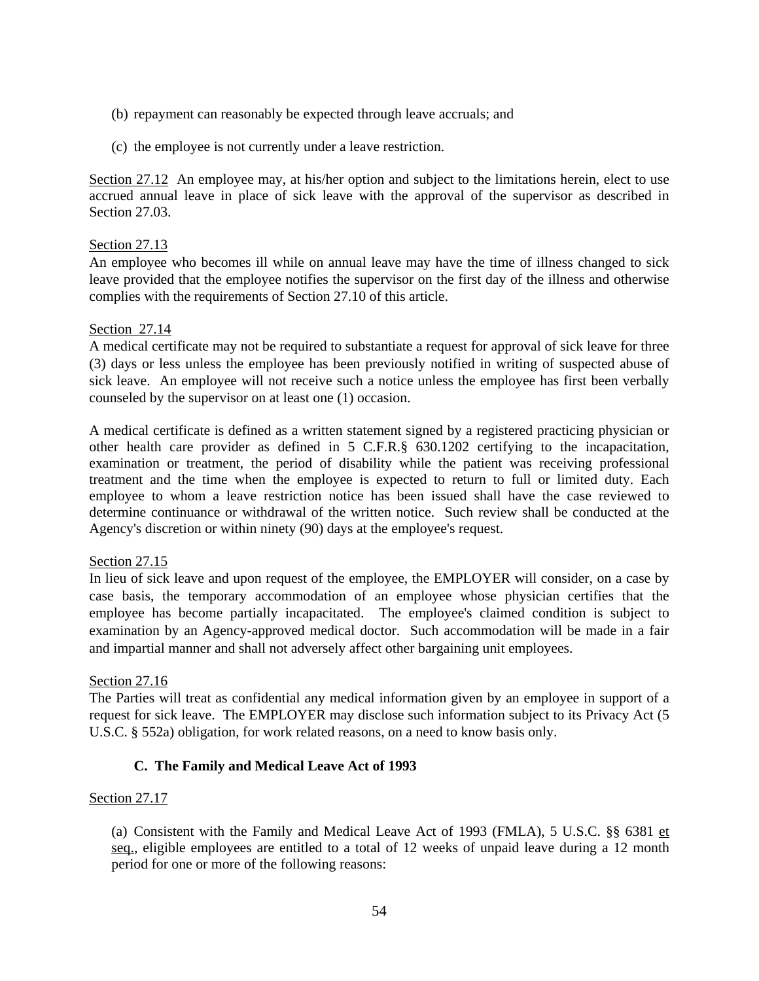- (b) repayment can reasonably be expected through leave accruals; and
- (c) the employee is not currently under a leave restriction.

Section 27.12 An employee may, at his/her option and subject to the limitations herein, elect to use accrued annual leave in place of sick leave with the approval of the supervisor as described in Section 27.03.

# Section 27.13

An employee who becomes ill while on annual leave may have the time of illness changed to sick leave provided that the employee notifies the supervisor on the first day of the illness and otherwise complies with the requirements of Section 27.10 of this article.

# Section 27.14

A medical certificate may not be required to substantiate a request for approval of sick leave for three (3) days or less unless the employee has been previously notified in writing of suspected abuse of sick leave. An employee will not receive such a notice unless the employee has first been verbally counseled by the supervisor on at least one (1) occasion.

A medical certificate is defined as a written statement signed by a registered practicing physician or other health care provider as defined in 5 C.F.R.§ 630.1202 certifying to the incapacitation, examination or treatment, the period of disability while the patient was receiving professional treatment and the time when the employee is expected to return to full or limited duty. Each employee to whom a leave restriction notice has been issued shall have the case reviewed to determine continuance or withdrawal of the written notice. Such review shall be conducted at the Agency's discretion or within ninety (90) days at the employee's request.

# Section 27.15

In lieu of sick leave and upon request of the employee, the EMPLOYER will consider, on a case by case basis, the temporary accommodation of an employee whose physician certifies that the employee has become partially incapacitated. The employee's claimed condition is subject to examination by an Agency-approved medical doctor. Such accommodation will be made in a fair and impartial manner and shall not adversely affect other bargaining unit employees.

# Section 27.16

The Parties will treat as confidential any medical information given by an employee in support of a request for sick leave. The EMPLOYER may disclose such information subject to its Privacy Act (5 U.S.C. § 552a) obligation, for work related reasons, on a need to know basis only.

# **C. The Family and Medical Leave Act of 1993**

# Section 27.17

(a) Consistent with the Family and Medical Leave Act of 1993 (FMLA), 5 U.S.C. §§ 6381 et seq., eligible employees are entitled to a total of 12 weeks of unpaid leave during a 12 month period for one or more of the following reasons: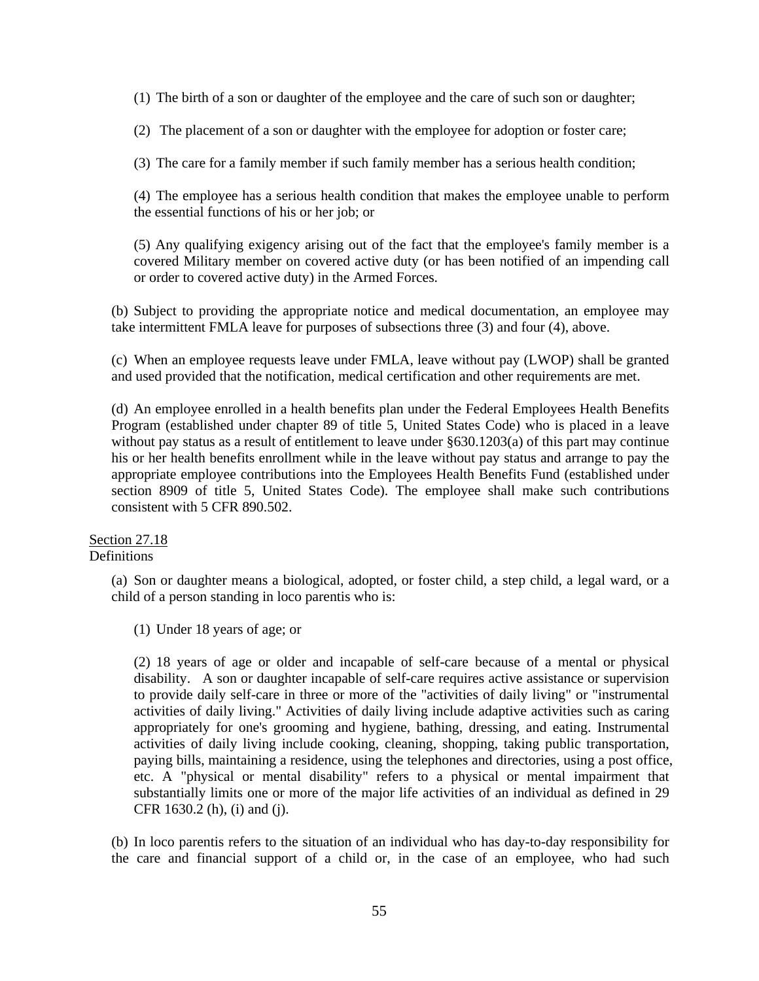(1) The birth of a son or daughter of the employee and the care of such son or daughter;

(2) The placement of a son or daughter with the employee for adoption or foster care;

(3) The care for a family member if such family member has a serious health condition;

(4) The employee has a serious health condition that makes the employee unable to perform the essential functions of his or her job; or

(5) Any qualifying exigency arising out of the fact that the employee's family member is a covered Military member on covered active duty (or has been notified of an impending call or order to covered active duty) in the Armed Forces.

(b) Subject to providing the appropriate notice and medical documentation, an employee may take intermittent FMLA leave for purposes of subsections three (3) and four (4), above.

(c) When an employee requests leave under FMLA, leave without pay (LWOP) shall be granted and used provided that the notification, medical certification and other requirements are met.

(d) An employee enrolled in a health benefits plan under the Federal Employees Health Benefits Program (established under chapter 89 of title 5, United States Code) who is placed in a leave without pay status as a result of entitlement to leave under  $\S 630.1203(a)$  of this part may continue his or her health benefits enrollment while in the leave without pay status and arrange to pay the appropriate employee contributions into the Employees Health Benefits Fund (established under section 8909 of title 5, United States Code). The employee shall make such contributions consistent with 5 CFR 890.502.

Section 27.18 **Definitions** 

> (a) Son or daughter means a biological, adopted, or foster child, a step child, a legal ward, or a child of a person standing in loco parentis who is:

(1) Under 18 years of age; or

(2) 18 years of age or older and incapable of self-care because of a mental or physical disability. A son or daughter incapable of self-care requires active assistance or supervision to provide daily self-care in three or more of the "activities of daily living" or "instrumental activities of daily living." Activities of daily living include adaptive activities such as caring appropriately for one's grooming and hygiene, bathing, dressing, and eating. Instrumental activities of daily living include cooking, cleaning, shopping, taking public transportation, paying bills, maintaining a residence, using the telephones and directories, using a post office, etc. A "physical or mental disability" refers to a physical or mental impairment that substantially limits one or more of the major life activities of an individual as defined in 29 CFR 1630.2 (h), (i) and (j).

(b) In loco parentis refers to the situation of an individual who has day-to-day responsibility for the care and financial support of a child or, in the case of an employee, who had such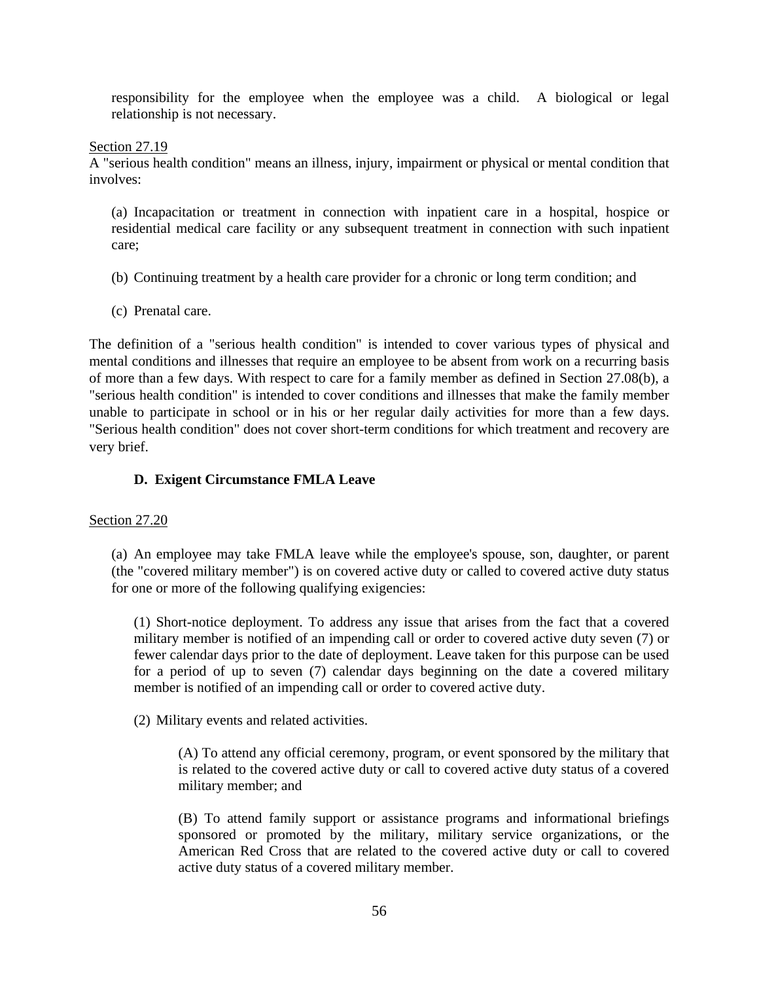responsibility for the employee when the employee was a child. A biological or legal relationship is not necessary.

Section 27.19

A "serious health condition" means an illness, injury, impairment or physical or mental condition that involves:

(a) Incapacitation or treatment in connection with inpatient care in a hospital, hospice or residential medical care facility or any subsequent treatment in connection with such inpatient care;

- (b) Continuing treatment by a health care provider for a chronic or long term condition; and
- (c) Prenatal care.

The definition of a "serious health condition" is intended to cover various types of physical and mental conditions and illnesses that require an employee to be absent from work on a recurring basis of more than a few days. With respect to care for a family member as defined in Section 27.08(b), a "serious health condition" is intended to cover conditions and illnesses that make the family member unable to participate in school or in his or her regular daily activities for more than a few days. "Serious health condition" does not cover short-term conditions for which treatment and recovery are very brief.

# **D. Exigent Circumstance FMLA Leave**

# Section 27.20

(a) An employee may take FMLA leave while the employee's spouse, son, daughter, or parent (the "covered military member") is on covered active duty or called to covered active duty status for one or more of the following qualifying exigencies:

(1) Short-notice deployment. To address any issue that arises from the fact that a covered military member is notified of an impending call or order to covered active duty seven (7) or fewer calendar days prior to the date of deployment. Leave taken for this purpose can be used for a period of up to seven (7) calendar days beginning on the date a covered military member is notified of an impending call or order to covered active duty.

(2) Military events and related activities.

(A) To attend any official ceremony, program, or event sponsored by the military that is related to the covered active duty or call to covered active duty status of a covered military member; and

(B) To attend family support or assistance programs and informational briefings sponsored or promoted by the military, military service organizations, or the American Red Cross that are related to the covered active duty or call to covered active duty status of a covered military member.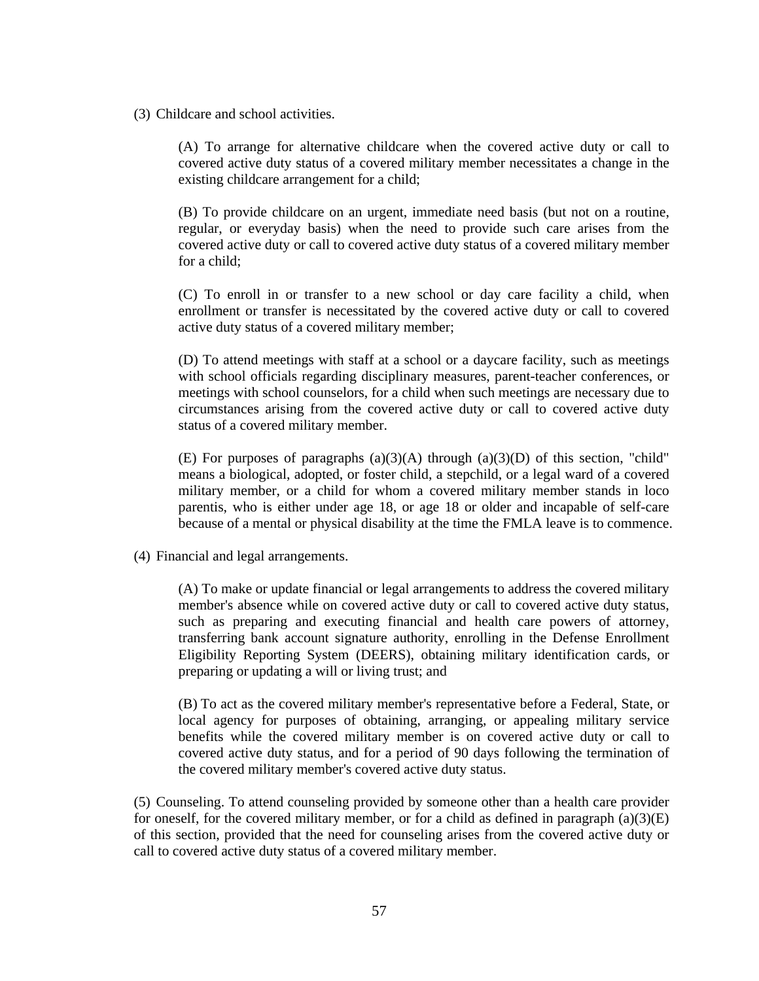(3) Childcare and school activities.

(A) To arrange for alternative childcare when the covered active duty or call to covered active duty status of a covered military member necessitates a change in the existing childcare arrangement for a child;

(B) To provide childcare on an urgent, immediate need basis (but not on a routine, regular, or everyday basis) when the need to provide such care arises from the covered active duty or call to covered active duty status of a covered military member for a child;

(C) To enroll in or transfer to a new school or day care facility a child, when enrollment or transfer is necessitated by the covered active duty or call to covered active duty status of a covered military member;

(D) To attend meetings with staff at a school or a daycare facility, such as meetings with school officials regarding disciplinary measures, parent-teacher conferences, or meetings with school counselors, for a child when such meetings are necessary due to circumstances arising from the covered active duty or call to covered active duty status of a covered military member.

(E) For purposes of paragraphs  $(a)(3)(A)$  through  $(a)(3)(D)$  of this section, "child" means a biological, adopted, or foster child, a stepchild, or a legal ward of a covered military member, or a child for whom a covered military member stands in loco parentis, who is either under age 18, or age 18 or older and incapable of self-care because of a mental or physical disability at the time the FMLA leave is to commence.

(4) Financial and legal arrangements.

(A) To make or update financial or legal arrangements to address the covered military member's absence while on covered active duty or call to covered active duty status, such as preparing and executing financial and health care powers of attorney, transferring bank account signature authority, enrolling in the Defense Enrollment Eligibility Reporting System (DEERS), obtaining military identification cards, or preparing or updating a will or living trust; and

(B) To act as the covered military member's representative before a Federal, State, or local agency for purposes of obtaining, arranging, or appealing military service benefits while the covered military member is on covered active duty or call to covered active duty status, and for a period of 90 days following the termination of the covered military member's covered active duty status.

(5) Counseling. To attend counseling provided by someone other than a health care provider for oneself, for the covered military member, or for a child as defined in paragraph  $(a)(3)(E)$ of this section, provided that the need for counseling arises from the covered active duty or call to covered active duty status of a covered military member.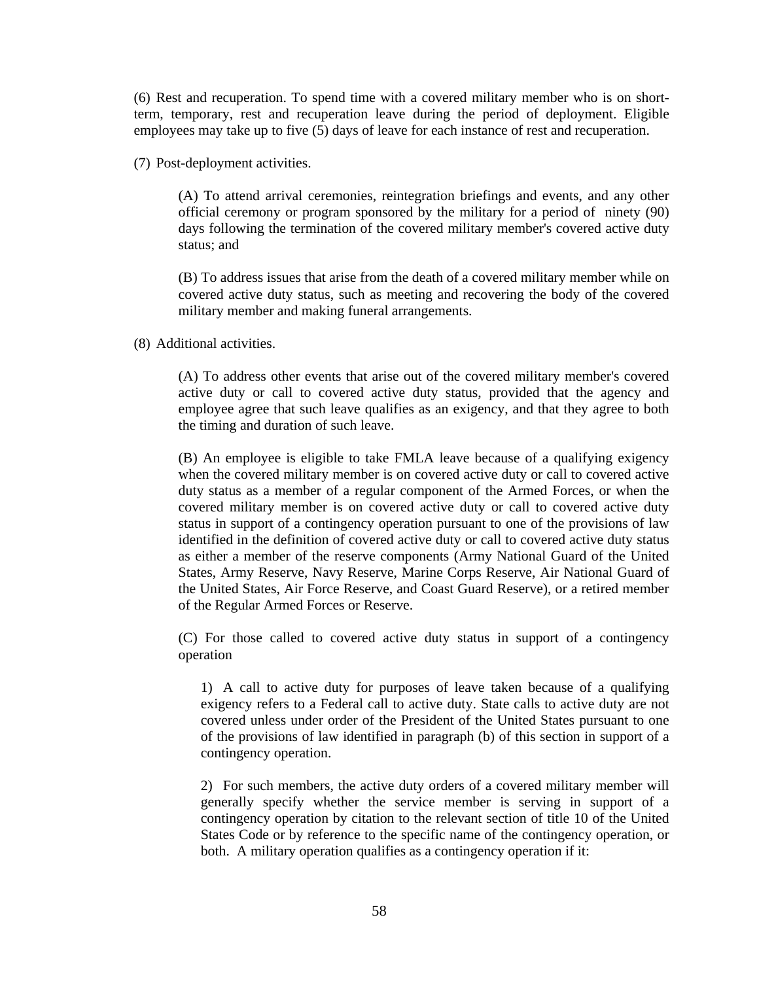(6) Rest and recuperation. To spend time with a covered military member who is on shortterm, temporary, rest and recuperation leave during the period of deployment. Eligible employees may take up to five (5) days of leave for each instance of rest and recuperation.

(7) Post-deployment activities.

(A) To attend arrival ceremonies, reintegration briefings and events, and any other official ceremony or program sponsored by the military for a period of ninety (90) days following the termination of the covered military member's covered active duty status; and

(B) To address issues that arise from the death of a covered military member while on covered active duty status, such as meeting and recovering the body of the covered military member and making funeral arrangements.

(8) Additional activities.

(A) To address other events that arise out of the covered military member's covered active duty or call to covered active duty status, provided that the agency and employee agree that such leave qualifies as an exigency, and that they agree to both the timing and duration of such leave.

(B) An employee is eligible to take FMLA leave because of a qualifying exigency when the covered military member is on covered active duty or call to covered active duty status as a member of a regular component of the Armed Forces, or when the covered military member is on covered active duty or call to covered active duty status in support of a contingency operation pursuant to one of the provisions of law identified in the definition of covered active duty or call to covered active duty status as either a member of the reserve components (Army National Guard of the United States, Army Reserve, Navy Reserve, Marine Corps Reserve, Air National Guard of the United States, Air Force Reserve, and Coast Guard Reserve), or a retired member of the Regular Armed Forces or Reserve.

(C) For those called to covered active duty status in support of a contingency operation

1) A call to active duty for purposes of leave taken because of a qualifying exigency refers to a Federal call to active duty. State calls to active duty are not covered unless under order of the President of the United States pursuant to one of the provisions of law identified in paragraph (b) of this section in support of a contingency operation.

2) For such members, the active duty orders of a covered military member will generally specify whether the service member is serving in support of a contingency operation by citation to the relevant section of title 10 of the United States Code or by reference to the specific name of the contingency operation, or both. A military operation qualifies as a contingency operation if it: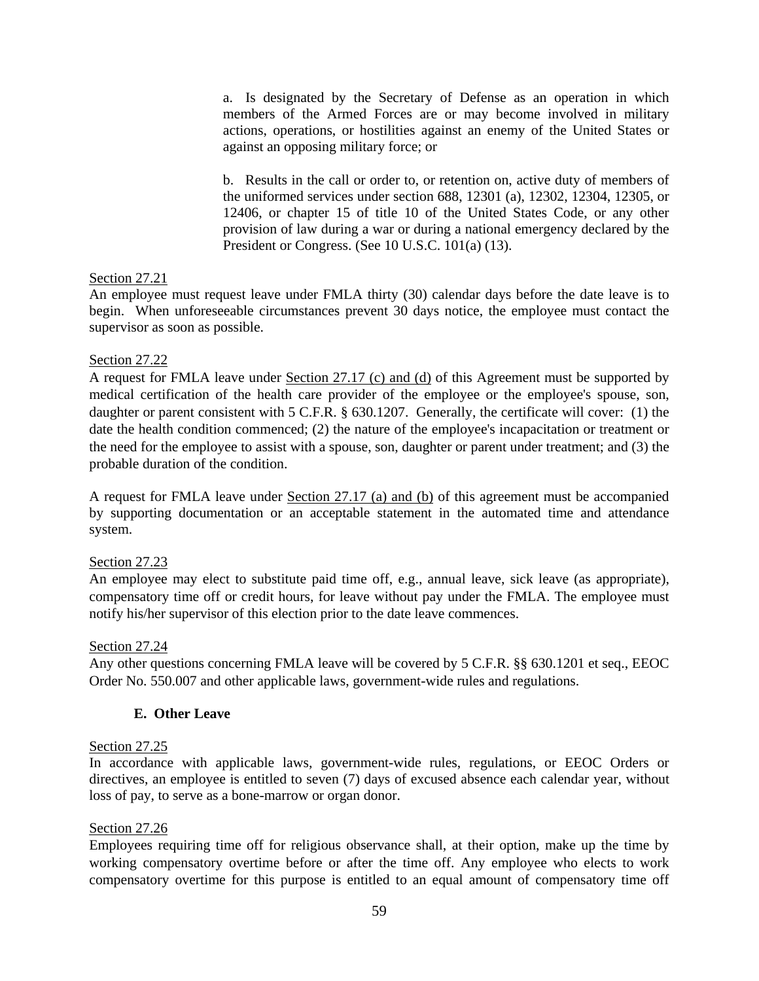a. Is designated by the Secretary of Defense as an operation in which members of the Armed Forces are or may become involved in military actions, operations, or hostilities against an enemy of the United States or against an opposing military force; or

b. Results in the call or order to, or retention on, active duty of members of the uniformed services under section 688, 12301 (a), 12302, 12304, 12305, or 12406, or chapter 15 of title 10 of the United States Code, or any other provision of law during a war or during a national emergency declared by the President or Congress. (See 10 U.S.C. 101(a) (13).

# Section 27.21

An employee must request leave under FMLA thirty (30) calendar days before the date leave is to begin. When unforeseeable circumstances prevent 30 days notice, the employee must contact the supervisor as soon as possible.

# Section 27.22

A request for FMLA leave under Section 27.17 (c) and (d) of this Agreement must be supported by medical certification of the health care provider of the employee or the employee's spouse, son, daughter or parent consistent with 5 C.F.R. § 630.1207. Generally, the certificate will cover: (1) the date the health condition commenced; (2) the nature of the employee's incapacitation or treatment or the need for the employee to assist with a spouse, son, daughter or parent under treatment; and (3) the probable duration of the condition.

A request for FMLA leave under Section 27.17 (a) and (b) of this agreement must be accompanied by supporting documentation or an acceptable statement in the automated time and attendance system.

# Section 27.23

An employee may elect to substitute paid time off, e.g., annual leave, sick leave (as appropriate), compensatory time off or credit hours, for leave without pay under the FMLA. The employee must notify his/her supervisor of this election prior to the date leave commences.

### Section 27.24

Any other questions concerning FMLA leave will be covered by 5 C.F.R. §§ 630.1201 et seq., EEOC Order No. 550.007 and other applicable laws, government-wide rules and regulations.

# **E. Other Leave**

### Section 27.25

In accordance with applicable laws, government-wide rules, regulations, or EEOC Orders or directives, an employee is entitled to seven (7) days of excused absence each calendar year, without loss of pay, to serve as a bone-marrow or organ donor.

# Section 27.26

Employees requiring time off for religious observance shall, at their option, make up the time by working compensatory overtime before or after the time off. Any employee who elects to work compensatory overtime for this purpose is entitled to an equal amount of compensatory time off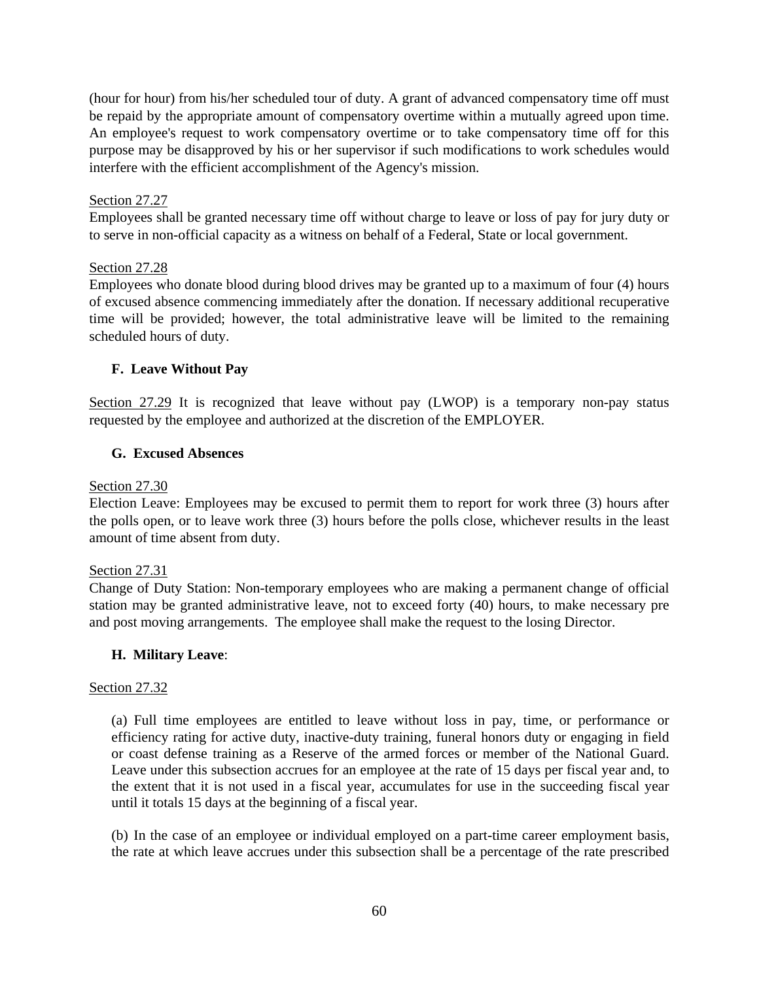(hour for hour) from his/her scheduled tour of duty. A grant of advanced compensatory time off must be repaid by the appropriate amount of compensatory overtime within a mutually agreed upon time. An employee's request to work compensatory overtime or to take compensatory time off for this purpose may be disapproved by his or her supervisor if such modifications to work schedules would interfere with the efficient accomplishment of the Agency's mission.

# Section 27.27

Employees shall be granted necessary time off without charge to leave or loss of pay for jury duty or to serve in non-official capacity as a witness on behalf of a Federal, State or local government.

# Section 27.28

Employees who donate blood during blood drives may be granted up to a maximum of four (4) hours of excused absence commencing immediately after the donation. If necessary additional recuperative time will be provided; however, the total administrative leave will be limited to the remaining scheduled hours of duty.

# **F. Leave Without Pay**

Section 27.29 It is recognized that leave without pay (LWOP) is a temporary non-pay status requested by the employee and authorized at the discretion of the EMPLOYER.

# **G. Excused Absences**

# Section 27.30

Election Leave: Employees may be excused to permit them to report for work three (3) hours after the polls open, or to leave work three (3) hours before the polls close, whichever results in the least amount of time absent from duty.

### Section 27.31

Change of Duty Station: Non-temporary employees who are making a permanent change of official station may be granted administrative leave, not to exceed forty (40) hours, to make necessary pre and post moving arrangements. The employee shall make the request to the losing Director.

# **H. Military Leave**:

### Section 27.32

(a) Full time employees are entitled to leave without loss in pay, time, or performance or efficiency rating for active duty, inactive-duty training, funeral honors duty or engaging in field or coast defense training as a Reserve of the armed forces or member of the National Guard. Leave under this subsection accrues for an employee at the rate of 15 days per fiscal year and, to the extent that it is not used in a fiscal year, accumulates for use in the succeeding fiscal year until it totals 15 days at the beginning of a fiscal year.

(b) In the case of an employee or individual employed on a part-time career employment basis, the rate at which leave accrues under this subsection shall be a percentage of the rate prescribed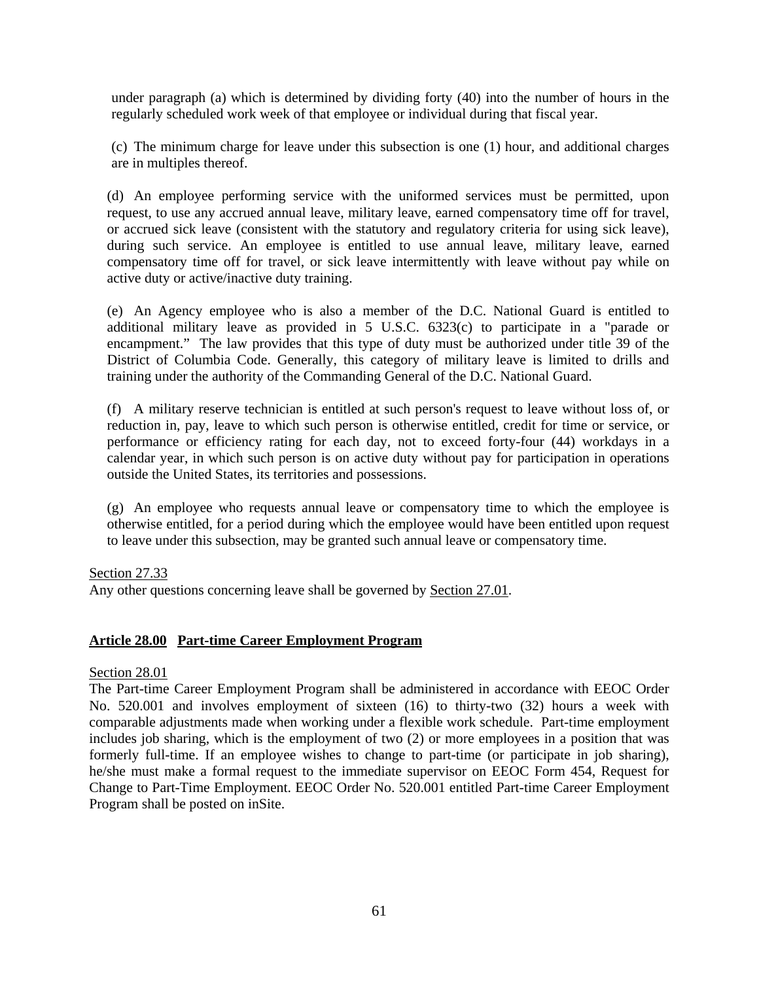under paragraph (a) which is determined by dividing forty (40) into the number of hours in the regularly scheduled work week of that employee or individual during that fiscal year.

(c) The minimum charge for leave under this subsection is one (1) hour, and additional charges are in multiples thereof.

(d) An employee performing service with the uniformed services must be permitted, upon request, to use any accrued annual leave, military leave, earned compensatory time off for travel, or accrued sick leave (consistent with the statutory and regulatory criteria for using sick leave), during such service. An employee is entitled to use annual leave, military leave, earned compensatory time off for travel, or sick leave intermittently with leave without pay while on active duty or active/inactive duty training.

(e) An Agency employee who is also a member of the D.C. National Guard is entitled to additional military leave as provided in 5 U.S.C. 6323(c) to participate in a "parade or encampment." The law provides that this type of duty must be authorized under title 39 of the District of Columbia Code. Generally, this category of military leave is limited to drills and training under the authority of the Commanding General of the D.C. National Guard.

(f) A military reserve technician is entitled at such person's request to leave without loss of, or reduction in, pay, leave to which such person is otherwise entitled, credit for time or service, or performance or efficiency rating for each day, not to exceed forty-four (44) workdays in a calendar year, in which such person is on active duty without pay for participation in operations outside the United States, its territories and possessions.

(g) An employee who requests annual leave or compensatory time to which the employee is otherwise entitled, for a period during which the employee would have been entitled upon request to leave under this subsection, may be granted such annual leave or compensatory time.

# Section 27.33

Any other questions concerning leave shall be governed by Section 27.01.

### **Article 28.00 Part-time Career Employment Program**

### Section 28.01

The Part-time Career Employment Program shall be administered in accordance with EEOC Order No. 520.001 and involves employment of sixteen (16) to thirty-two (32) hours a week with comparable adjustments made when working under a flexible work schedule. Part-time employment includes job sharing, which is the employment of two (2) or more employees in a position that was formerly full-time. If an employee wishes to change to part-time (or participate in job sharing), he/she must make a formal request to the immediate supervisor on EEOC Form 454, Request for Change to Part-Time Employment. EEOC Order No. 520.001 entitled Part-time Career Employment Program shall be posted on inSite.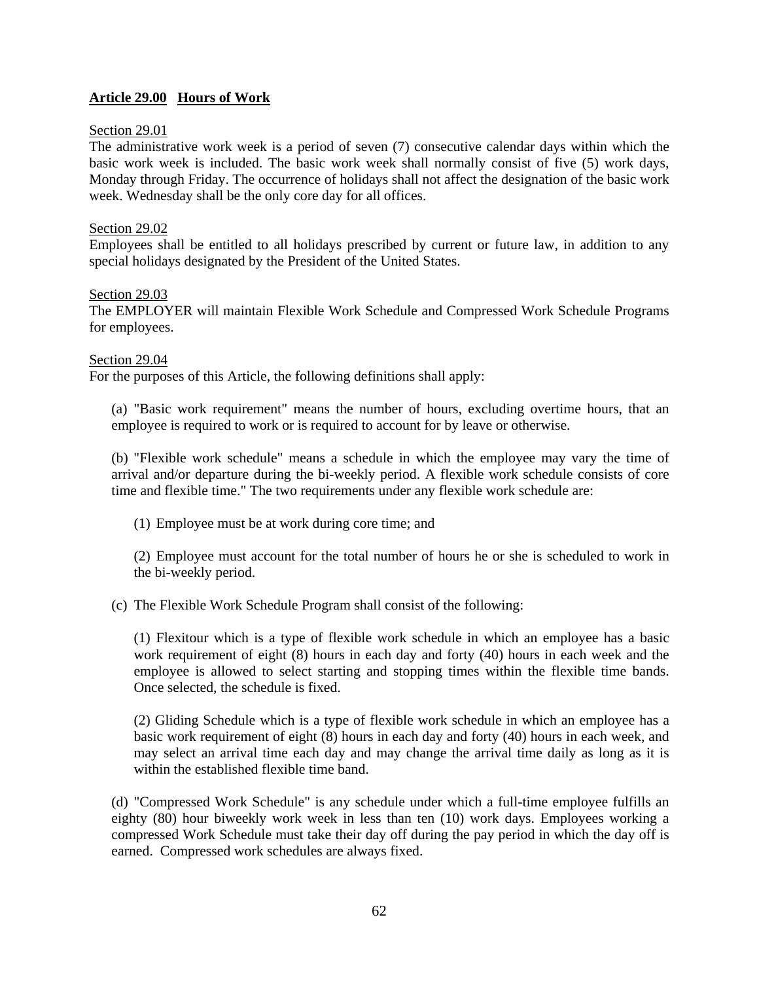# **Article 29.00 Hours of Work**

### Section 29.01

The administrative work week is a period of seven (7) consecutive calendar days within which the basic work week is included. The basic work week shall normally consist of five (5) work days, Monday through Friday. The occurrence of holidays shall not affect the designation of the basic work week. Wednesday shall be the only core day for all offices.

### Section 29.02

Employees shall be entitled to all holidays prescribed by current or future law, in addition to any special holidays designated by the President of the United States.

### Section 29.03

The EMPLOYER will maintain Flexible Work Schedule and Compressed Work Schedule Programs for employees.

# Section 29.04

For the purposes of this Article, the following definitions shall apply:

(a) "Basic work requirement" means the number of hours, excluding overtime hours, that an employee is required to work or is required to account for by leave or otherwise.

(b) "Flexible work schedule" means a schedule in which the employee may vary the time of arrival and/or departure during the bi-weekly period. A flexible work schedule consists of core time and flexible time." The two requirements under any flexible work schedule are:

(1) Employee must be at work during core time; and

(2) Employee must account for the total number of hours he or she is scheduled to work in the bi-weekly period.

(c) The Flexible Work Schedule Program shall consist of the following:

(1) Flexitour which is a type of flexible work schedule in which an employee has a basic work requirement of eight (8) hours in each day and forty (40) hours in each week and the employee is allowed to select starting and stopping times within the flexible time bands. Once selected, the schedule is fixed.

(2) Gliding Schedule which is a type of flexible work schedule in which an employee has a basic work requirement of eight (8) hours in each day and forty (40) hours in each week, and may select an arrival time each day and may change the arrival time daily as long as it is within the established flexible time band.

(d) "Compressed Work Schedule" is any schedule under which a full-time employee fulfills an eighty (80) hour biweekly work week in less than ten (10) work days. Employees working a compressed Work Schedule must take their day off during the pay period in which the day off is earned. Compressed work schedules are always fixed.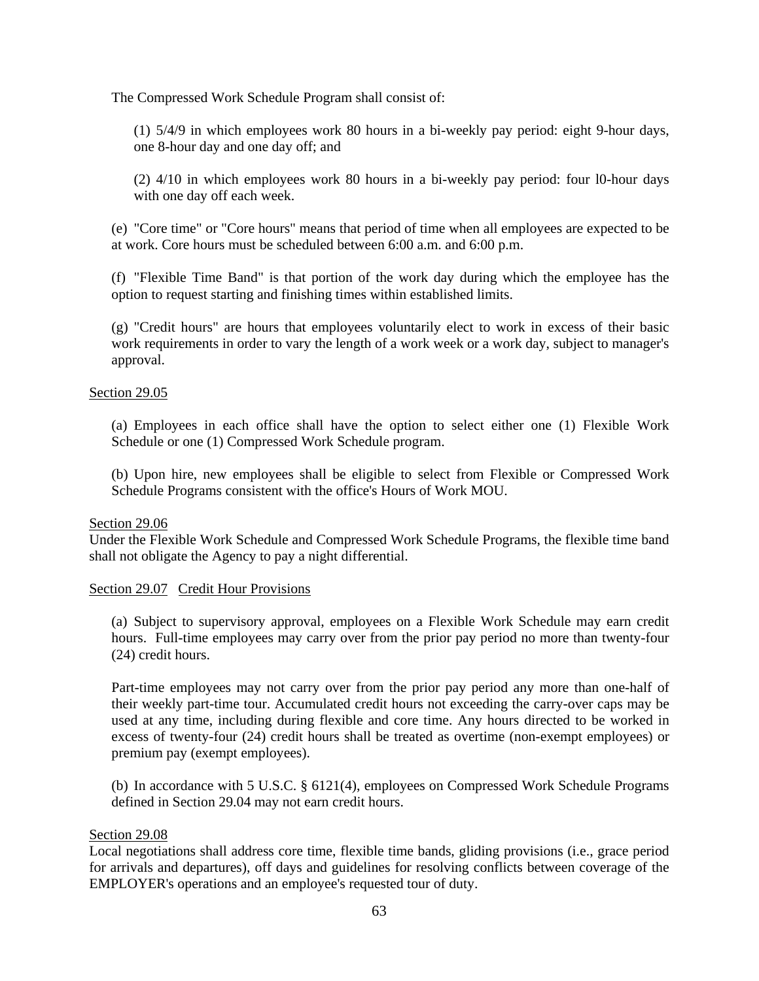The Compressed Work Schedule Program shall consist of:

(1) 5/4/9 in which employees work 80 hours in a bi-weekly pay period: eight 9-hour days, one 8-hour day and one day off; and

(2) 4/10 in which employees work 80 hours in a bi-weekly pay period: four l0-hour days with one day off each week.

(e) "Core time" or "Core hours" means that period of time when all employees are expected to be at work. Core hours must be scheduled between 6:00 a.m. and 6:00 p.m.

(f) "Flexible Time Band" is that portion of the work day during which the employee has the option to request starting and finishing times within established limits.

(g) "Credit hours" are hours that employees voluntarily elect to work in excess of their basic work requirements in order to vary the length of a work week or a work day, subject to manager's approval.

# Section 29.05

(a) Employees in each office shall have the option to select either one (1) Flexible Work Schedule or one (1) Compressed Work Schedule program.

(b) Upon hire, new employees shall be eligible to select from Flexible or Compressed Work Schedule Programs consistent with the office's Hours of Work MOU.

### Section 29.06

Under the Flexible Work Schedule and Compressed Work Schedule Programs, the flexible time band shall not obligate the Agency to pay a night differential.

### Section 29.07 Credit Hour Provisions

(a) Subject to supervisory approval, employees on a Flexible Work Schedule may earn credit hours. Full-time employees may carry over from the prior pay period no more than twenty-four (24) credit hours.

Part-time employees may not carry over from the prior pay period any more than one-half of their weekly part-time tour. Accumulated credit hours not exceeding the carry-over caps may be used at any time, including during flexible and core time. Any hours directed to be worked in excess of twenty-four (24) credit hours shall be treated as overtime (non-exempt employees) or premium pay (exempt employees).

(b) In accordance with 5 U.S.C. § 6121(4), employees on Compressed Work Schedule Programs defined in Section 29.04 may not earn credit hours.

### Section 29.08

Local negotiations shall address core time, flexible time bands, gliding provisions (i.e., grace period for arrivals and departures), off days and guidelines for resolving conflicts between coverage of the EMPLOYER's operations and an employee's requested tour of duty.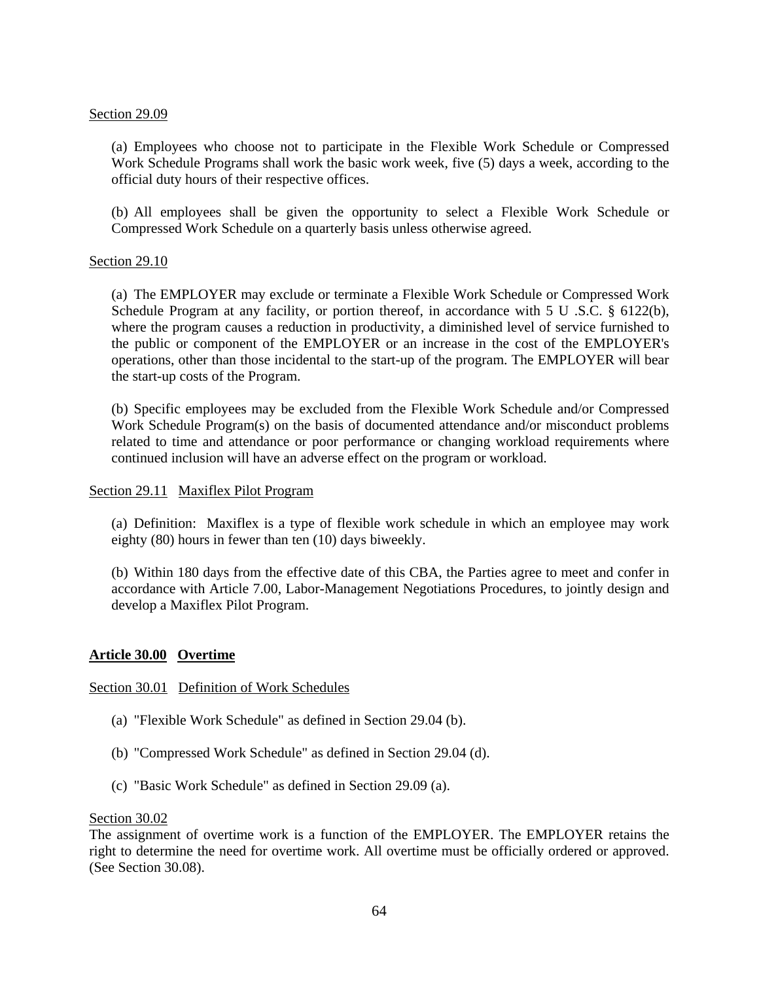#### Section 29.09

(a) Employees who choose not to participate in the Flexible Work Schedule or Compressed Work Schedule Programs shall work the basic work week, five (5) days a week, according to the official duty hours of their respective offices.

(b) All employees shall be given the opportunity to select a Flexible Work Schedule or Compressed Work Schedule on a quarterly basis unless otherwise agreed.

#### Section 29.10

(a) The EMPLOYER may exclude or terminate a Flexible Work Schedule or Compressed Work Schedule Program at any facility, or portion thereof, in accordance with 5 U .S.C. § 6122(b), where the program causes a reduction in productivity, a diminished level of service furnished to the public or component of the EMPLOYER or an increase in the cost of the EMPLOYER's operations, other than those incidental to the start-up of the program. The EMPLOYER will bear the start-up costs of the Program.

(b) Specific employees may be excluded from the Flexible Work Schedule and/or Compressed Work Schedule Program(s) on the basis of documented attendance and/or misconduct problems related to time and attendance or poor performance or changing workload requirements where continued inclusion will have an adverse effect on the program or workload.

#### Section 29.11 Maxiflex Pilot Program

(a) Definition: Maxiflex is a type of flexible work schedule in which an employee may work eighty (80) hours in fewer than ten (10) days biweekly.

(b) Within 180 days from the effective date of this CBA, the Parties agree to meet and confer in accordance with Article 7.00, Labor-Management Negotiations Procedures, to jointly design and develop a Maxiflex Pilot Program.

#### **Article 30.00 Overtime**

Section 30.01 Definition of Work Schedules

- (a) "Flexible Work Schedule" as defined in Section 29.04 (b).
- (b) "Compressed Work Schedule" as defined in Section 29.04 (d).
- (c) "Basic Work Schedule" as defined in Section 29.09 (a).

# Section 30.02

The assignment of overtime work is a function of the EMPLOYER. The EMPLOYER retains the right to determine the need for overtime work. All overtime must be officially ordered or approved. (See Section 30.08).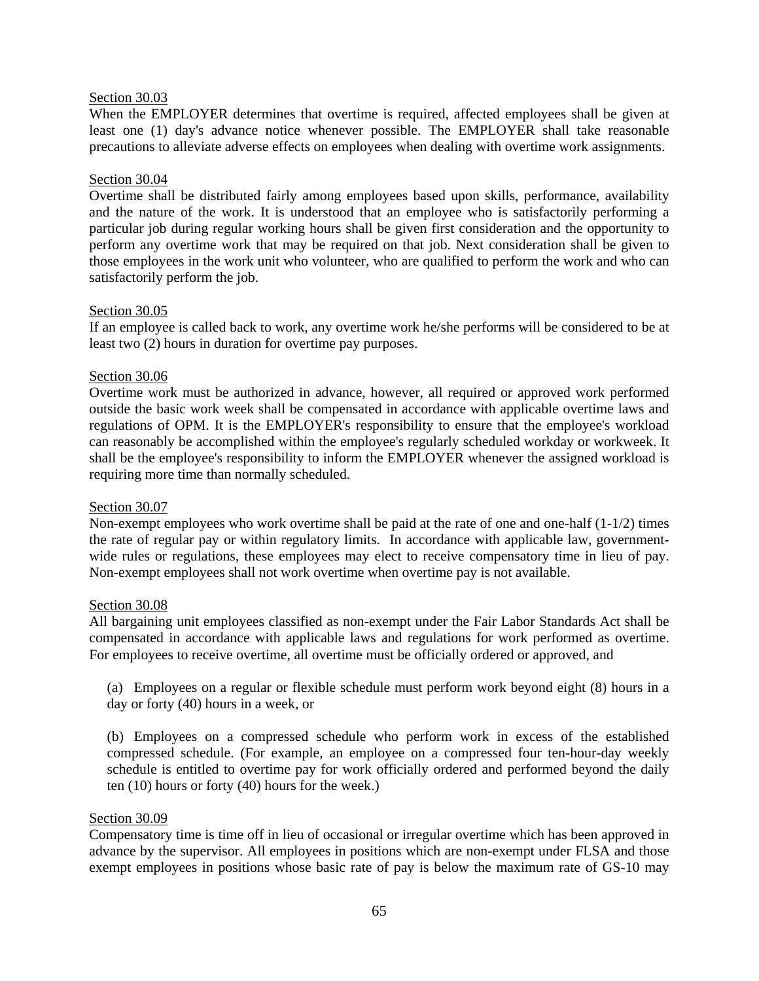### Section 30.03

When the EMPLOYER determines that overtime is required, affected employees shall be given at least one (1) day's advance notice whenever possible. The EMPLOYER shall take reasonable precautions to alleviate adverse effects on employees when dealing with overtime work assignments.

# Section 30.04

Overtime shall be distributed fairly among employees based upon skills, performance, availability and the nature of the work. It is understood that an employee who is satisfactorily performing a particular job during regular working hours shall be given first consideration and the opportunity to perform any overtime work that may be required on that job. Next consideration shall be given to those employees in the work unit who volunteer, who are qualified to perform the work and who can satisfactorily perform the job.

### Section 30.05

If an employee is called back to work, any overtime work he/she performs will be considered to be at least two (2) hours in duration for overtime pay purposes.

### Section 30.06

Overtime work must be authorized in advance, however, all required or approved work performed outside the basic work week shall be compensated in accordance with applicable overtime laws and regulations of OPM. It is the EMPLOYER's responsibility to ensure that the employee's workload can reasonably be accomplished within the employee's regularly scheduled workday or workweek. It shall be the employee's responsibility to inform the EMPLOYER whenever the assigned workload is requiring more time than normally scheduled.

### Section 30.07

Non-exempt employees who work overtime shall be paid at the rate of one and one-half (1-1/2) times the rate of regular pay or within regulatory limits. In accordance with applicable law, governmentwide rules or regulations, these employees may elect to receive compensatory time in lieu of pay. Non-exempt employees shall not work overtime when overtime pay is not available.

### Section 30.08

All bargaining unit employees classified as non-exempt under the Fair Labor Standards Act shall be compensated in accordance with applicable laws and regulations for work performed as overtime. For employees to receive overtime, all overtime must be officially ordered or approved, and

(a) Employees on a regular or flexible schedule must perform work beyond eight (8) hours in a day or forty (40) hours in a week, or

(b) Employees on a compressed schedule who perform work in excess of the established compressed schedule. (For example, an employee on a compressed four ten-hour-day weekly schedule is entitled to overtime pay for work officially ordered and performed beyond the daily ten (10) hours or forty (40) hours for the week.)

### Section 30.09

Compensatory time is time off in lieu of occasional or irregular overtime which has been approved in advance by the supervisor. All employees in positions which are non-exempt under FLSA and those exempt employees in positions whose basic rate of pay is below the maximum rate of GS-10 may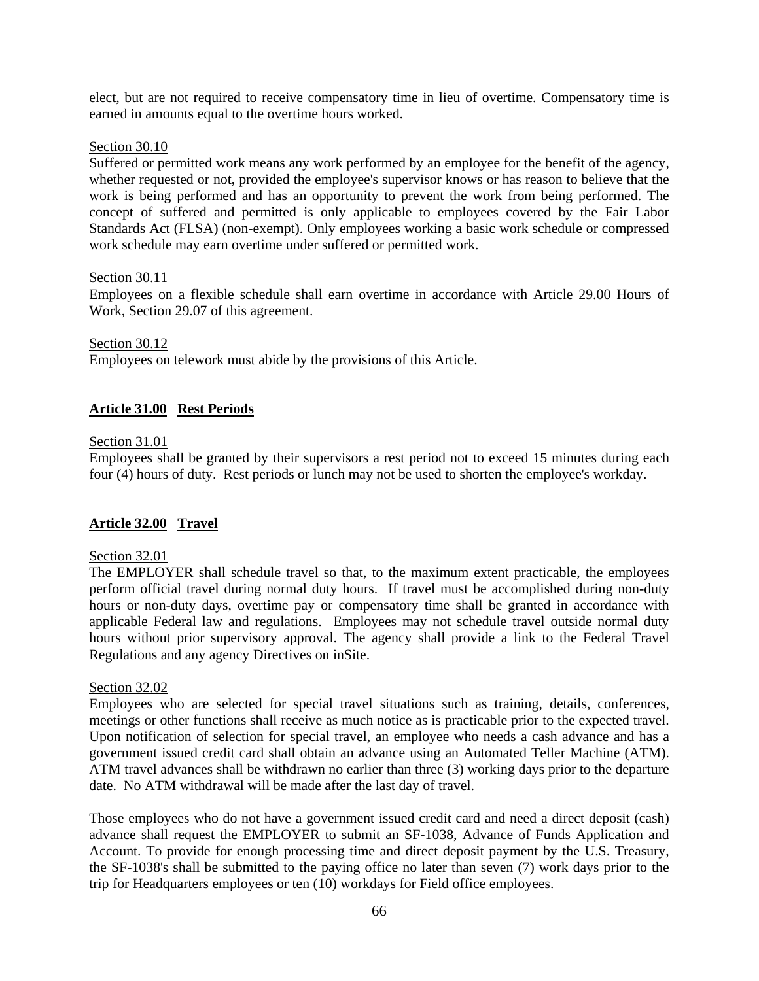elect, but are not required to receive compensatory time in lieu of overtime. Compensatory time is earned in amounts equal to the overtime hours worked.

### Section 30.10

Suffered or permitted work means any work performed by an employee for the benefit of the agency, whether requested or not, provided the employee's supervisor knows or has reason to believe that the work is being performed and has an opportunity to prevent the work from being performed. The concept of suffered and permitted is only applicable to employees covered by the Fair Labor Standards Act (FLSA) (non-exempt). Only employees working a basic work schedule or compressed work schedule may earn overtime under suffered or permitted work.

# Section 30.11

Employees on a flexible schedule shall earn overtime in accordance with Article 29.00 Hours of Work, Section 29.07 of this agreement.

### Section 30.12

Employees on telework must abide by the provisions of this Article.

# **Article 31.00 Rest Periods**

# Section 31.01

Employees shall be granted by their supervisors a rest period not to exceed 15 minutes during each four (4) hours of duty. Rest periods or lunch may not be used to shorten the employee's workday.

# **Article 32.00 Travel**

### Section 32.01

The EMPLOYER shall schedule travel so that, to the maximum extent practicable, the employees perform official travel during normal duty hours. If travel must be accomplished during non-duty hours or non-duty days, overtime pay or compensatory time shall be granted in accordance with applicable Federal law and regulations. Employees may not schedule travel outside normal duty hours without prior supervisory approval. The agency shall provide a link to the Federal Travel Regulations and any agency Directives on inSite.

### Section 32.02

Employees who are selected for special travel situations such as training, details, conferences, meetings or other functions shall receive as much notice as is practicable prior to the expected travel. Upon notification of selection for special travel, an employee who needs a cash advance and has a government issued credit card shall obtain an advance using an Automated Teller Machine (ATM). ATM travel advances shall be withdrawn no earlier than three (3) working days prior to the departure date. No ATM withdrawal will be made after the last day of travel.

Those employees who do not have a government issued credit card and need a direct deposit (cash) advance shall request the EMPLOYER to submit an SF-1038, Advance of Funds Application and Account. To provide for enough processing time and direct deposit payment by the U.S. Treasury, the SF-1038's shall be submitted to the paying office no later than seven (7) work days prior to the trip for Headquarters employees or ten (10) workdays for Field office employees.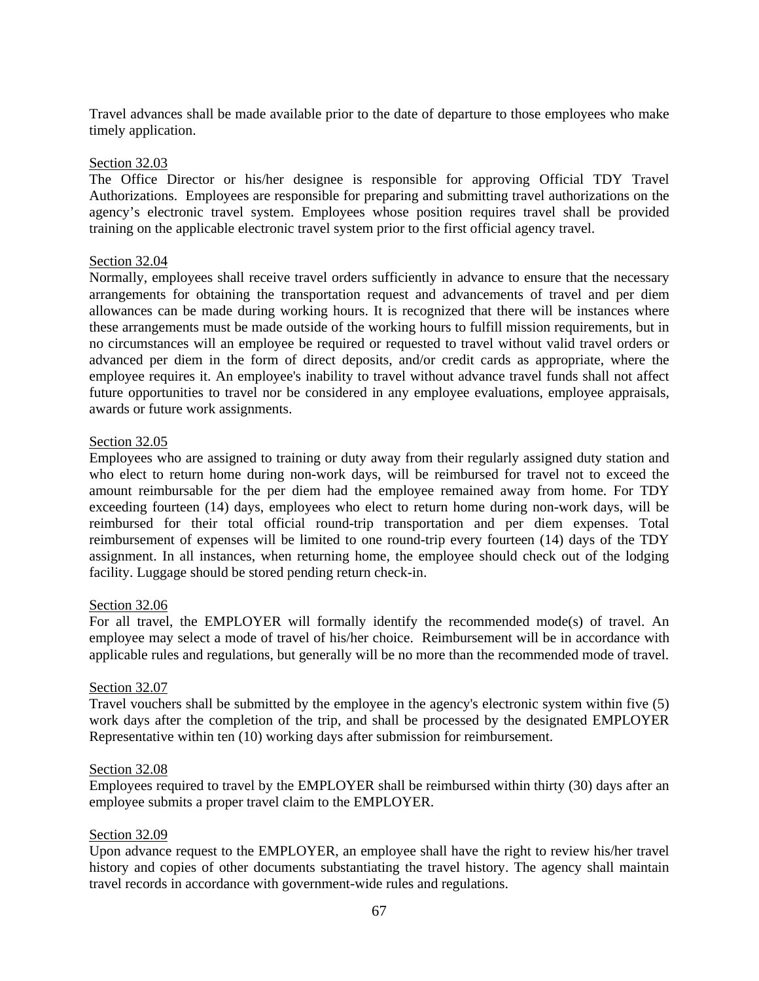Travel advances shall be made available prior to the date of departure to those employees who make timely application.

#### Section 32.03

The Office Director or his/her designee is responsible for approving Official TDY Travel Authorizations. Employees are responsible for preparing and submitting travel authorizations on the agency's electronic travel system. Employees whose position requires travel shall be provided training on the applicable electronic travel system prior to the first official agency travel.

#### Section 32.04

Normally, employees shall receive travel orders sufficiently in advance to ensure that the necessary arrangements for obtaining the transportation request and advancements of travel and per diem allowances can be made during working hours. It is recognized that there will be instances where these arrangements must be made outside of the working hours to fulfill mission requirements, but in no circumstances will an employee be required or requested to travel without valid travel orders or advanced per diem in the form of direct deposits, and/or credit cards as appropriate, where the employee requires it. An employee's inability to travel without advance travel funds shall not affect future opportunities to travel nor be considered in any employee evaluations, employee appraisals, awards or future work assignments.

#### Section 32.05

Employees who are assigned to training or duty away from their regularly assigned duty station and who elect to return home during non-work days, will be reimbursed for travel not to exceed the amount reimbursable for the per diem had the employee remained away from home. For TDY exceeding fourteen (14) days, employees who elect to return home during non-work days, will be reimbursed for their total official round-trip transportation and per diem expenses. Total reimbursement of expenses will be limited to one round-trip every fourteen (14) days of the TDY assignment. In all instances, when returning home, the employee should check out of the lodging facility. Luggage should be stored pending return check-in.

### Section 32.06

For all travel, the EMPLOYER will formally identify the recommended mode(s) of travel. An employee may select a mode of travel of his/her choice. Reimbursement will be in accordance with applicable rules and regulations, but generally will be no more than the recommended mode of travel.

### Section 32.07

Travel vouchers shall be submitted by the employee in the agency's electronic system within five (5) work days after the completion of the trip, and shall be processed by the designated EMPLOYER Representative within ten (10) working days after submission for reimbursement.

### Section 32.08

Employees required to travel by the EMPLOYER shall be reimbursed within thirty (30) days after an employee submits a proper travel claim to the EMPLOYER.

### Section 32.09

Upon advance request to the EMPLOYER, an employee shall have the right to review his/her travel history and copies of other documents substantiating the travel history. The agency shall maintain travel records in accordance with government-wide rules and regulations.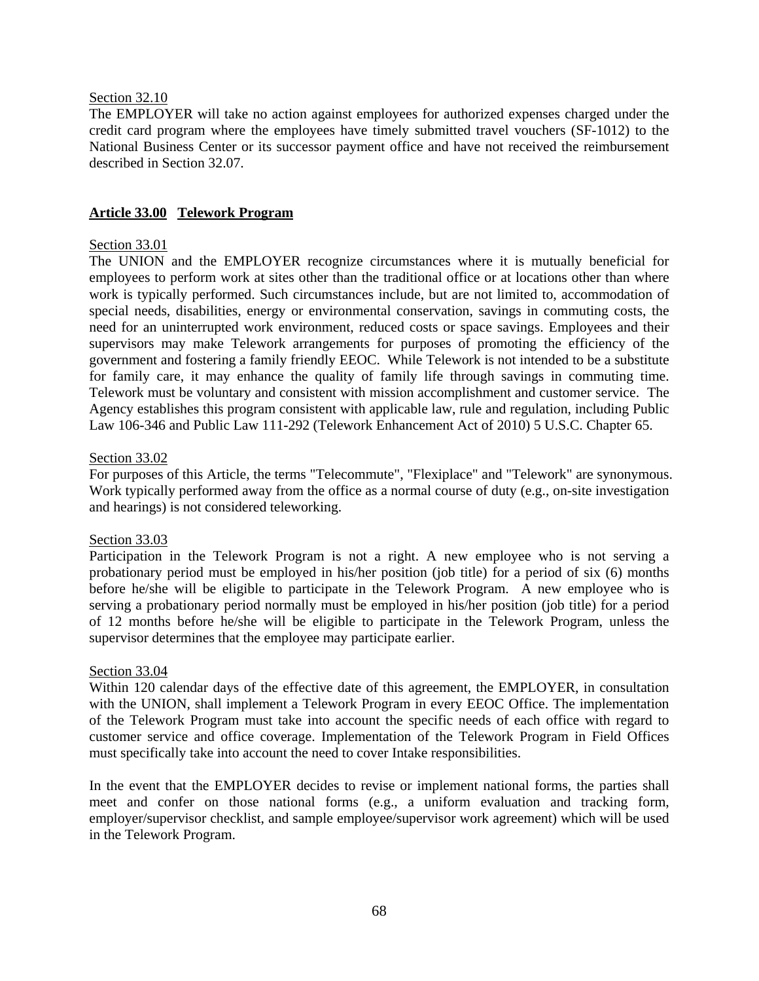### Section 32.10

The EMPLOYER will take no action against employees for authorized expenses charged under the credit card program where the employees have timely submitted travel vouchers (SF-1012) to the National Business Center or its successor payment office and have not received the reimbursement described in Section 32.07.

# **Article 33.00 Telework Program**

# Section 33.01

The UNION and the EMPLOYER recognize circumstances where it is mutually beneficial for employees to perform work at sites other than the traditional office or at locations other than where work is typically performed. Such circumstances include, but are not limited to, accommodation of special needs, disabilities, energy or environmental conservation, savings in commuting costs, the need for an uninterrupted work environment, reduced costs or space savings. Employees and their supervisors may make Telework arrangements for purposes of promoting the efficiency of the government and fostering a family friendly EEOC. While Telework is not intended to be a substitute for family care, it may enhance the quality of family life through savings in commuting time. Telework must be voluntary and consistent with mission accomplishment and customer service. The Agency establishes this program consistent with applicable law, rule and regulation, including Public Law 106-346 and Public Law 111-292 (Telework Enhancement Act of 2010) 5 U.S.C. Chapter 65.

### Section 33.02

For purposes of this Article, the terms "Telecommute", "Flexiplace" and "Telework" are synonymous. Work typically performed away from the office as a normal course of duty (e.g., on-site investigation and hearings) is not considered teleworking.

### Section 33.03

Participation in the Telework Program is not a right. A new employee who is not serving a probationary period must be employed in his/her position (job title) for a period of six (6) months before he/she will be eligible to participate in the Telework Program. A new employee who is serving a probationary period normally must be employed in his/her position (job title) for a period of 12 months before he/she will be eligible to participate in the Telework Program, unless the supervisor determines that the employee may participate earlier.

### Section 33.04

Within 120 calendar days of the effective date of this agreement, the EMPLOYER, in consultation with the UNION, shall implement a Telework Program in every EEOC Office. The implementation of the Telework Program must take into account the specific needs of each office with regard to customer service and office coverage. Implementation of the Telework Program in Field Offices must specifically take into account the need to cover Intake responsibilities.

In the event that the EMPLOYER decides to revise or implement national forms, the parties shall meet and confer on those national forms (e.g., a uniform evaluation and tracking form, employer/supervisor checklist, and sample employee/supervisor work agreement) which will be used in the Telework Program.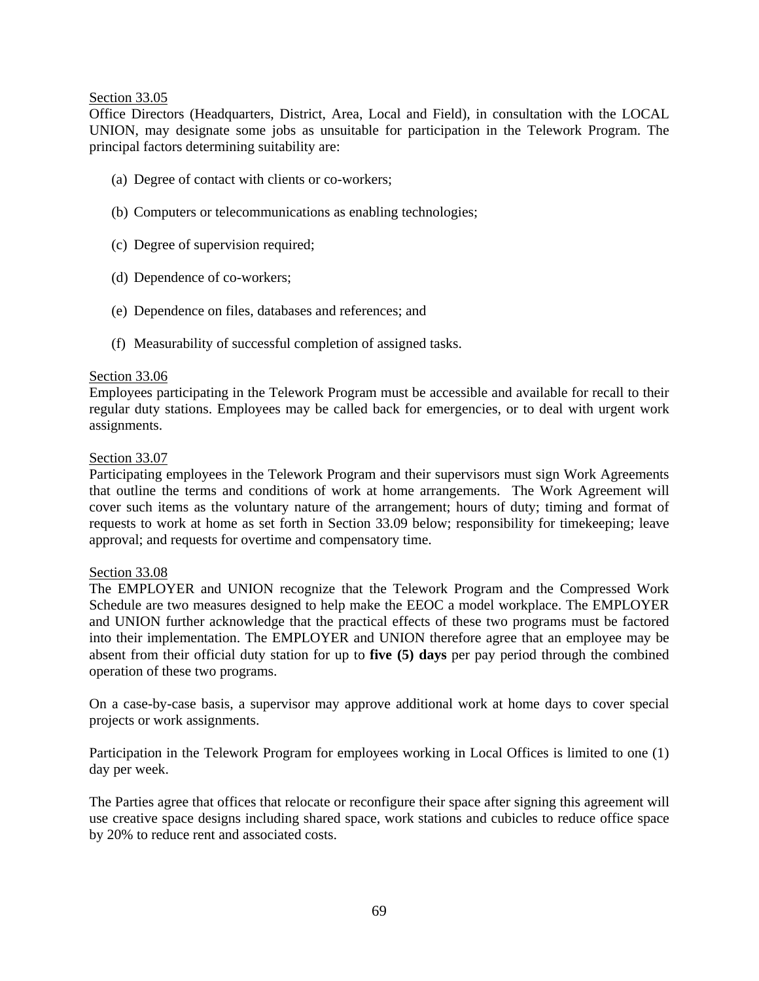# Section 33.05

Office Directors (Headquarters, District, Area, Local and Field), in consultation with the LOCAL UNION, may designate some jobs as unsuitable for participation in the Telework Program. The principal factors determining suitability are:

- (a) Degree of contact with clients or co-workers;
- (b) Computers or telecommunications as enabling technologies;
- (c) Degree of supervision required;
- (d) Dependence of co-workers;
- (e) Dependence on files, databases and references; and
- (f) Measurability of successful completion of assigned tasks.

### Section 33.06

Employees participating in the Telework Program must be accessible and available for recall to their regular duty stations. Employees may be called back for emergencies, or to deal with urgent work assignments.

### Section 33.07

Participating employees in the Telework Program and their supervisors must sign Work Agreements that outline the terms and conditions of work at home arrangements. The Work Agreement will cover such items as the voluntary nature of the arrangement; hours of duty; timing and format of requests to work at home as set forth in Section 33.09 below; responsibility for timekeeping; leave approval; and requests for overtime and compensatory time.

### Section 33.08

The EMPLOYER and UNION recognize that the Telework Program and the Compressed Work Schedule are two measures designed to help make the EEOC a model workplace. The EMPLOYER and UNION further acknowledge that the practical effects of these two programs must be factored into their implementation. The EMPLOYER and UNION therefore agree that an employee may be absent from their official duty station for up to **five (5) days** per pay period through the combined operation of these two programs.

On a case-by-case basis, a supervisor may approve additional work at home days to cover special projects or work assignments.

Participation in the Telework Program for employees working in Local Offices is limited to one (1) day per week.

The Parties agree that offices that relocate or reconfigure their space after signing this agreement will use creative space designs including shared space, work stations and cubicles to reduce office space by 20% to reduce rent and associated costs.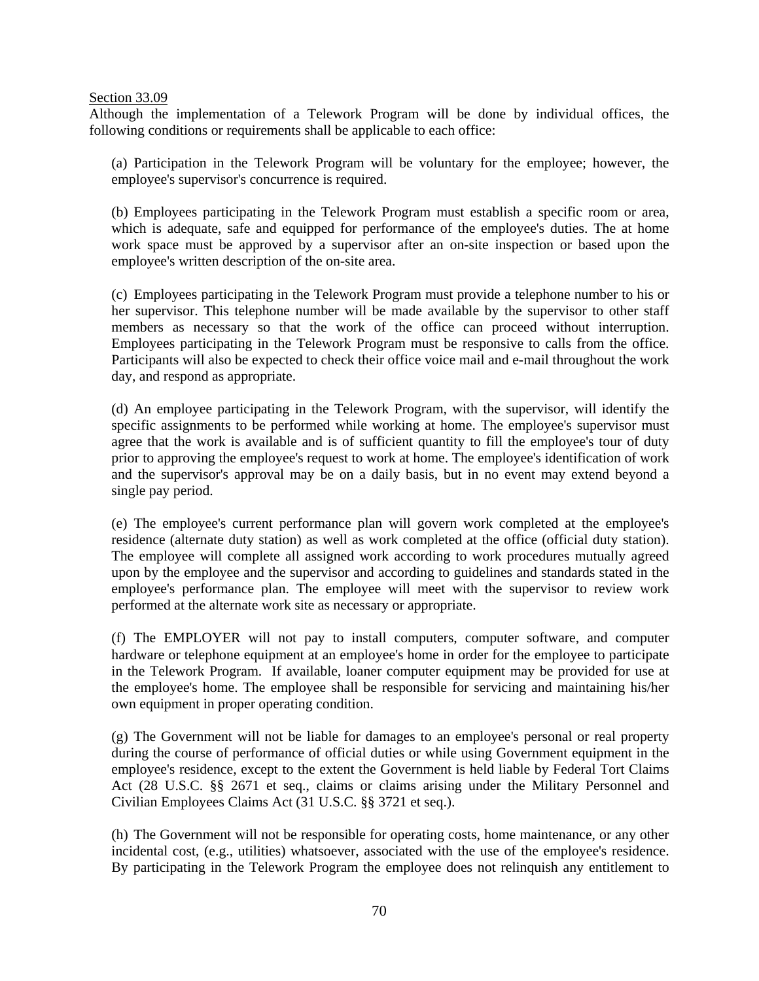#### Section 33.09

Although the implementation of a Telework Program will be done by individual offices, the following conditions or requirements shall be applicable to each office:

(a) Participation in the Telework Program will be voluntary for the employee; however, the employee's supervisor's concurrence is required.

(b) Employees participating in the Telework Program must establish a specific room or area, which is adequate, safe and equipped for performance of the employee's duties. The at home work space must be approved by a supervisor after an on-site inspection or based upon the employee's written description of the on-site area.

(c) Employees participating in the Telework Program must provide a telephone number to his or her supervisor. This telephone number will be made available by the supervisor to other staff members as necessary so that the work of the office can proceed without interruption. Employees participating in the Telework Program must be responsive to calls from the office. Participants will also be expected to check their office voice mail and e-mail throughout the work day, and respond as appropriate.

(d) An employee participating in the Telework Program, with the supervisor, will identify the specific assignments to be performed while working at home. The employee's supervisor must agree that the work is available and is of sufficient quantity to fill the employee's tour of duty prior to approving the employee's request to work at home. The employee's identification of work and the supervisor's approval may be on a daily basis, but in no event may extend beyond a single pay period.

(e) The employee's current performance plan will govern work completed at the employee's residence (alternate duty station) as well as work completed at the office (official duty station). The employee will complete all assigned work according to work procedures mutually agreed upon by the employee and the supervisor and according to guidelines and standards stated in the employee's performance plan. The employee will meet with the supervisor to review work performed at the alternate work site as necessary or appropriate.

(f) The EMPLOYER will not pay to install computers, computer software, and computer hardware or telephone equipment at an employee's home in order for the employee to participate in the Telework Program. If available, loaner computer equipment may be provided for use at the employee's home. The employee shall be responsible for servicing and maintaining his/her own equipment in proper operating condition.

(g) The Government will not be liable for damages to an employee's personal or real property during the course of performance of official duties or while using Government equipment in the employee's residence, except to the extent the Government is held liable by Federal Tort Claims Act (28 U.S.C. §§ 2671 et seq., claims or claims arising under the Military Personnel and Civilian Employees Claims Act (31 U.S.C. §§ 3721 et seq.).

(h) The Government will not be responsible for operating costs, home maintenance, or any other incidental cost, (e.g., utilities) whatsoever, associated with the use of the employee's residence. By participating in the Telework Program the employee does not relinquish any entitlement to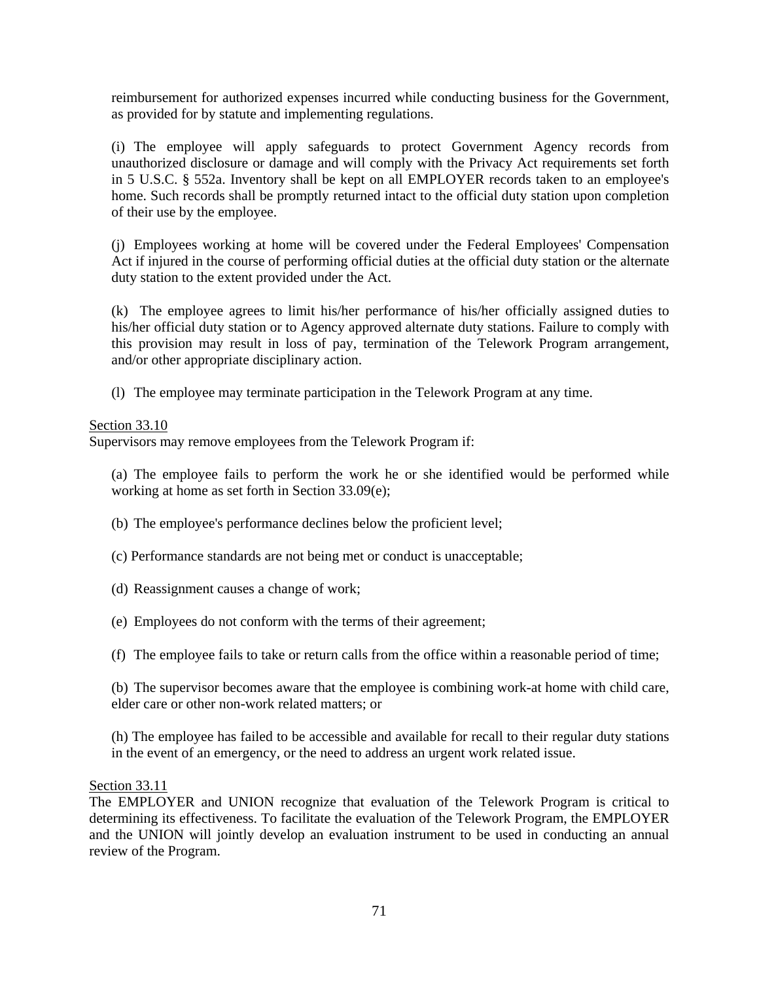reimbursement for authorized expenses incurred while conducting business for the Government, as provided for by statute and implementing regulations.

(i) The employee will apply safeguards to protect Government Agency records from unauthorized disclosure or damage and will comply with the Privacy Act requirements set forth in 5 U.S.C. § 552a. Inventory shall be kept on all EMPLOYER records taken to an employee's home. Such records shall be promptly returned intact to the official duty station upon completion of their use by the employee.

(j) Employees working at home will be covered under the Federal Employees' Compensation Act if injured in the course of performing official duties at the official duty station or the alternate duty station to the extent provided under the Act.

(k) The employee agrees to limit his/her performance of his/her officially assigned duties to his/her official duty station or to Agency approved alternate duty stations. Failure to comply with this provision may result in loss of pay, termination of the Telework Program arrangement, and/or other appropriate disciplinary action.

(l) The employee may terminate participation in the Telework Program at any time.

## Section 33.10

Supervisors may remove employees from the Telework Program if:

(a) The employee fails to perform the work he or she identified would be performed while working at home as set forth in Section 33.09(e);

- (b) The employee's performance declines below the proficient level;
- (c) Performance standards are not being met or conduct is unacceptable;
- (d) Reassignment causes a change of work;
- (e) Employees do not conform with the terms of their agreement;

(f) The employee fails to take or return calls from the office within a reasonable period of time;

(b) The supervisor becomes aware that the employee is combining work-at home with child care, elder care or other non-work related matters; or

(h) The employee has failed to be accessible and available for recall to their regular duty stations in the event of an emergency, or the need to address an urgent work related issue.

### Section 33.11

The EMPLOYER and UNION recognize that evaluation of the Telework Program is critical to determining its effectiveness. To facilitate the evaluation of the Telework Program, the EMPLOYER and the UNION will jointly develop an evaluation instrument to be used in conducting an annual review of the Program.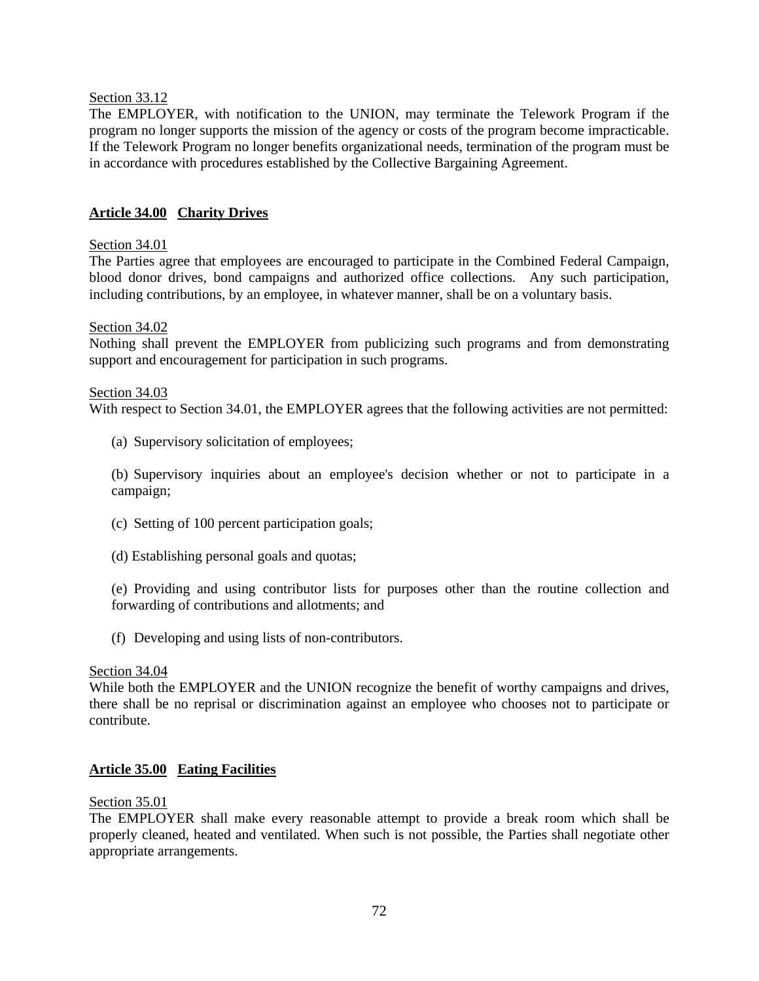## Section 33.12

The EMPLOYER, with notification to the UNION, may terminate the Telework Program if the program no longer supports the mission of the agency or costs of the program become impracticable. If the Telework Program no longer benefits organizational needs, termination of the program must be in accordance with procedures established by the Collective Bargaining Agreement.

## **Article 34.00 Charity Drives**

### Section 34.01

The Parties agree that employees are encouraged to participate in the Combined Federal Campaign, blood donor drives, bond campaigns and authorized office collections. Any such participation, including contributions, by an employee, in whatever manner, shall be on a voluntary basis.

### Section 34.02

Nothing shall prevent the EMPLOYER from publicizing such programs and from demonstrating support and encouragement for participation in such programs.

#### Section 34.03

With respect to Section 34.01, the EMPLOYER agrees that the following activities are not permitted:

(a) Supervisory solicitation of employees;

(b) Supervisory inquiries about an employee's decision whether or not to participate in a campaign;

- (c) Setting of 100 percent participation goals;
- (d) Establishing personal goals and quotas;

(e) Providing and using contributor lists for purposes other than the routine collection and forwarding of contributions and allotments; and

(f) Developing and using lists of non-contributors.

### Section 34.04

While both the EMPLOYER and the UNION recognize the benefit of worthy campaigns and drives, there shall be no reprisal or discrimination against an employee who chooses not to participate or contribute.

## **Article 35.00 Eating Facilities**

#### Section 35.01

The EMPLOYER shall make every reasonable attempt to provide a break room which shall be properly cleaned, heated and ventilated. When such is not possible, the Parties shall negotiate other appropriate arrangements.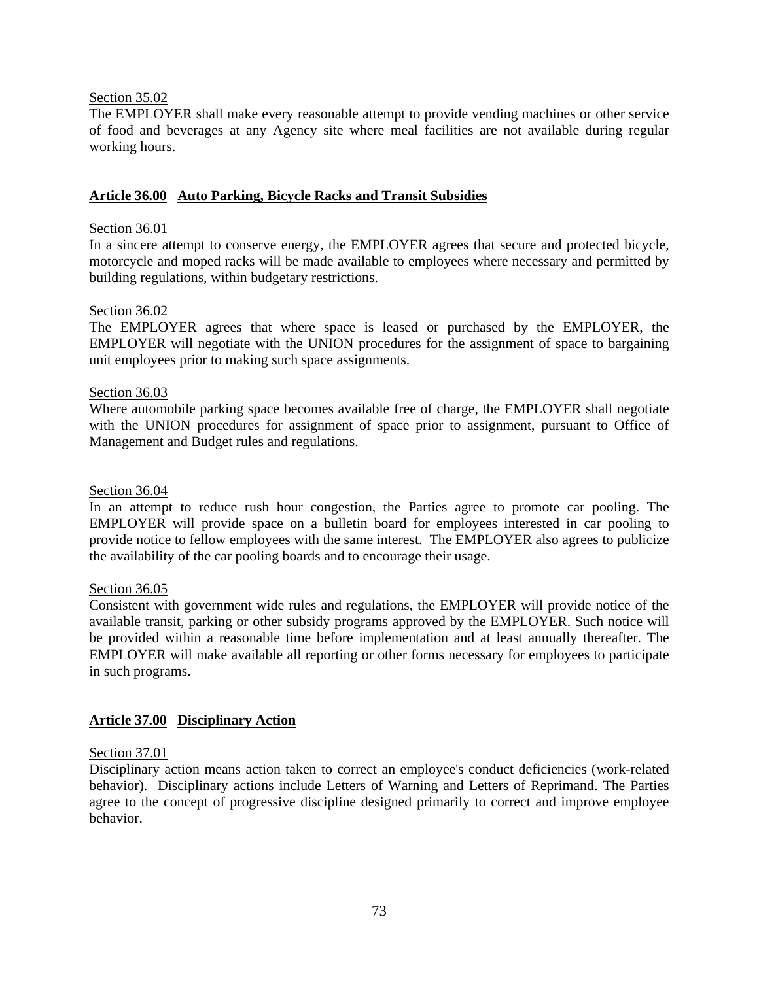### Section 35.02

The EMPLOYER shall make every reasonable attempt to provide vending machines or other service of food and beverages at any Agency site where meal facilities are not available during regular working hours.

## **Article 36.00 Auto Parking, Bicycle Racks and Transit Subsidies**

### Section 36.01

In a sincere attempt to conserve energy, the EMPLOYER agrees that secure and protected bicycle, motorcycle and moped racks will be made available to employees where necessary and permitted by building regulations, within budgetary restrictions.

### Section 36.02

The EMPLOYER agrees that where space is leased or purchased by the EMPLOYER, the EMPLOYER will negotiate with the UNION procedures for the assignment of space to bargaining unit employees prior to making such space assignments.

## Section 36.03

Where automobile parking space becomes available free of charge, the EMPLOYER shall negotiate with the UNION procedures for assignment of space prior to assignment, pursuant to Office of Management and Budget rules and regulations.

### Section 36.04

In an attempt to reduce rush hour congestion, the Parties agree to promote car pooling. The EMPLOYER will provide space on a bulletin board for employees interested in car pooling to provide notice to fellow employees with the same interest. The EMPLOYER also agrees to publicize the availability of the car pooling boards and to encourage their usage.

### Section 36.05

Consistent with government wide rules and regulations, the EMPLOYER will provide notice of the available transit, parking or other subsidy programs approved by the EMPLOYER. Such notice will be provided within a reasonable time before implementation and at least annually thereafter. The EMPLOYER will make available all reporting or other forms necessary for employees to participate in such programs.

# **Article 37.00 Disciplinary Action**

### Section 37.01

Disciplinary action means action taken to correct an employee's conduct deficiencies (work-related behavior). Disciplinary actions include Letters of Warning and Letters of Reprimand. The Parties agree to the concept of progressive discipline designed primarily to correct and improve employee behavior.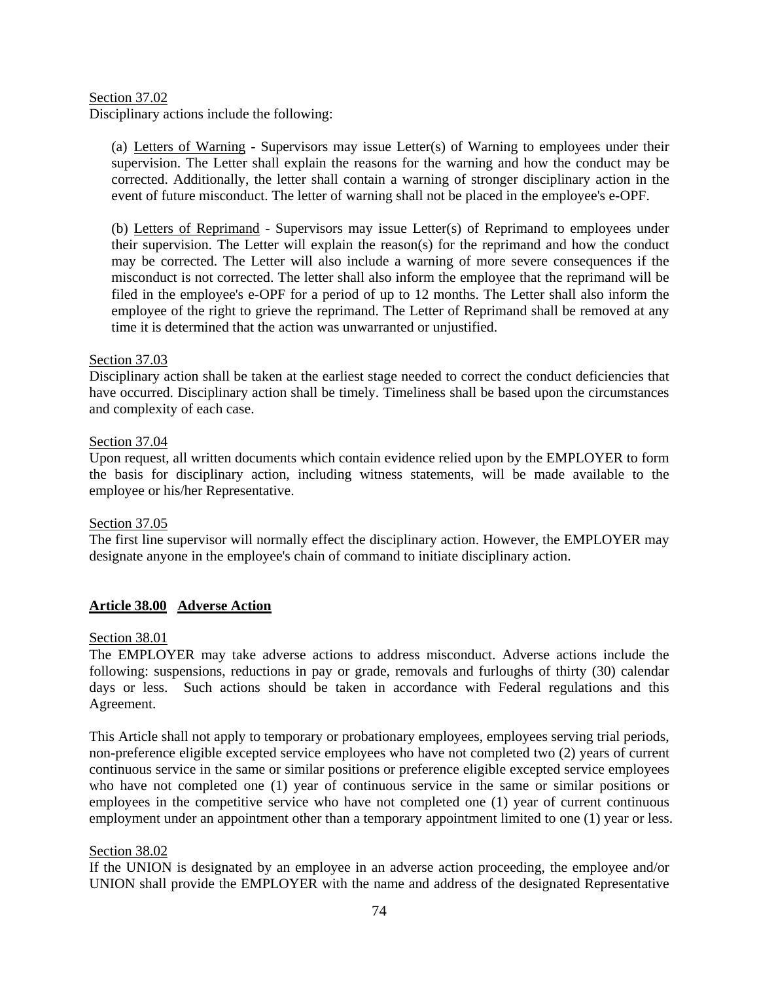### Section 37.02

Disciplinary actions include the following:

(a) Letters of Warning - Supervisors may issue Letter(s) of Warning to employees under their supervision. The Letter shall explain the reasons for the warning and how the conduct may be corrected. Additionally, the letter shall contain a warning of stronger disciplinary action in the event of future misconduct. The letter of warning shall not be placed in the employee's e-OPF.

(b) Letters of Reprimand - Supervisors may issue Letter(s) of Reprimand to employees under their supervision. The Letter will explain the reason(s) for the reprimand and how the conduct may be corrected. The Letter will also include a warning of more severe consequences if the misconduct is not corrected. The letter shall also inform the employee that the reprimand will be filed in the employee's e-OPF for a period of up to 12 months. The Letter shall also inform the employee of the right to grieve the reprimand. The Letter of Reprimand shall be removed at any time it is determined that the action was unwarranted or unjustified.

### Section 37.03

Disciplinary action shall be taken at the earliest stage needed to correct the conduct deficiencies that have occurred. Disciplinary action shall be timely. Timeliness shall be based upon the circumstances and complexity of each case.

## Section 37.04

Upon request, all written documents which contain evidence relied upon by the EMPLOYER to form the basis for disciplinary action, including witness statements, will be made available to the employee or his/her Representative.

### Section 37.05

The first line supervisor will normally effect the disciplinary action. However, the EMPLOYER may designate anyone in the employee's chain of command to initiate disciplinary action.

# **Article 38.00 Adverse Action**

### Section 38.01

The EMPLOYER may take adverse actions to address misconduct. Adverse actions include the following: suspensions, reductions in pay or grade, removals and furloughs of thirty (30) calendar days or less. Such actions should be taken in accordance with Federal regulations and this Agreement.

This Article shall not apply to temporary or probationary employees, employees serving trial periods, non-preference eligible excepted service employees who have not completed two (2) years of current continuous service in the same or similar positions or preference eligible excepted service employees who have not completed one (1) year of continuous service in the same or similar positions or employees in the competitive service who have not completed one (1) year of current continuous employment under an appointment other than a temporary appointment limited to one (1) year or less.

# Section 38.02

If the UNION is designated by an employee in an adverse action proceeding, the employee and/or UNION shall provide the EMPLOYER with the name and address of the designated Representative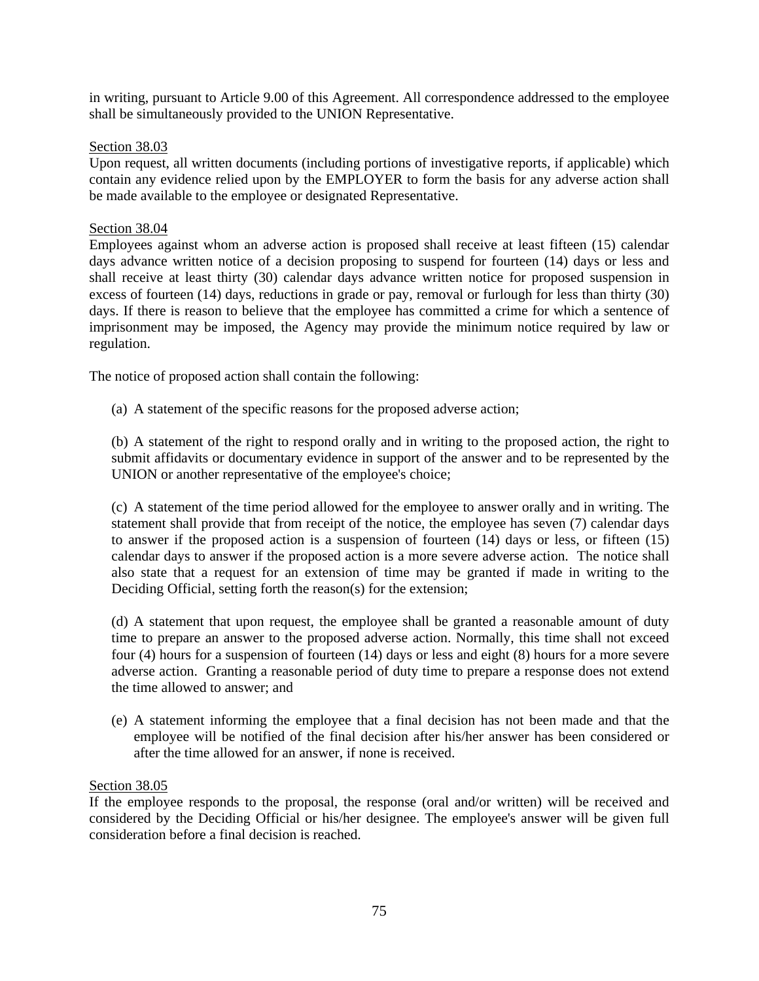in writing, pursuant to Article 9.00 of this Agreement. All correspondence addressed to the employee shall be simultaneously provided to the UNION Representative.

## Section 38.03

Upon request, all written documents (including portions of investigative reports, if applicable) which contain any evidence relied upon by the EMPLOYER to form the basis for any adverse action shall be made available to the employee or designated Representative.

## Section 38.04

Employees against whom an adverse action is proposed shall receive at least fifteen (15) calendar days advance written notice of a decision proposing to suspend for fourteen (14) days or less and shall receive at least thirty (30) calendar days advance written notice for proposed suspension in excess of fourteen (14) days, reductions in grade or pay, removal or furlough for less than thirty (30) days. If there is reason to believe that the employee has committed a crime for which a sentence of imprisonment may be imposed, the Agency may provide the minimum notice required by law or regulation.

The notice of proposed action shall contain the following:

(a) A statement of the specific reasons for the proposed adverse action;

(b) A statement of the right to respond orally and in writing to the proposed action, the right to submit affidavits or documentary evidence in support of the answer and to be represented by the UNION or another representative of the employee's choice;

(c) A statement of the time period allowed for the employee to answer orally and in writing. The statement shall provide that from receipt of the notice, the employee has seven (7) calendar days to answer if the proposed action is a suspension of fourteen (14) days or less, or fifteen (15) calendar days to answer if the proposed action is a more severe adverse action. The notice shall also state that a request for an extension of time may be granted if made in writing to the Deciding Official, setting forth the reason(s) for the extension;

(d) A statement that upon request, the employee shall be granted a reasonable amount of duty time to prepare an answer to the proposed adverse action. Normally, this time shall not exceed four (4) hours for a suspension of fourteen (14) days or less and eight (8) hours for a more severe adverse action. Granting a reasonable period of duty time to prepare a response does not extend the time allowed to answer; and

(e) A statement informing the employee that a final decision has not been made and that the employee will be notified of the final decision after his/her answer has been considered or after the time allowed for an answer, if none is received.

### Section 38.05

If the employee responds to the proposal, the response (oral and/or written) will be received and considered by the Deciding Official or his/her designee. The employee's answer will be given full consideration before a final decision is reached.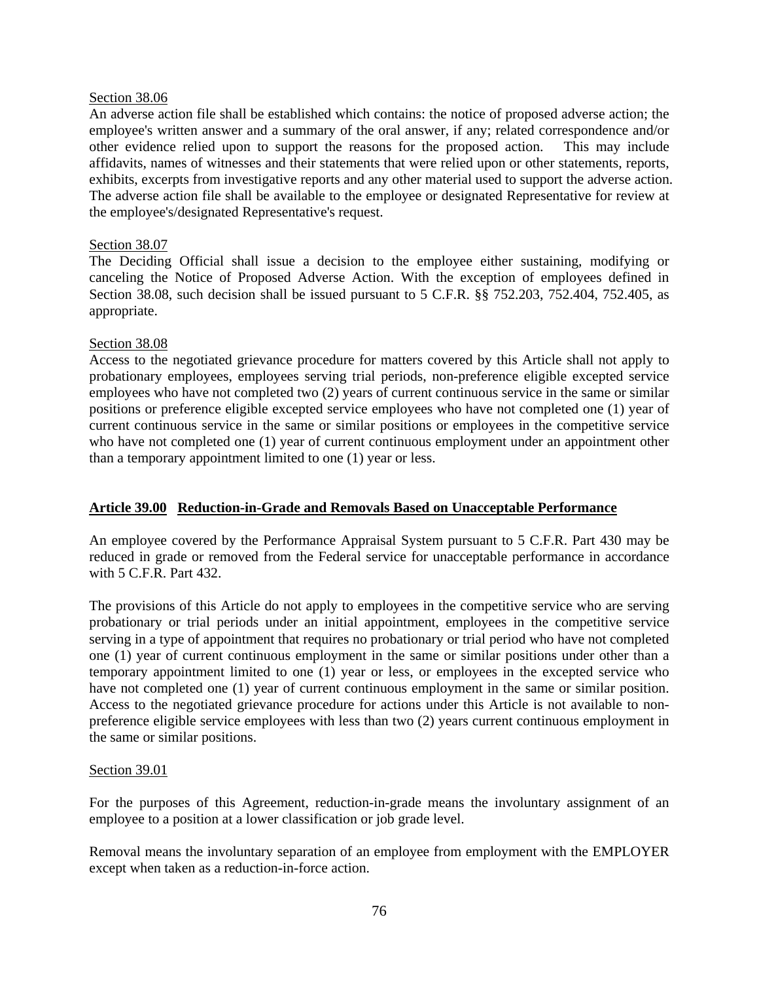### Section 38.06

An adverse action file shall be established which contains: the notice of proposed adverse action; the employee's written answer and a summary of the oral answer, if any; related correspondence and/or other evidence relied upon to support the reasons for the proposed action. This may include affidavits, names of witnesses and their statements that were relied upon or other statements, reports, exhibits, excerpts from investigative reports and any other material used to support the adverse action. The adverse action file shall be available to the employee or designated Representative for review at the employee's/designated Representative's request.

## Section 38.07

The Deciding Official shall issue a decision to the employee either sustaining, modifying or canceling the Notice of Proposed Adverse Action. With the exception of employees defined in Section 38.08, such decision shall be issued pursuant to 5 C.F.R. §§ 752.203, 752.404, 752.405, as appropriate.

### Section 38.08

Access to the negotiated grievance procedure for matters covered by this Article shall not apply to probationary employees, employees serving trial periods, non-preference eligible excepted service employees who have not completed two (2) years of current continuous service in the same or similar positions or preference eligible excepted service employees who have not completed one (1) year of current continuous service in the same or similar positions or employees in the competitive service who have not completed one (1) year of current continuous employment under an appointment other than a temporary appointment limited to one (1) year or less.

# **Article 39.00 Reduction-in-Grade and Removals Based on Unacceptable Performance**

An employee covered by the Performance Appraisal System pursuant to 5 C.F.R. Part 430 may be reduced in grade or removed from the Federal service for unacceptable performance in accordance with 5 C.F.R. Part 432.

The provisions of this Article do not apply to employees in the competitive service who are serving probationary or trial periods under an initial appointment, employees in the competitive service serving in a type of appointment that requires no probationary or trial period who have not completed one (1) year of current continuous employment in the same or similar positions under other than a temporary appointment limited to one (1) year or less, or employees in the excepted service who have not completed one (1) year of current continuous employment in the same or similar position. Access to the negotiated grievance procedure for actions under this Article is not available to nonpreference eligible service employees with less than two (2) years current continuous employment in the same or similar positions.

### Section 39.01

For the purposes of this Agreement, reduction-in-grade means the involuntary assignment of an employee to a position at a lower classification or job grade level.

Removal means the involuntary separation of an employee from employment with the EMPLOYER except when taken as a reduction-in-force action.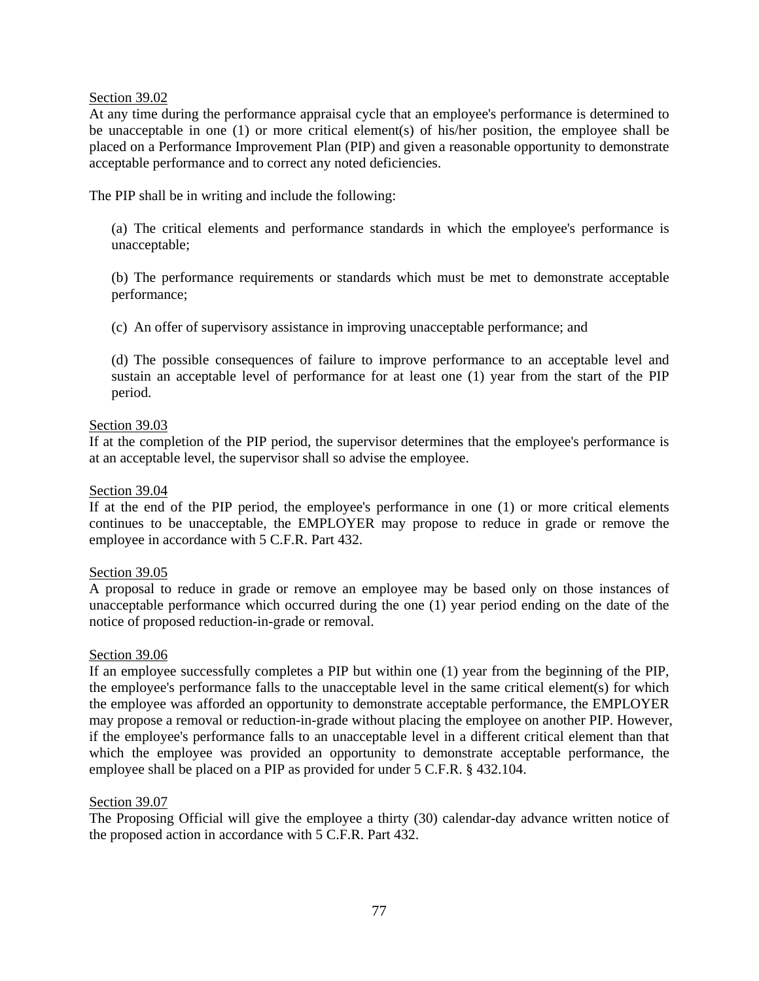### Section 39.02

At any time during the performance appraisal cycle that an employee's performance is determined to be unacceptable in one (1) or more critical element(s) of his/her position, the employee shall be placed on a Performance Improvement Plan (PIP) and given a reasonable opportunity to demonstrate acceptable performance and to correct any noted deficiencies.

The PIP shall be in writing and include the following:

(a) The critical elements and performance standards in which the employee's performance is unacceptable;

(b) The performance requirements or standards which must be met to demonstrate acceptable performance;

(c) An offer of supervisory assistance in improving unacceptable performance; and

(d) The possible consequences of failure to improve performance to an acceptable level and sustain an acceptable level of performance for at least one (1) year from the start of the PIP period.

## Section 39.03

If at the completion of the PIP period, the supervisor determines that the employee's performance is at an acceptable level, the supervisor shall so advise the employee.

### Section 39.04

If at the end of the PIP period, the employee's performance in one (1) or more critical elements continues to be unacceptable, the EMPLOYER may propose to reduce in grade or remove the employee in accordance with 5 C.F.R. Part 432.

### Section 39.05

A proposal to reduce in grade or remove an employee may be based only on those instances of unacceptable performance which occurred during the one (1) year period ending on the date of the notice of proposed reduction-in-grade or removal.

### Section 39.06

If an employee successfully completes a PIP but within one (1) year from the beginning of the PIP, the employee's performance falls to the unacceptable level in the same critical element(s) for which the employee was afforded an opportunity to demonstrate acceptable performance, the EMPLOYER may propose a removal or reduction-in-grade without placing the employee on another PIP. However, if the employee's performance falls to an unacceptable level in a different critical element than that which the employee was provided an opportunity to demonstrate acceptable performance, the employee shall be placed on a PIP as provided for under 5 C.F.R. § 432.104.

### Section 39.07

The Proposing Official will give the employee a thirty (30) calendar-day advance written notice of the proposed action in accordance with 5 C.F.R. Part 432.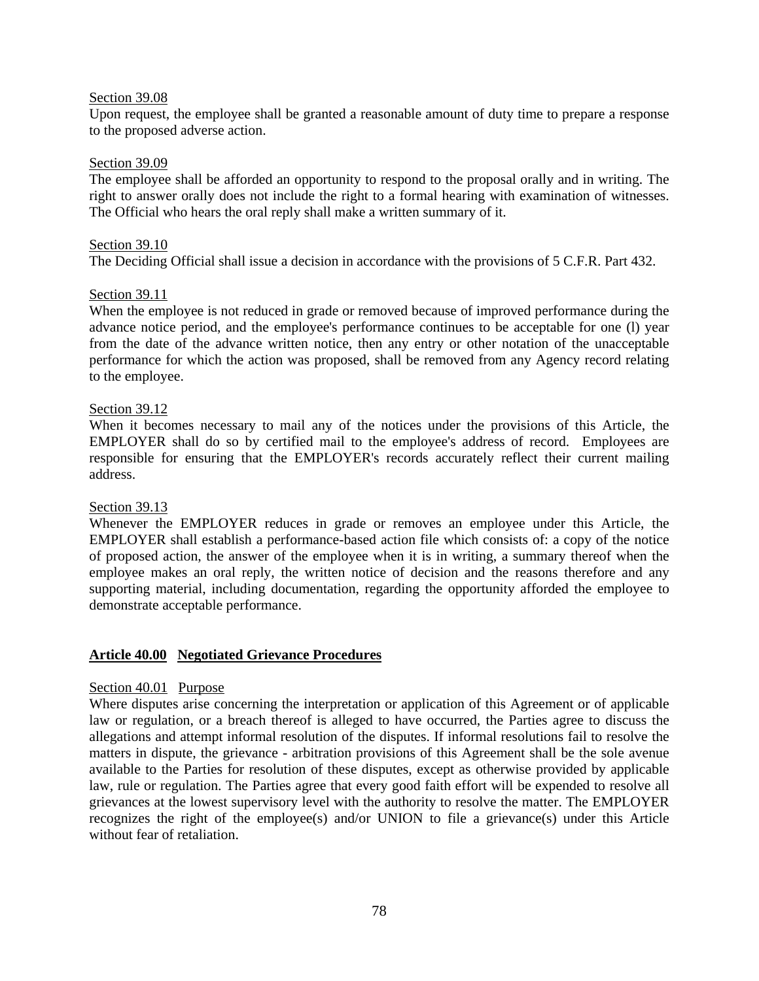### Section 39.08

Upon request, the employee shall be granted a reasonable amount of duty time to prepare a response to the proposed adverse action.

#### Section 39.09

The employee shall be afforded an opportunity to respond to the proposal orally and in writing. The right to answer orally does not include the right to a formal hearing with examination of witnesses. The Official who hears the oral reply shall make a written summary of it.

#### Section 39.10

The Deciding Official shall issue a decision in accordance with the provisions of 5 C.F.R. Part 432.

#### Section 39.11

When the employee is not reduced in grade or removed because of improved performance during the advance notice period, and the employee's performance continues to be acceptable for one (l) year from the date of the advance written notice, then any entry or other notation of the unacceptable performance for which the action was proposed, shall be removed from any Agency record relating to the employee.

### Section 39.12

When it becomes necessary to mail any of the notices under the provisions of this Article, the EMPLOYER shall do so by certified mail to the employee's address of record. Employees are responsible for ensuring that the EMPLOYER's records accurately reflect their current mailing address.

### Section 39.13

Whenever the EMPLOYER reduces in grade or removes an employee under this Article, the EMPLOYER shall establish a performance-based action file which consists of: a copy of the notice of proposed action, the answer of the employee when it is in writing, a summary thereof when the employee makes an oral reply, the written notice of decision and the reasons therefore and any supporting material, including documentation, regarding the opportunity afforded the employee to demonstrate acceptable performance.

#### **Article 40.00 Negotiated Grievance Procedures**

### Section 40.01 Purpose

Where disputes arise concerning the interpretation or application of this Agreement or of applicable law or regulation, or a breach thereof is alleged to have occurred, the Parties agree to discuss the allegations and attempt informal resolution of the disputes. If informal resolutions fail to resolve the matters in dispute, the grievance - arbitration provisions of this Agreement shall be the sole avenue available to the Parties for resolution of these disputes, except as otherwise provided by applicable law, rule or regulation. The Parties agree that every good faith effort will be expended to resolve all grievances at the lowest supervisory level with the authority to resolve the matter. The EMPLOYER recognizes the right of the employee(s) and/or UNION to file a grievance(s) under this Article without fear of retaliation.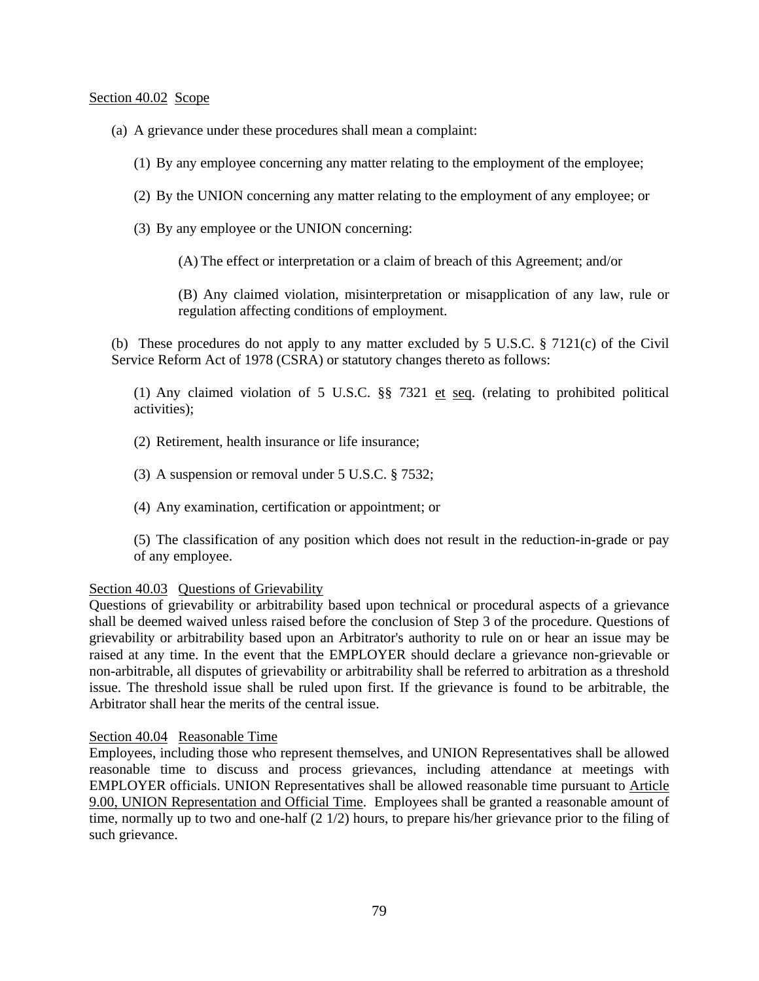### Section 40.02 Scope

- (a) A grievance under these procedures shall mean a complaint:
	- (1) By any employee concerning any matter relating to the employment of the employee;
	- (2) By the UNION concerning any matter relating to the employment of any employee; or
	- (3) By any employee or the UNION concerning:

(A) The effect or interpretation or a claim of breach of this Agreement; and/or

(B) Any claimed violation, misinterpretation or misapplication of any law, rule or regulation affecting conditions of employment.

(b) These procedures do not apply to any matter excluded by 5 U.S.C. § 7121(c) of the Civil Service Reform Act of 1978 (CSRA) or statutory changes thereto as follows:

(1) Any claimed violation of 5 U.S.C.  $\S$  7321 et seq. (relating to prohibited political activities);

(2) Retirement, health insurance or life insurance;

- (3) A suspension or removal under 5 U.S.C. § 7532;
- (4) Any examination, certification or appointment; or

(5) The classification of any position which does not result in the reduction-in-grade or pay of any employee.

### Section 40.03 Questions of Grievability

Questions of grievability or arbitrability based upon technical or procedural aspects of a grievance shall be deemed waived unless raised before the conclusion of Step 3 of the procedure. Questions of grievability or arbitrability based upon an Arbitrator's authority to rule on or hear an issue may be raised at any time. In the event that the EMPLOYER should declare a grievance non-grievable or non-arbitrable, all disputes of grievability or arbitrability shall be referred to arbitration as a threshold issue. The threshold issue shall be ruled upon first. If the grievance is found to be arbitrable, the Arbitrator shall hear the merits of the central issue.

### Section 40.04 Reasonable Time

Employees, including those who represent themselves, and UNION Representatives shall be allowed reasonable time to discuss and process grievances, including attendance at meetings with EMPLOYER officials. UNION Representatives shall be allowed reasonable time pursuant to Article 9.00, UNION Representation and Official Time. Employees shall be granted a reasonable amount of time, normally up to two and one-half (2 1/2) hours, to prepare his/her grievance prior to the filing of such grievance.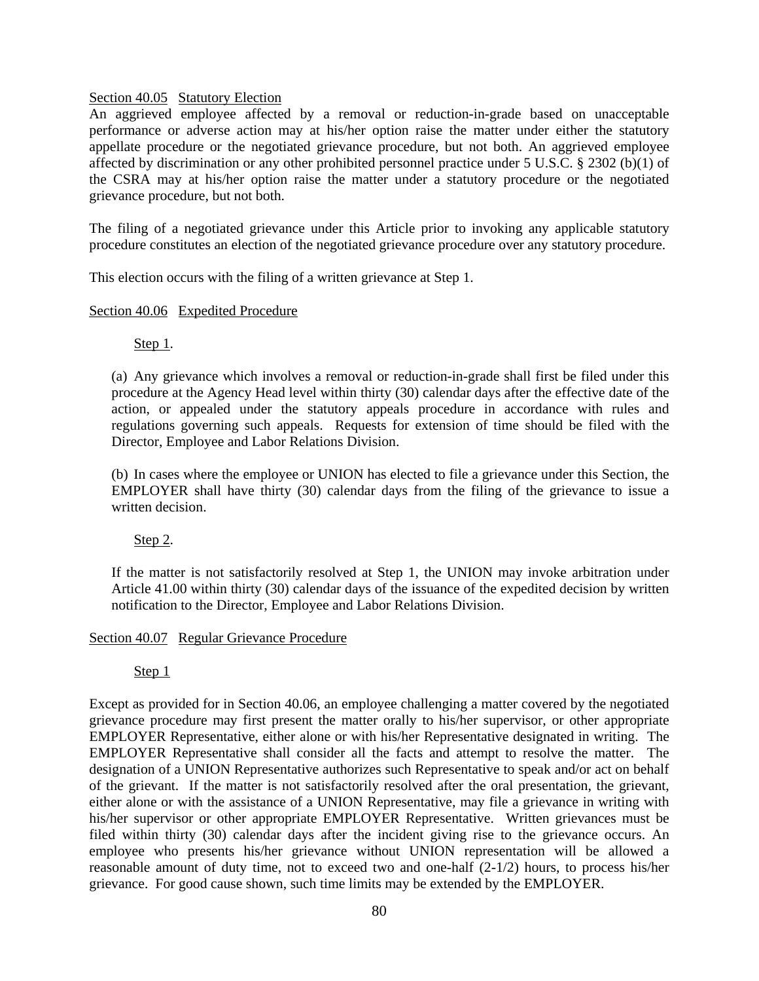### Section 40.05 Statutory Election

An aggrieved employee affected by a removal or reduction-in-grade based on unacceptable performance or adverse action may at his/her option raise the matter under either the statutory appellate procedure or the negotiated grievance procedure, but not both. An aggrieved employee affected by discrimination or any other prohibited personnel practice under 5 U.S.C. § 2302 (b)(1) of the CSRA may at his/her option raise the matter under a statutory procedure or the negotiated grievance procedure, but not both.

The filing of a negotiated grievance under this Article prior to invoking any applicable statutory procedure constitutes an election of the negotiated grievance procedure over any statutory procedure.

This election occurs with the filing of a written grievance at Step 1.

### Section 40.06 Expedited Procedure

Step 1.

(a) Any grievance which involves a removal or reduction-in-grade shall first be filed under this procedure at the Agency Head level within thirty (30) calendar days after the effective date of the action, or appealed under the statutory appeals procedure in accordance with rules and regulations governing such appeals. Requests for extension of time should be filed with the Director, Employee and Labor Relations Division.

(b) In cases where the employee or UNION has elected to file a grievance under this Section, the EMPLOYER shall have thirty (30) calendar days from the filing of the grievance to issue a written decision.

Step 2.

If the matter is not satisfactorily resolved at Step 1, the UNION may invoke arbitration under Article 41.00 within thirty (30) calendar days of the issuance of the expedited decision by written notification to the Director, Employee and Labor Relations Division.

### Section 40.07 Regular Grievance Procedure

Step 1

Except as provided for in Section 40.06, an employee challenging a matter covered by the negotiated grievance procedure may first present the matter orally to his/her supervisor, or other appropriate EMPLOYER Representative, either alone or with his/her Representative designated in writing. The EMPLOYER Representative shall consider all the facts and attempt to resolve the matter. The designation of a UNION Representative authorizes such Representative to speak and/or act on behalf of the grievant. If the matter is not satisfactorily resolved after the oral presentation, the grievant, either alone or with the assistance of a UNION Representative, may file a grievance in writing with his/her supervisor or other appropriate EMPLOYER Representative. Written grievances must be filed within thirty (30) calendar days after the incident giving rise to the grievance occurs. An employee who presents his/her grievance without UNION representation will be allowed a reasonable amount of duty time, not to exceed two and one-half (2-1/2) hours, to process his/her grievance. For good cause shown, such time limits may be extended by the EMPLOYER.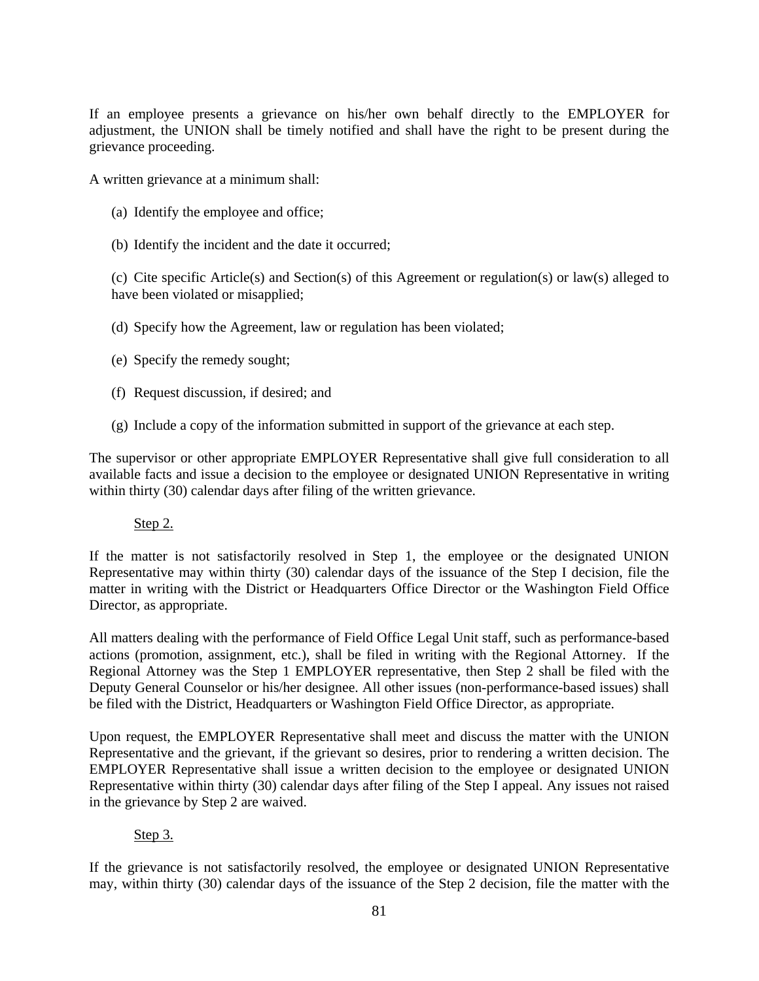If an employee presents a grievance on his/her own behalf directly to the EMPLOYER for adjustment, the UNION shall be timely notified and shall have the right to be present during the grievance proceeding.

A written grievance at a minimum shall:

- (a) Identify the employee and office;
- (b) Identify the incident and the date it occurred;

(c) Cite specific Article(s) and Section(s) of this Agreement or regulation(s) or law(s) alleged to have been violated or misapplied;

- (d) Specify how the Agreement, law or regulation has been violated;
- (e) Specify the remedy sought;
- (f) Request discussion, if desired; and
- (g) Include a copy of the information submitted in support of the grievance at each step.

The supervisor or other appropriate EMPLOYER Representative shall give full consideration to all available facts and issue a decision to the employee or designated UNION Representative in writing within thirty (30) calendar days after filing of the written grievance.

### Step 2.

If the matter is not satisfactorily resolved in Step 1, the employee or the designated UNION Representative may within thirty (30) calendar days of the issuance of the Step I decision, file the matter in writing with the District or Headquarters Office Director or the Washington Field Office Director, as appropriate.

All matters dealing with the performance of Field Office Legal Unit staff, such as performance-based actions (promotion, assignment, etc.), shall be filed in writing with the Regional Attorney. If the Regional Attorney was the Step 1 EMPLOYER representative, then Step 2 shall be filed with the Deputy General Counselor or his/her designee. All other issues (non-performance-based issues) shall be filed with the District, Headquarters or Washington Field Office Director, as appropriate.

Upon request, the EMPLOYER Representative shall meet and discuss the matter with the UNION Representative and the grievant, if the grievant so desires, prior to rendering a written decision. The EMPLOYER Representative shall issue a written decision to the employee or designated UNION Representative within thirty (30) calendar days after filing of the Step I appeal. Any issues not raised in the grievance by Step 2 are waived.

### Step 3.

If the grievance is not satisfactorily resolved, the employee or designated UNION Representative may, within thirty (30) calendar days of the issuance of the Step 2 decision, file the matter with the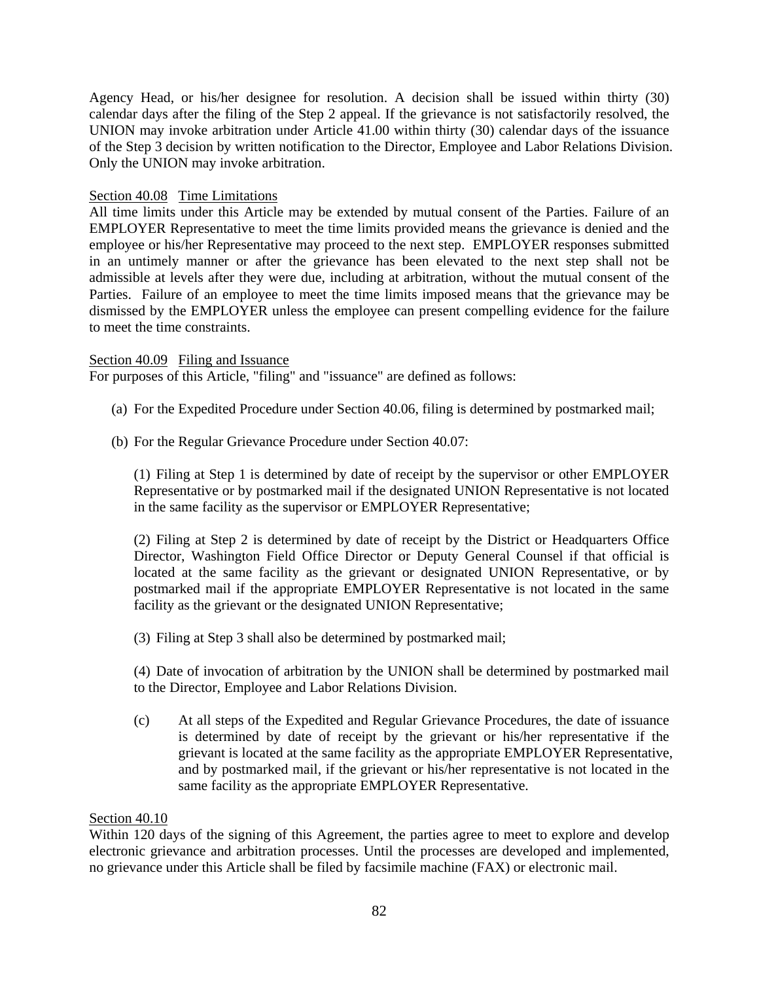Agency Head, or his/her designee for resolution. A decision shall be issued within thirty (30) calendar days after the filing of the Step 2 appeal. If the grievance is not satisfactorily resolved, the UNION may invoke arbitration under Article 41.00 within thirty (30) calendar days of the issuance of the Step 3 decision by written notification to the Director, Employee and Labor Relations Division. Only the UNION may invoke arbitration.

## Section 40.08 Time Limitations

All time limits under this Article may be extended by mutual consent of the Parties. Failure of an EMPLOYER Representative to meet the time limits provided means the grievance is denied and the employee or his/her Representative may proceed to the next step. EMPLOYER responses submitted in an untimely manner or after the grievance has been elevated to the next step shall not be admissible at levels after they were due, including at arbitration, without the mutual consent of the Parties. Failure of an employee to meet the time limits imposed means that the grievance may be dismissed by the EMPLOYER unless the employee can present compelling evidence for the failure to meet the time constraints.

## Section 40.09 Filing and Issuance

For purposes of this Article, "filing" and "issuance" are defined as follows:

- (a) For the Expedited Procedure under Section 40.06, filing is determined by postmarked mail;
- (b) For the Regular Grievance Procedure under Section 40.07:

(1) Filing at Step 1 is determined by date of receipt by the supervisor or other EMPLOYER Representative or by postmarked mail if the designated UNION Representative is not located in the same facility as the supervisor or EMPLOYER Representative;

(2) Filing at Step 2 is determined by date of receipt by the District or Headquarters Office Director, Washington Field Office Director or Deputy General Counsel if that official is located at the same facility as the grievant or designated UNION Representative, or by postmarked mail if the appropriate EMPLOYER Representative is not located in the same facility as the grievant or the designated UNION Representative;

(3) Filing at Step 3 shall also be determined by postmarked mail;

(4) Date of invocation of arbitration by the UNION shall be determined by postmarked mail to the Director, Employee and Labor Relations Division.

(c) At all steps of the Expedited and Regular Grievance Procedures, the date of issuance is determined by date of receipt by the grievant or his/her representative if the grievant is located at the same facility as the appropriate EMPLOYER Representative, and by postmarked mail, if the grievant or his/her representative is not located in the same facility as the appropriate EMPLOYER Representative.

# Section 40.10

Within 120 days of the signing of this Agreement, the parties agree to meet to explore and develop electronic grievance and arbitration processes. Until the processes are developed and implemented, no grievance under this Article shall be filed by facsimile machine (FAX) or electronic mail.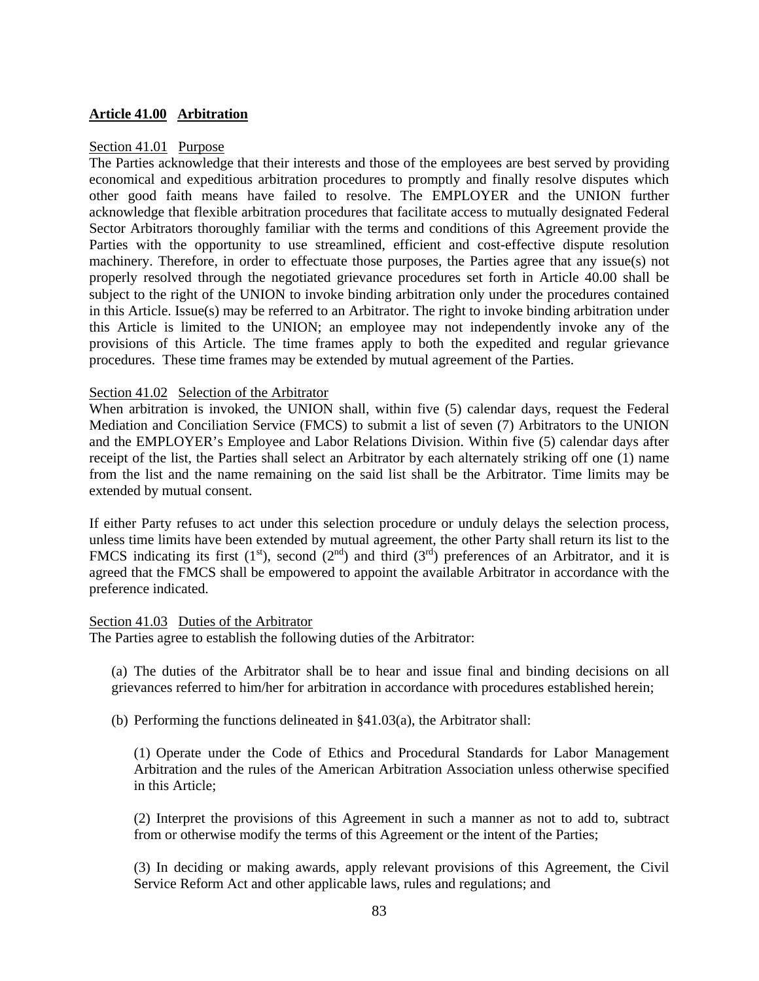## **Article 41.00 Arbitration**

#### Section 41.01 Purpose

The Parties acknowledge that their interests and those of the employees are best served by providing economical and expeditious arbitration procedures to promptly and finally resolve disputes which other good faith means have failed to resolve. The EMPLOYER and the UNION further acknowledge that flexible arbitration procedures that facilitate access to mutually designated Federal Sector Arbitrators thoroughly familiar with the terms and conditions of this Agreement provide the Parties with the opportunity to use streamlined, efficient and cost-effective dispute resolution machinery. Therefore, in order to effectuate those purposes, the Parties agree that any issue(s) not properly resolved through the negotiated grievance procedures set forth in Article 40.00 shall be subject to the right of the UNION to invoke binding arbitration only under the procedures contained in this Article. Issue(s) may be referred to an Arbitrator. The right to invoke binding arbitration under this Article is limited to the UNION; an employee may not independently invoke any of the provisions of this Article. The time frames apply to both the expedited and regular grievance procedures. These time frames may be extended by mutual agreement of the Parties.

### Section 41.02 Selection of the Arbitrator

When arbitration is invoked, the UNION shall, within five (5) calendar days, request the Federal Mediation and Conciliation Service (FMCS) to submit a list of seven (7) Arbitrators to the UNION and the EMPLOYER's Employee and Labor Relations Division. Within five (5) calendar days after receipt of the list, the Parties shall select an Arbitrator by each alternately striking off one (1) name from the list and the name remaining on the said list shall be the Arbitrator. Time limits may be extended by mutual consent.

If either Party refuses to act under this selection procedure or unduly delays the selection process, unless time limits have been extended by mutual agreement, the other Party shall return its list to the FMCS indicating its first  $(1<sup>st</sup>)$ , second  $(2<sup>nd</sup>)$  and third  $(3<sup>rd</sup>)$  preferences of an Arbitrator, and it is agreed that the FMCS shall be empowered to appoint the available Arbitrator in accordance with the preference indicated.

### Section 41.03 Duties of the Arbitrator

The Parties agree to establish the following duties of the Arbitrator:

(a) The duties of the Arbitrator shall be to hear and issue final and binding decisions on all grievances referred to him/her for arbitration in accordance with procedures established herein;

(b) Performing the functions delineated in §41.03(a), the Arbitrator shall:

(1) Operate under the Code of Ethics and Procedural Standards for Labor Management Arbitration and the rules of the American Arbitration Association unless otherwise specified in this Article;

(2) Interpret the provisions of this Agreement in such a manner as not to add to, subtract from or otherwise modify the terms of this Agreement or the intent of the Parties;

(3) In deciding or making awards, apply relevant provisions of this Agreement, the Civil Service Reform Act and other applicable laws, rules and regulations; and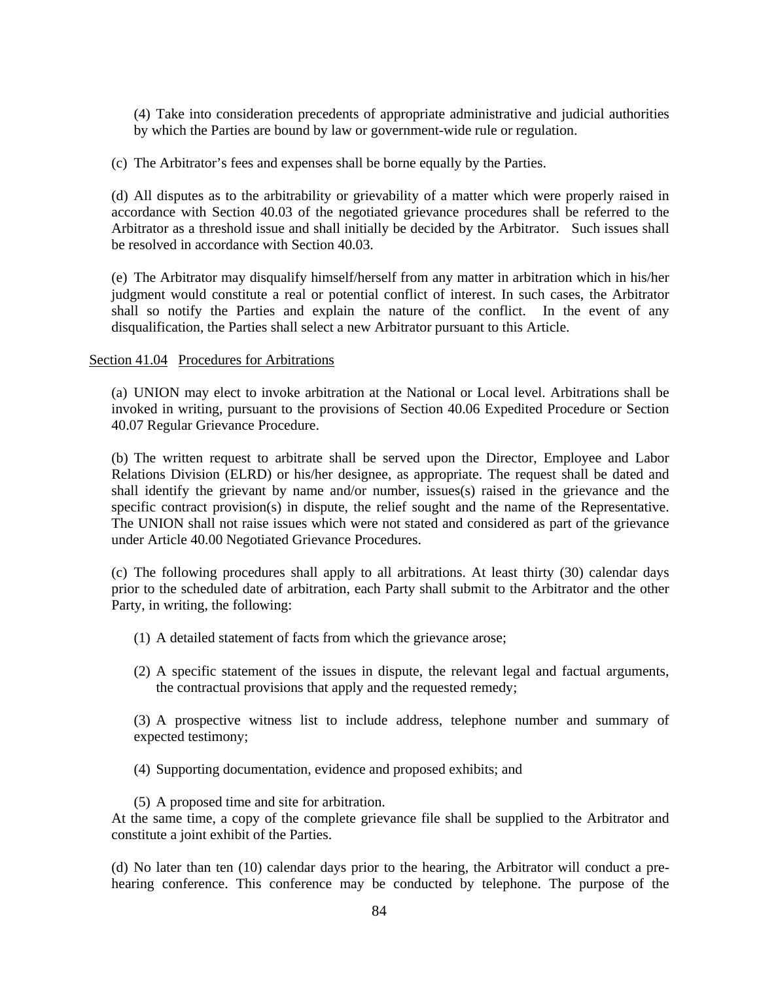(4) Take into consideration precedents of appropriate administrative and judicial authorities by which the Parties are bound by law or government-wide rule or regulation.

(c) The Arbitrator's fees and expenses shall be borne equally by the Parties.

(d) All disputes as to the arbitrability or grievability of a matter which were properly raised in accordance with Section 40.03 of the negotiated grievance procedures shall be referred to the Arbitrator as a threshold issue and shall initially be decided by the Arbitrator. Such issues shall be resolved in accordance with Section 40.03.

(e) The Arbitrator may disqualify himself/herself from any matter in arbitration which in his/her judgment would constitute a real or potential conflict of interest. In such cases, the Arbitrator shall so notify the Parties and explain the nature of the conflict. In the event of any disqualification, the Parties shall select a new Arbitrator pursuant to this Article.

### Section 41.04 Procedures for Arbitrations

(a) UNION may elect to invoke arbitration at the National or Local level. Arbitrations shall be invoked in writing, pursuant to the provisions of Section 40.06 Expedited Procedure or Section 40.07 Regular Grievance Procedure.

(b) The written request to arbitrate shall be served upon the Director, Employee and Labor Relations Division (ELRD) or his/her designee, as appropriate. The request shall be dated and shall identify the grievant by name and/or number, issues(s) raised in the grievance and the specific contract provision(s) in dispute, the relief sought and the name of the Representative. The UNION shall not raise issues which were not stated and considered as part of the grievance under Article 40.00 Negotiated Grievance Procedures.

(c) The following procedures shall apply to all arbitrations. At least thirty (30) calendar days prior to the scheduled date of arbitration, each Party shall submit to the Arbitrator and the other Party, in writing, the following:

- (1) A detailed statement of facts from which the grievance arose;
- (2) A specific statement of the issues in dispute, the relevant legal and factual arguments, the contractual provisions that apply and the requested remedy;

(3) A prospective witness list to include address, telephone number and summary of expected testimony;

(4) Supporting documentation, evidence and proposed exhibits; and

(5) A proposed time and site for arbitration.

At the same time, a copy of the complete grievance file shall be supplied to the Arbitrator and constitute a joint exhibit of the Parties.

(d) No later than ten (10) calendar days prior to the hearing, the Arbitrator will conduct a prehearing conference. This conference may be conducted by telephone. The purpose of the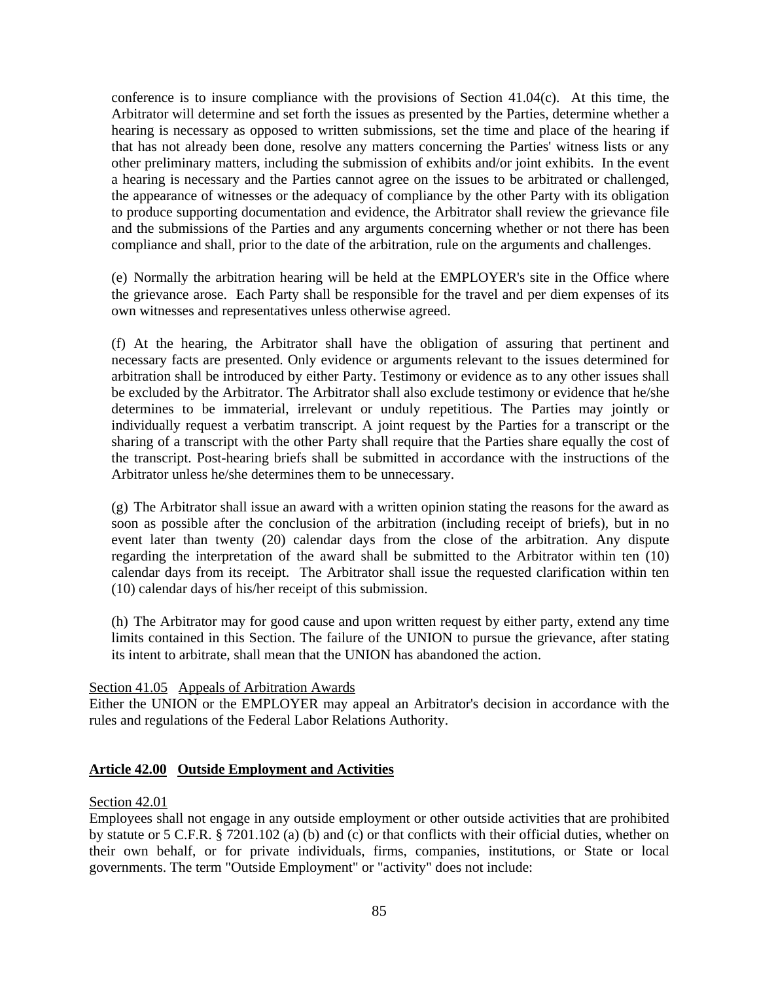conference is to insure compliance with the provisions of Section 41.04(c). At this time, the Arbitrator will determine and set forth the issues as presented by the Parties, determine whether a hearing is necessary as opposed to written submissions, set the time and place of the hearing if that has not already been done, resolve any matters concerning the Parties' witness lists or any other preliminary matters, including the submission of exhibits and/or joint exhibits. In the event a hearing is necessary and the Parties cannot agree on the issues to be arbitrated or challenged, the appearance of witnesses or the adequacy of compliance by the other Party with its obligation to produce supporting documentation and evidence, the Arbitrator shall review the grievance file and the submissions of the Parties and any arguments concerning whether or not there has been compliance and shall, prior to the date of the arbitration, rule on the arguments and challenges.

(e) Normally the arbitration hearing will be held at the EMPLOYER's site in the Office where the grievance arose. Each Party shall be responsible for the travel and per diem expenses of its own witnesses and representatives unless otherwise agreed.

(f) At the hearing, the Arbitrator shall have the obligation of assuring that pertinent and necessary facts are presented. Only evidence or arguments relevant to the issues determined for arbitration shall be introduced by either Party. Testimony or evidence as to any other issues shall be excluded by the Arbitrator. The Arbitrator shall also exclude testimony or evidence that he/she determines to be immaterial, irrelevant or unduly repetitious. The Parties may jointly or individually request a verbatim transcript. A joint request by the Parties for a transcript or the sharing of a transcript with the other Party shall require that the Parties share equally the cost of the transcript. Post-hearing briefs shall be submitted in accordance with the instructions of the Arbitrator unless he/she determines them to be unnecessary.

(g) The Arbitrator shall issue an award with a written opinion stating the reasons for the award as soon as possible after the conclusion of the arbitration (including receipt of briefs), but in no event later than twenty (20) calendar days from the close of the arbitration. Any dispute regarding the interpretation of the award shall be submitted to the Arbitrator within ten (10) calendar days from its receipt. The Arbitrator shall issue the requested clarification within ten (10) calendar days of his/her receipt of this submission.

(h) The Arbitrator may for good cause and upon written request by either party, extend any time limits contained in this Section. The failure of the UNION to pursue the grievance, after stating its intent to arbitrate, shall mean that the UNION has abandoned the action.

### Section 41.05 Appeals of Arbitration Awards

Either the UNION or the EMPLOYER may appeal an Arbitrator's decision in accordance with the rules and regulations of the Federal Labor Relations Authority.

# **Article 42.00 Outside Employment and Activities**

### Section 42.01

Employees shall not engage in any outside employment or other outside activities that are prohibited by statute or 5 C.F.R. § 7201.102 (a) (b) and (c) or that conflicts with their official duties, whether on their own behalf, or for private individuals, firms, companies, institutions, or State or local governments. The term "Outside Employment" or "activity" does not include: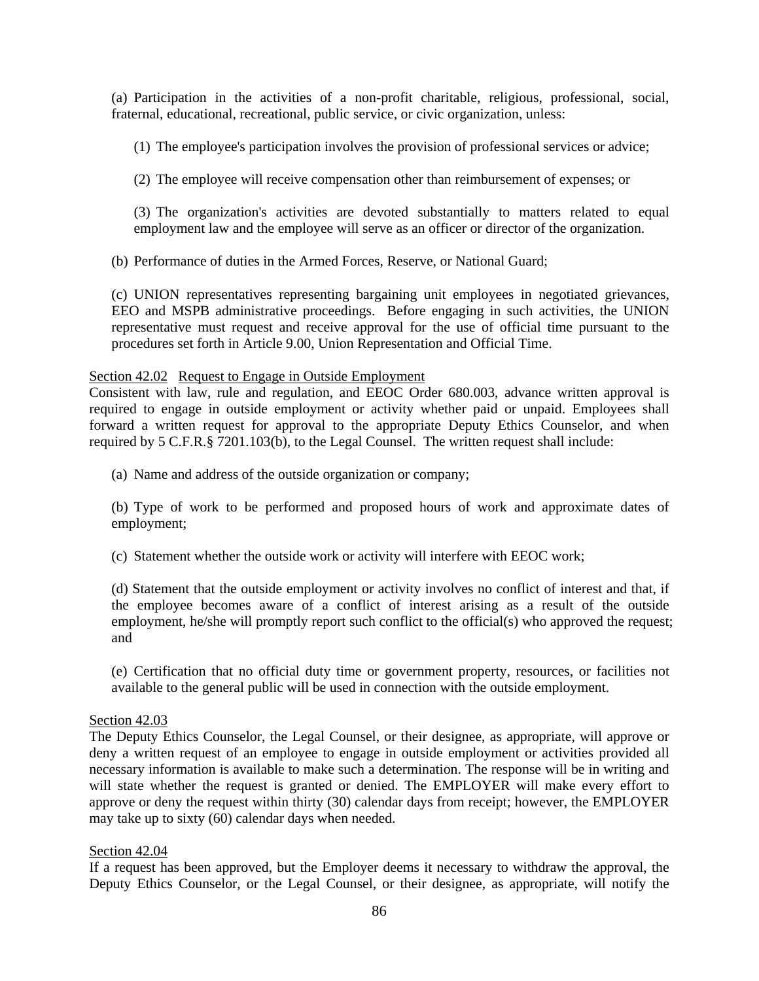(a) Participation in the activities of a non-profit charitable, religious, professional, social, fraternal, educational, recreational, public service, or civic organization, unless:

(1) The employee's participation involves the provision of professional services or advice;

(2) The employee will receive compensation other than reimbursement of expenses; or

(3) The organization's activities are devoted substantially to matters related to equal employment law and the employee will serve as an officer or director of the organization.

(b) Performance of duties in the Armed Forces, Reserve, or National Guard;

(c) UNION representatives representing bargaining unit employees in negotiated grievances, EEO and MSPB administrative proceedings. Before engaging in such activities, the UNION representative must request and receive approval for the use of official time pursuant to the procedures set forth in Article 9.00, Union Representation and Official Time.

### Section 42.02 Request to Engage in Outside Employment

Consistent with law, rule and regulation, and EEOC Order 680.003, advance written approval is required to engage in outside employment or activity whether paid or unpaid. Employees shall forward a written request for approval to the appropriate Deputy Ethics Counselor, and when required by 5 C.F.R.§ 7201.103(b), to the Legal Counsel. The written request shall include:

(a) Name and address of the outside organization or company;

(b) Type of work to be performed and proposed hours of work and approximate dates of employment;

(c) Statement whether the outside work or activity will interfere with EEOC work;

(d) Statement that the outside employment or activity involves no conflict of interest and that, if the employee becomes aware of a conflict of interest arising as a result of the outside employment, he/she will promptly report such conflict to the official(s) who approved the request; and

(e) Certification that no official duty time or government property, resources, or facilities not available to the general public will be used in connection with the outside employment.

### Section 42.03

The Deputy Ethics Counselor, the Legal Counsel, or their designee, as appropriate, will approve or deny a written request of an employee to engage in outside employment or activities provided all necessary information is available to make such a determination. The response will be in writing and will state whether the request is granted or denied. The EMPLOYER will make every effort to approve or deny the request within thirty (30) calendar days from receipt; however, the EMPLOYER may take up to sixty (60) calendar days when needed.

# Section 42.04

If a request has been approved, but the Employer deems it necessary to withdraw the approval, the Deputy Ethics Counselor, or the Legal Counsel, or their designee, as appropriate, will notify the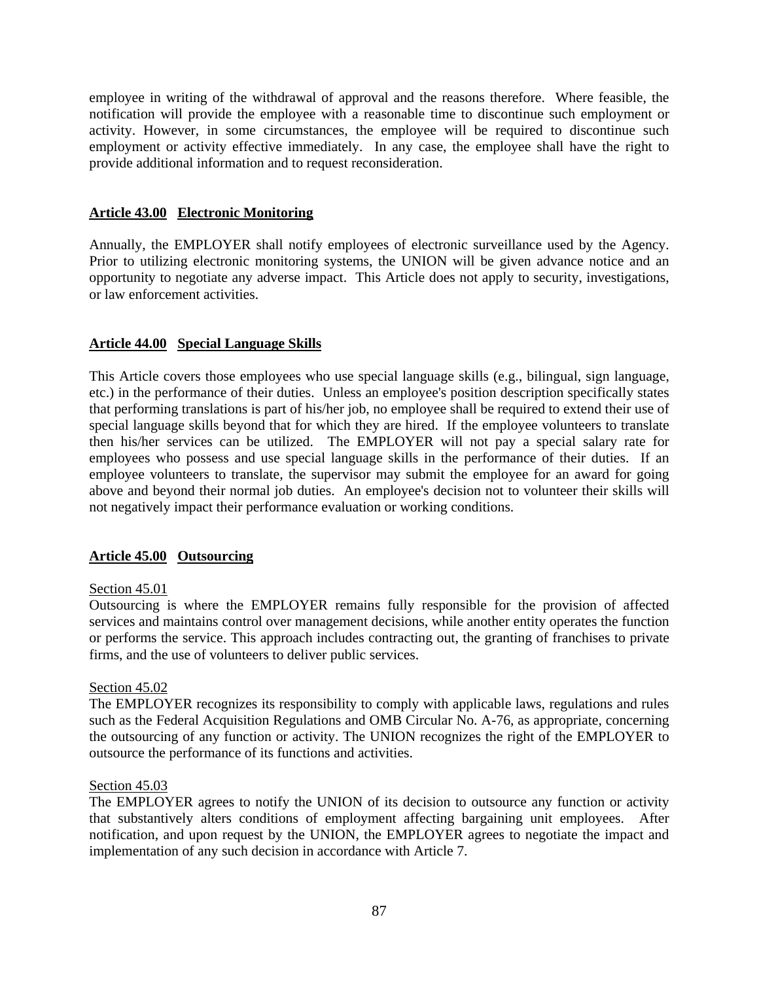employee in writing of the withdrawal of approval and the reasons therefore. Where feasible, the notification will provide the employee with a reasonable time to discontinue such employment or activity. However, in some circumstances, the employee will be required to discontinue such employment or activity effective immediately. In any case, the employee shall have the right to provide additional information and to request reconsideration.

# **Article 43.00 Electronic Monitoring**

Annually, the EMPLOYER shall notify employees of electronic surveillance used by the Agency. Prior to utilizing electronic monitoring systems, the UNION will be given advance notice and an opportunity to negotiate any adverse impact. This Article does not apply to security, investigations, or law enforcement activities.

## **Article 44.00 Special Language Skills**

This Article covers those employees who use special language skills (e.g., bilingual, sign language, etc.) in the performance of their duties. Unless an employee's position description specifically states that performing translations is part of his/her job, no employee shall be required to extend their use of special language skills beyond that for which they are hired. If the employee volunteers to translate then his/her services can be utilized. The EMPLOYER will not pay a special salary rate for employees who possess and use special language skills in the performance of their duties. If an employee volunteers to translate, the supervisor may submit the employee for an award for going above and beyond their normal job duties. An employee's decision not to volunteer their skills will not negatively impact their performance evaluation or working conditions.

# **Article 45.00 Outsourcing**

### Section 45.01

Outsourcing is where the EMPLOYER remains fully responsible for the provision of affected services and maintains control over management decisions, while another entity operates the function or performs the service. This approach includes contracting out, the granting of franchises to private firms, and the use of volunteers to deliver public services.

### Section 45.02

The EMPLOYER recognizes its responsibility to comply with applicable laws, regulations and rules such as the Federal Acquisition Regulations and OMB Circular No. A-76, as appropriate, concerning the outsourcing of any function or activity. The UNION recognizes the right of the EMPLOYER to outsource the performance of its functions and activities.

#### Section 45.03

The EMPLOYER agrees to notify the UNION of its decision to outsource any function or activity that substantively alters conditions of employment affecting bargaining unit employees. After notification, and upon request by the UNION, the EMPLOYER agrees to negotiate the impact and implementation of any such decision in accordance with Article 7.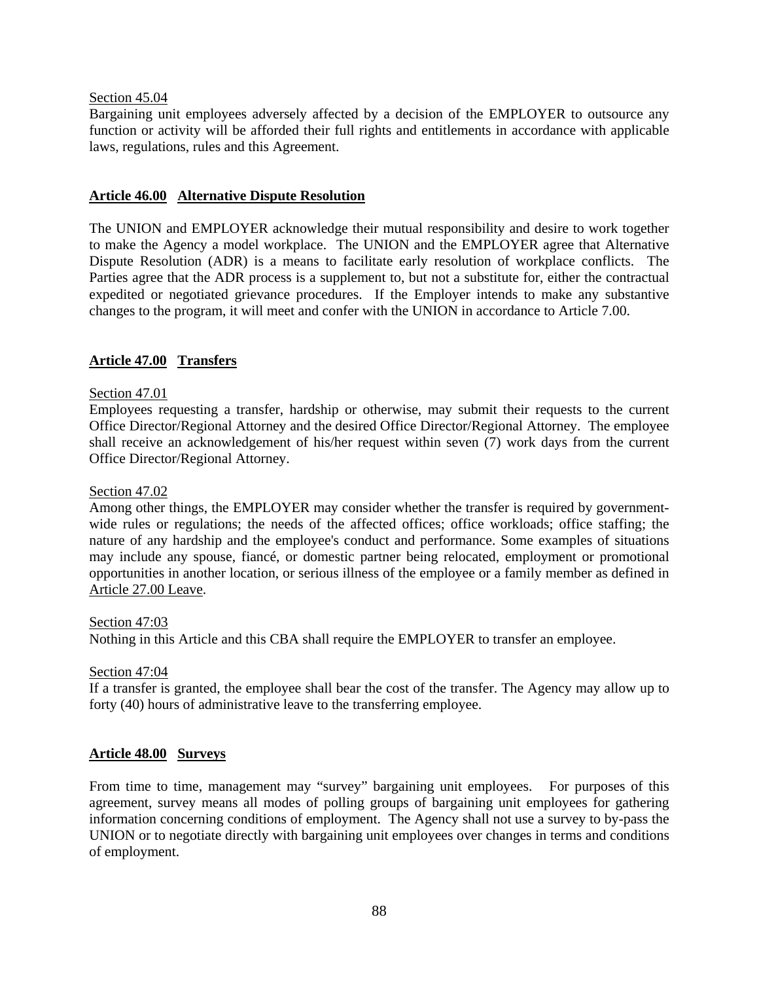### Section 45.04

Bargaining unit employees adversely affected by a decision of the EMPLOYER to outsource any function or activity will be afforded their full rights and entitlements in accordance with applicable laws, regulations, rules and this Agreement.

## **Article 46.00 Alternative Dispute Resolution**

The UNION and EMPLOYER acknowledge their mutual responsibility and desire to work together to make the Agency a model workplace. The UNION and the EMPLOYER agree that Alternative Dispute Resolution (ADR) is a means to facilitate early resolution of workplace conflicts. The Parties agree that the ADR process is a supplement to, but not a substitute for, either the contractual expedited or negotiated grievance procedures. If the Employer intends to make any substantive changes to the program, it will meet and confer with the UNION in accordance to Article 7.00.

# **Article 47.00 Transfers**

## Section 47.01

Employees requesting a transfer, hardship or otherwise, may submit their requests to the current Office Director/Regional Attorney and the desired Office Director/Regional Attorney. The employee shall receive an acknowledgement of his/her request within seven (7) work days from the current Office Director/Regional Attorney.

### Section 47.02

Among other things, the EMPLOYER may consider whether the transfer is required by governmentwide rules or regulations; the needs of the affected offices; office workloads; office staffing; the nature of any hardship and the employee's conduct and performance. Some examples of situations may include any spouse, fiancé, or domestic partner being relocated, employment or promotional opportunities in another location, or serious illness of the employee or a family member as defined in Article 27.00 Leave.

### Section 47:03

Nothing in this Article and this CBA shall require the EMPLOYER to transfer an employee.

### Section 47:04

If a transfer is granted, the employee shall bear the cost of the transfer. The Agency may allow up to forty (40) hours of administrative leave to the transferring employee.

### **Article 48.00 Surveys**

From time to time, management may "survey" bargaining unit employees. For purposes of this agreement, survey means all modes of polling groups of bargaining unit employees for gathering information concerning conditions of employment. The Agency shall not use a survey to by-pass the UNION or to negotiate directly with bargaining unit employees over changes in terms and conditions of employment.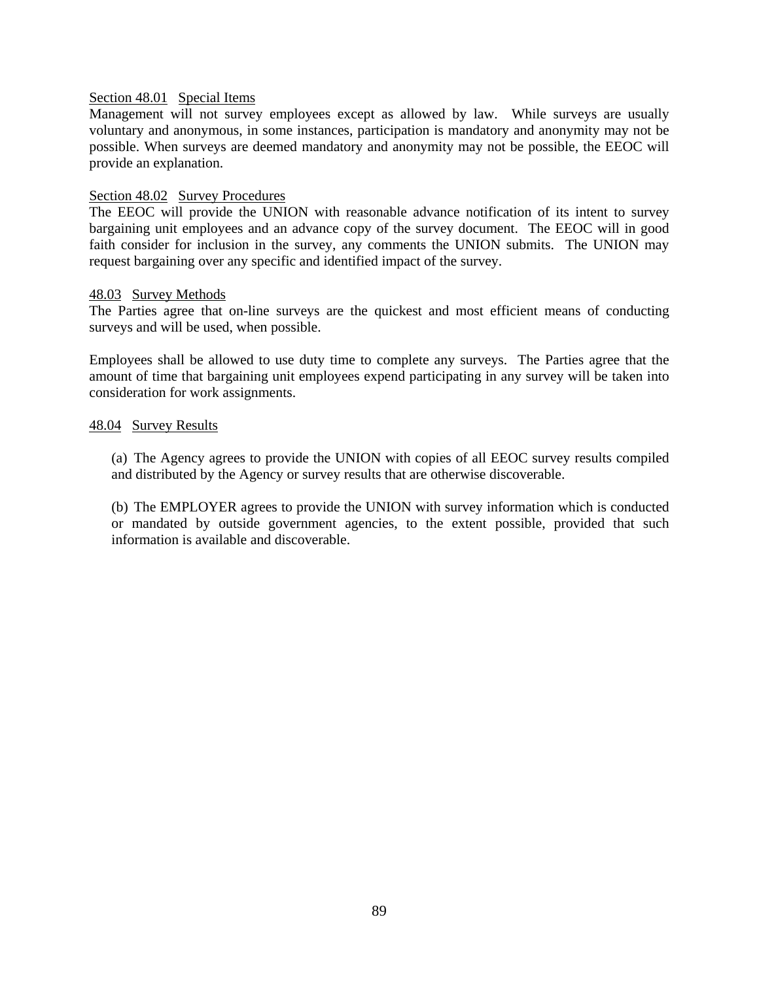### Section 48.01 Special Items

Management will not survey employees except as allowed by law. While surveys are usually voluntary and anonymous, in some instances, participation is mandatory and anonymity may not be possible. When surveys are deemed mandatory and anonymity may not be possible, the EEOC will provide an explanation.

#### Section 48.02 Survey Procedures

The EEOC will provide the UNION with reasonable advance notification of its intent to survey bargaining unit employees and an advance copy of the survey document. The EEOC will in good faith consider for inclusion in the survey, any comments the UNION submits. The UNION may request bargaining over any specific and identified impact of the survey.

#### 48.03 Survey Methods

The Parties agree that on-line surveys are the quickest and most efficient means of conducting surveys and will be used, when possible.

Employees shall be allowed to use duty time to complete any surveys. The Parties agree that the amount of time that bargaining unit employees expend participating in any survey will be taken into consideration for work assignments.

#### 48.04 Survey Results

(a) The Agency agrees to provide the UNION with copies of all EEOC survey results compiled and distributed by the Agency or survey results that are otherwise discoverable.

(b) The EMPLOYER agrees to provide the UNION with survey information which is conducted or mandated by outside government agencies, to the extent possible, provided that such information is available and discoverable.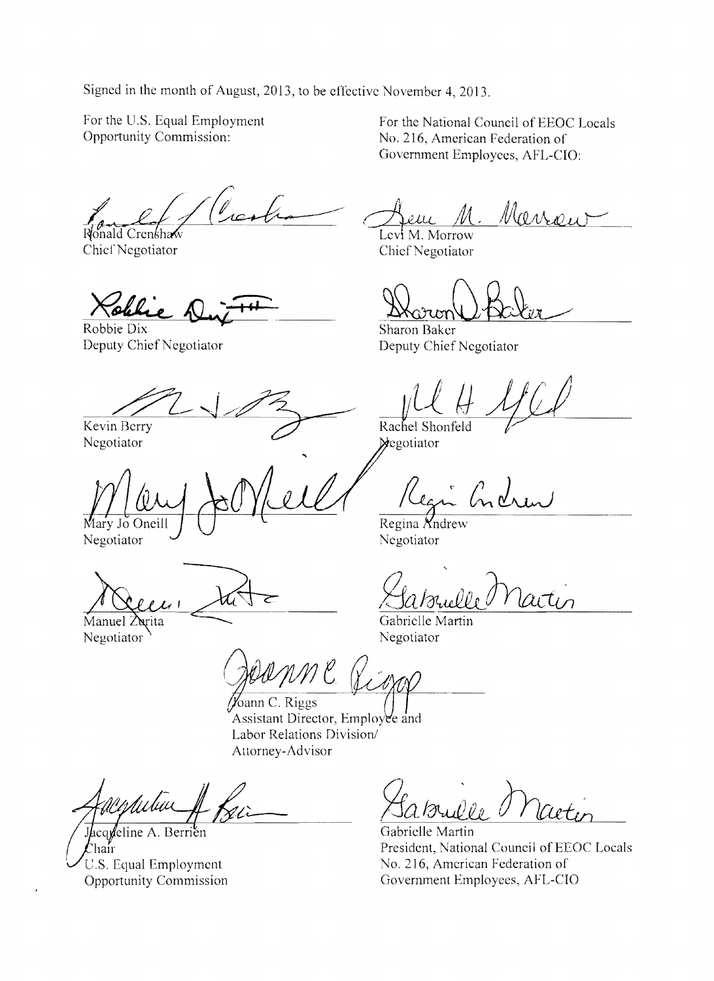Signed in the month of August, 2013, to be effective November 4, 2013.

Kollie Dit 14

Robbie Dix Deputy Chief Negotiator

For the U.S. Equal Employment For the National Council of EEOC Locals<br>Opportunity Commission: No. 216, American Federation of No. 216, American Federation of Government Employees, AFL-CIO:

Mand Crenshaw Create Gerry M. Marcu

Chief Negotiator Chief Negotiator

Sharon Baker Deputy Chief Negotiator

v*U*  Shonfeld  $\frac{g}{\sqrt{2}}$ 

Negotiator Megotiator Megotiator

Regi Godren

Negotiator

" lactin

Gabrielle Martin

Jeanne Piggs

Assistant Director, Employee and Labor Relations Division/ Attorney-Advisor

acqueline A. Berrien

Habulle Maetin

Gabrielle Martin  $\ell$ hair  $\ell$ hair  $\ell$  President, National Council of EEOC Locals U.S. Equal Employment No. 216, American Federation of Opportunity Commission<br>
Covernment Employees, AFL-CI Government Employees, AFL-CIO

 $Kevin Berry$   $\overline{Ker}$ 

Mary Jo Oneill Mary Jo Oneill July 10 Negotiator Regina Andrew Regina Andrew

xrita

Manuel  $Z$ Negotiator Negotiator Negotiator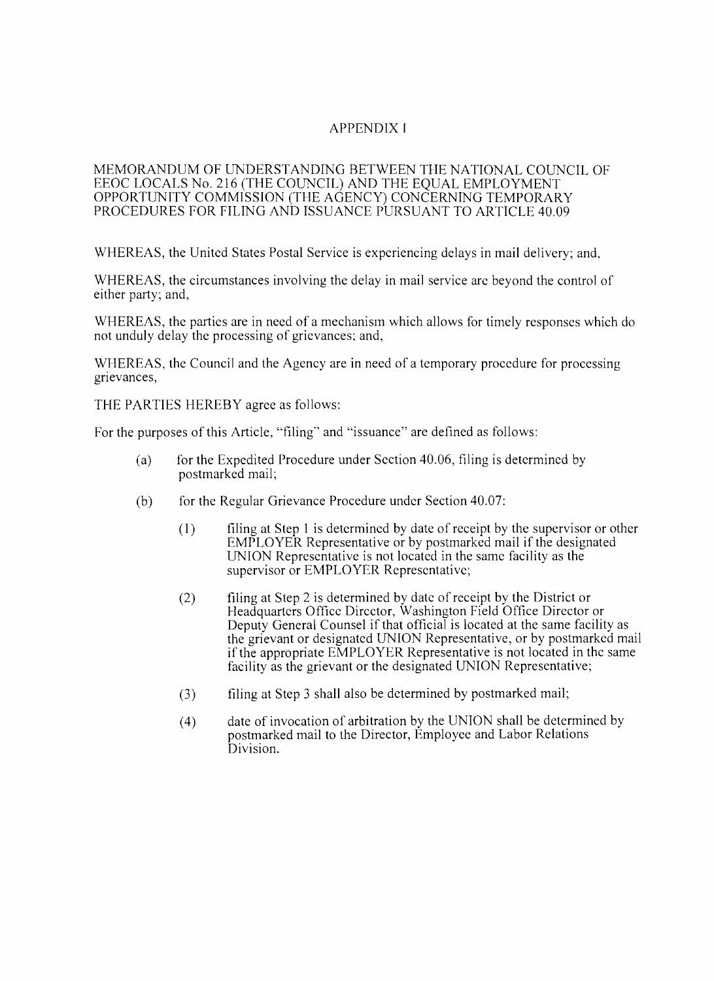# APPENDIX I

#### MEMORANDUM OF UNDERSTANDING BETWEEN THE NATIONAL COUNCIL OF EEOC LOCALS No. 216 (THE COUNCIL) AND THE EQUAL EMPLOYMENT OPPORTUNITY COMMISSION (THE AGENCY) CONCERNING TEMPORARY PROCEDURES FOR FILING AND ISSUANCE PURSUANT TO ARTICLE 40.09

WHEREAS, the Unitcd States Postal Service is expcriencing delays in mail delivery; and,

WHEREAS, the circumstances involving the delay in mail service arc beyond the control of either party; and,

WHEREAS, the parties are in need of a mechanism which allows for timely responses which do not unduly delay the processing of grievances; and,

W.HEREAS, the Council and the Agency are in need of a temporary procedure for processing grievances,

THE PARTIES HEREBY agree as follows:

For the purposes of this Article, "filing" and "issuance" are defined as follows:

- (a) for the Expedited Procedure under Scction 40.06, filing is detcrmincd by postmarked mail;
- (b) for the Regular Grievance Procedure under Section 40.07:
	- (1) filing at Step I is detcrmincd by date of receipt by the supervisor or other EMPLOYER Representative or by postmarked mail if the designated UNION Represcntative is not located in the samc facility as the supervisor or EMPLOYER Represcntativc;
	- (2) filing at Step 2 is determined by datc of receipt by the District or Headquarters Office Director, Washington Field Office Director or Deputy General Counsel if that official is located at the same facility as the grievant or designated UNION Representative, or by postmarked mail if the appropriate EMPLOYER Representative is not located in thc same facility as the grievant or the designated UNION Representative;
	- (3) filing at Step 3 shall also be dctermined by postmarked mail;
	- (4) date of invocation of arbitration by the UNION shall be determined by postmarked mail to the Director, Employee and Labor Relations Division.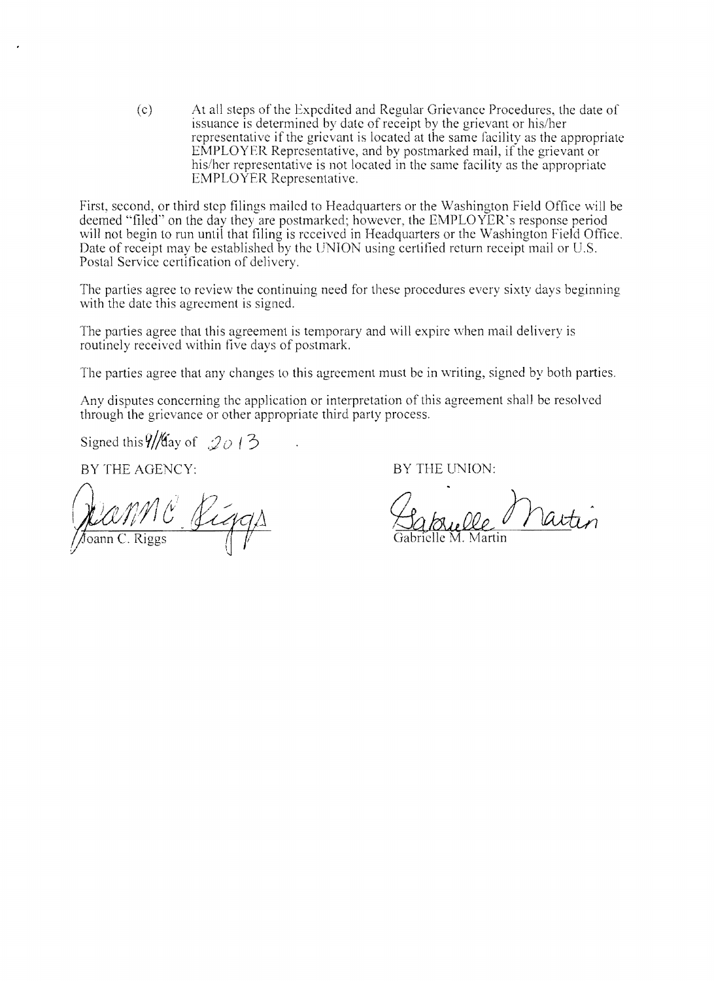(c) At all steps of the Expedited and Regular Grievance Procedures, the date of issuance is determined by date of receipt by the grievant or his/her representative if the grievant is located at the same facility as the appropriate EMPLOYER Representative, and by postmarked mail, if the grievant or his/her representative is not located in the same facility as the appropriate EMPLOYER Representative.

First, second, or third step filings mailed to Headquarters or the Washington Field Office will be deemed "filed" on the day they are postmarked; however, the EMPLOYER's response period will not begin to run until that filing is received in Headquarters or the Washington Field Office. Date of receipt may be established by the UNION using certified return receipt mail or U.S. Postal Service certification of delivery.

The parties agree to review the continuing need for these procedures every sixty days beginning with the date this agreement is signed.

The parties agree that this agreement is temporary and will expire when mail delivery is routinely received within five days of postmark.

The parties agree that any changes to this agreement must be in writing, signed by both parties.

Any disputes concerning the application or interpretation of this agreement shall be resolved through the grievance or other appropriate third party process.

Signed this  $9$ /( $({\alpha})$ <sub>0</sub>  $(3)$ 

)11/11 *t* 

BY THE AGENCY: BY THE UNION:

Lattin